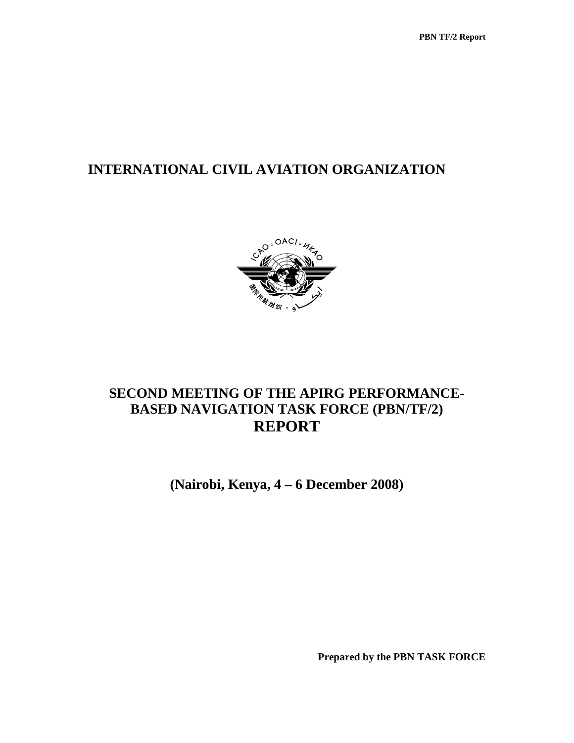# **INTERNATIONAL CIVIL AVIATION ORGANIZATION**



# **SECOND MEETING OF THE APIRG PERFORMANCE-BASED NAVIGATION TASK FORCE (PBN/TF/2) REPORT**

**(Nairobi, Kenya, 4 – 6 December 2008)** 

**Prepared by the PBN TASK FORCE**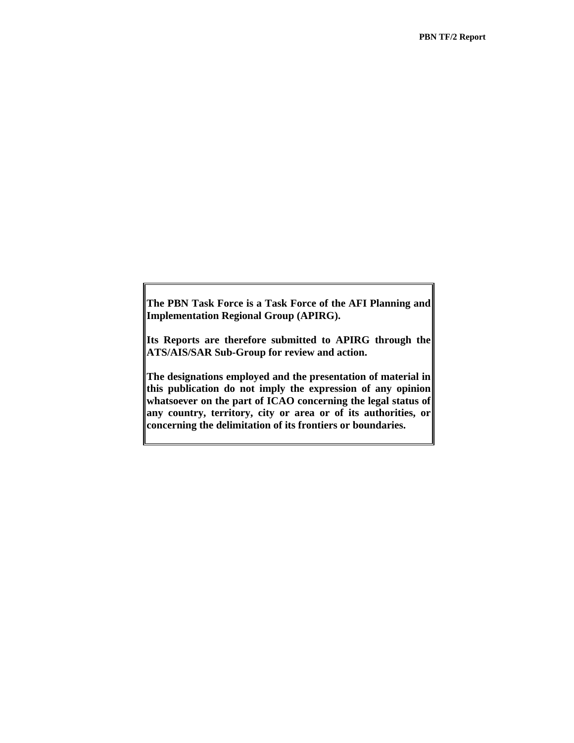**The PBN Task Force is a Task Force of the AFI Planning and Implementation Regional Group (APIRG).** 

**Its Reports are therefore submitted to APIRG through the ATS/AIS/SAR Sub-Group for review and action.** 

**The designations employed and the presentation of material in this publication do not imply the expression of any opinion whatsoever on the part of ICAO concerning the legal status of any country, territory, city or area or of its authorities, or concerning the delimitation of its frontiers or boundaries.**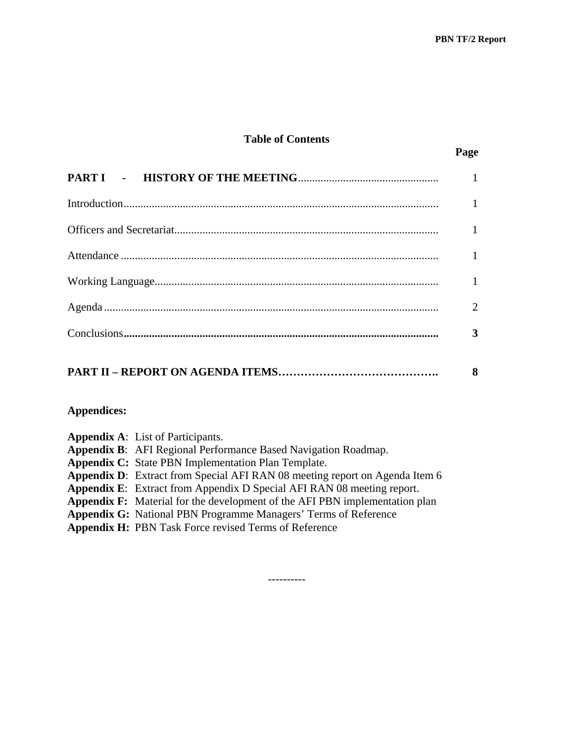# **Table of Contents**

| $\mathbf{1}$ |
|--------------|
|              |
|              |
| $\mathbf{1}$ |
|              |
| 2            |
| 3            |
| 8            |

# **Appendices:**

| <b>Appendix A:</b> List of Participants.                                           |
|------------------------------------------------------------------------------------|
| Appendix B: AFI Regional Performance Based Navigation Roadmap.                     |
| <b>Appendix C:</b> State PBN Implementation Plan Template.                         |
| <b>Appendix D:</b> Extract from Special AFI RAN 08 meeting report on Agenda Item 6 |
| Appendix E: Extract from Appendix D Special AFI RAN 08 meeting report.             |
| <b>Appendix F:</b> Material for the development of the AFI PBN implementation plan |
| <b>Appendix G:</b> National PBN Programme Managers' Terms of Reference             |
| <b>Appendix H:</b> PBN Task Force revised Terms of Reference                       |
|                                                                                    |

----------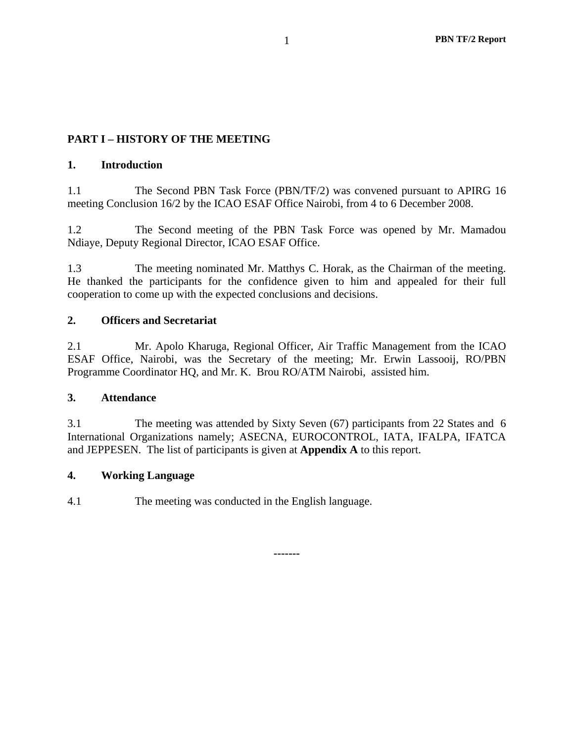# **PART I – HISTORY OF THE MEETING**

### **1. Introduction**

1.1 The Second PBN Task Force (PBN/TF/2) was convened pursuant to APIRG 16 meeting Conclusion 16/2 by the ICAO ESAF Office Nairobi, from 4 to 6 December 2008.

1.2 The Second meeting of the PBN Task Force was opened by Mr. Mamadou Ndiaye, Deputy Regional Director, ICAO ESAF Office.

1.3 The meeting nominated Mr. Matthys C. Horak, as the Chairman of the meeting. He thanked the participants for the confidence given to him and appealed for their full cooperation to come up with the expected conclusions and decisions.

### **2. Officers and Secretariat**

2.1 Mr. Apolo Kharuga, Regional Officer, Air Traffic Management from the ICAO ESAF Office, Nairobi, was the Secretary of the meeting; Mr. Erwin Lassooij, RO/PBN Programme Coordinator HQ, and Mr. K. Brou RO/ATM Nairobi, assisted him.

### **3. Attendance**

3.1 The meeting was attended by Sixty Seven (67) participants from 22 States and 6 International Organizations namely; ASECNA, EUROCONTROL, IATA, IFALPA, IFATCA and JEPPESEN. The list of participants is given at **Appendix A** to this report.

**-------** 

### **4. Working Language**

4.1 The meeting was conducted in the English language.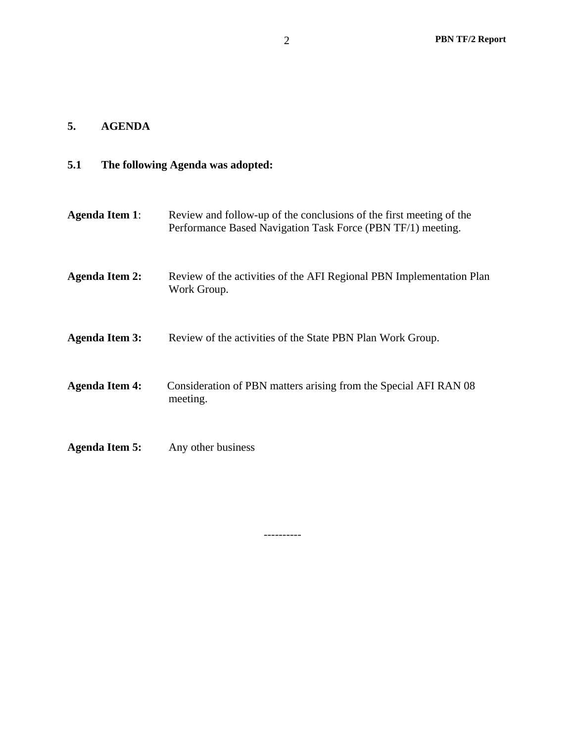### **5. AGENDA**

### **5.1 The following Agenda was adopted:**

**Agenda Item 1**: Review and follow-up of the conclusions of the first meeting of the Performance Based Navigation Task Force (PBN TF/1) meeting. **Agenda Item 2:** Review of the activities of the AFI Regional PBN Implementation Plan Work Group. **Agenda Item 3:** Review of the activities of the State PBN Plan Work Group. **Agenda Item 4:** Consideration of PBN matters arising from the Special AFI RAN 08 meeting. **Agenda Item 5:** Any other business

----------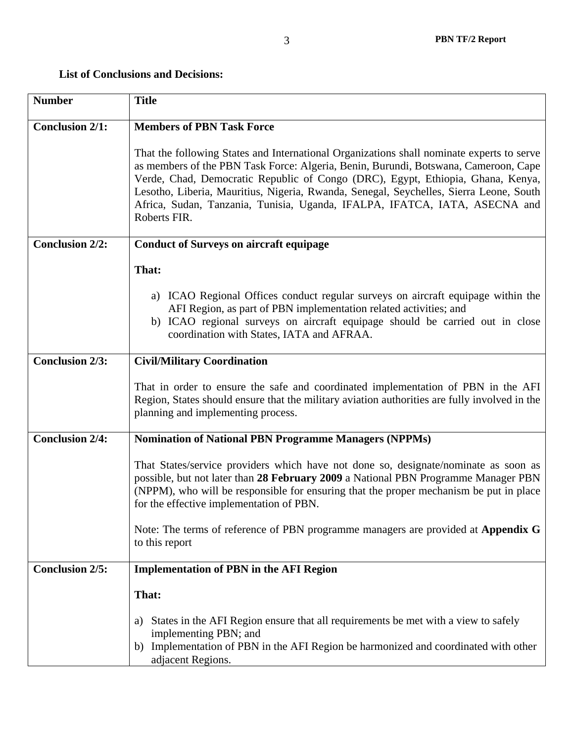# **List of Conclusions and Decisions:**

| <b>Number</b>          | <b>Title</b>                                                                                                                                                                                                                                                                                                                                                                                                                                                |  |
|------------------------|-------------------------------------------------------------------------------------------------------------------------------------------------------------------------------------------------------------------------------------------------------------------------------------------------------------------------------------------------------------------------------------------------------------------------------------------------------------|--|
| <b>Conclusion 2/1:</b> | <b>Members of PBN Task Force</b>                                                                                                                                                                                                                                                                                                                                                                                                                            |  |
|                        | That the following States and International Organizations shall nominate experts to serve<br>as members of the PBN Task Force: Algeria, Benin, Burundi, Botswana, Cameroon, Cape<br>Verde, Chad, Democratic Republic of Congo (DRC), Egypt, Ethiopia, Ghana, Kenya,<br>Lesotho, Liberia, Mauritius, Nigeria, Rwanda, Senegal, Seychelles, Sierra Leone, South<br>Africa, Sudan, Tanzania, Tunisia, Uganda, IFALPA, IFATCA, IATA, ASECNA and<br>Roberts FIR. |  |
| <b>Conclusion 2/2:</b> | <b>Conduct of Surveys on aircraft equipage</b>                                                                                                                                                                                                                                                                                                                                                                                                              |  |
|                        | That:                                                                                                                                                                                                                                                                                                                                                                                                                                                       |  |
|                        | a) ICAO Regional Offices conduct regular surveys on aircraft equipage within the<br>AFI Region, as part of PBN implementation related activities; and<br>b) ICAO regional surveys on aircraft equipage should be carried out in close<br>coordination with States, IATA and AFRAA.                                                                                                                                                                          |  |
| <b>Conclusion 2/3:</b> | <b>Civil/Military Coordination</b>                                                                                                                                                                                                                                                                                                                                                                                                                          |  |
|                        | That in order to ensure the safe and coordinated implementation of PBN in the AFI<br>Region, States should ensure that the military aviation authorities are fully involved in the<br>planning and implementing process.                                                                                                                                                                                                                                    |  |
| <b>Conclusion 2/4:</b> | <b>Nomination of National PBN Programme Managers (NPPMs)</b>                                                                                                                                                                                                                                                                                                                                                                                                |  |
|                        | That States/service providers which have not done so, designate/nominate as soon as<br>possible, but not later than 28 February 2009 a National PBN Programme Manager PBN<br>(NPPM), who will be responsible for ensuring that the proper mechanism be put in place<br>for the effective implementation of PBN.                                                                                                                                             |  |
|                        | Note: The terms of reference of PBN programme managers are provided at Appendix G<br>to this report                                                                                                                                                                                                                                                                                                                                                         |  |
| <b>Conclusion 2/5:</b> | <b>Implementation of PBN in the AFI Region</b>                                                                                                                                                                                                                                                                                                                                                                                                              |  |
|                        | That:                                                                                                                                                                                                                                                                                                                                                                                                                                                       |  |
|                        | States in the AFI Region ensure that all requirements be met with a view to safely<br>a)<br>implementing PBN; and<br>Implementation of PBN in the AFI Region be harmonized and coordinated with other<br>b)<br>adjacent Regions.                                                                                                                                                                                                                            |  |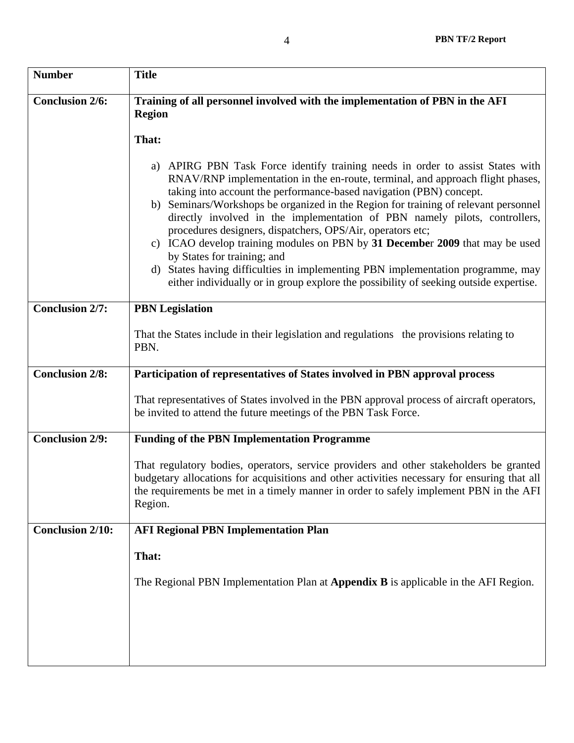| <b>Number</b>           | <b>Title</b>                                                                                                                                                                                                                                                                                                                                                                                                                                                                                                                                                                                                                                                                                                                                                             |  |  |
|-------------------------|--------------------------------------------------------------------------------------------------------------------------------------------------------------------------------------------------------------------------------------------------------------------------------------------------------------------------------------------------------------------------------------------------------------------------------------------------------------------------------------------------------------------------------------------------------------------------------------------------------------------------------------------------------------------------------------------------------------------------------------------------------------------------|--|--|
| <b>Conclusion 2/6:</b>  | Training of all personnel involved with the implementation of PBN in the AFI<br><b>Region</b>                                                                                                                                                                                                                                                                                                                                                                                                                                                                                                                                                                                                                                                                            |  |  |
|                         | That:                                                                                                                                                                                                                                                                                                                                                                                                                                                                                                                                                                                                                                                                                                                                                                    |  |  |
|                         | APIRG PBN Task Force identify training needs in order to assist States with<br>a)<br>RNAV/RNP implementation in the en-route, terminal, and approach flight phases,<br>taking into account the performance-based navigation (PBN) concept.<br>b) Seminars/Workshops be organized in the Region for training of relevant personnel<br>directly involved in the implementation of PBN namely pilots, controllers,<br>procedures designers, dispatchers, OPS/Air, operators etc;<br>c) ICAO develop training modules on PBN by 31 December 2009 that may be used<br>by States for training; and<br>d) States having difficulties in implementing PBN implementation programme, may<br>either individually or in group explore the possibility of seeking outside expertise. |  |  |
| <b>Conclusion 2/7:</b>  | <b>PBN</b> Legislation                                                                                                                                                                                                                                                                                                                                                                                                                                                                                                                                                                                                                                                                                                                                                   |  |  |
|                         | That the States include in their legislation and regulations the provisions relating to<br>PBN.                                                                                                                                                                                                                                                                                                                                                                                                                                                                                                                                                                                                                                                                          |  |  |
| <b>Conclusion 2/8:</b>  | Participation of representatives of States involved in PBN approval process                                                                                                                                                                                                                                                                                                                                                                                                                                                                                                                                                                                                                                                                                              |  |  |
|                         | That representatives of States involved in the PBN approval process of aircraft operators,<br>be invited to attend the future meetings of the PBN Task Force.                                                                                                                                                                                                                                                                                                                                                                                                                                                                                                                                                                                                            |  |  |
| <b>Conclusion 2/9:</b>  | <b>Funding of the PBN Implementation Programme</b>                                                                                                                                                                                                                                                                                                                                                                                                                                                                                                                                                                                                                                                                                                                       |  |  |
|                         | That regulatory bodies, operators, service providers and other stakeholders be granted<br>budgetary allocations for acquisitions and other activities necessary for ensuring that all<br>the requirements be met in a timely manner in order to safely implement PBN in the AFI<br>Region.                                                                                                                                                                                                                                                                                                                                                                                                                                                                               |  |  |
| <b>Conclusion 2/10:</b> | <b>AFI Regional PBN Implementation Plan</b>                                                                                                                                                                                                                                                                                                                                                                                                                                                                                                                                                                                                                                                                                                                              |  |  |
|                         | That:                                                                                                                                                                                                                                                                                                                                                                                                                                                                                                                                                                                                                                                                                                                                                                    |  |  |
|                         | The Regional PBN Implementation Plan at Appendix B is applicable in the AFI Region.                                                                                                                                                                                                                                                                                                                                                                                                                                                                                                                                                                                                                                                                                      |  |  |
|                         |                                                                                                                                                                                                                                                                                                                                                                                                                                                                                                                                                                                                                                                                                                                                                                          |  |  |
|                         |                                                                                                                                                                                                                                                                                                                                                                                                                                                                                                                                                                                                                                                                                                                                                                          |  |  |
|                         |                                                                                                                                                                                                                                                                                                                                                                                                                                                                                                                                                                                                                                                                                                                                                                          |  |  |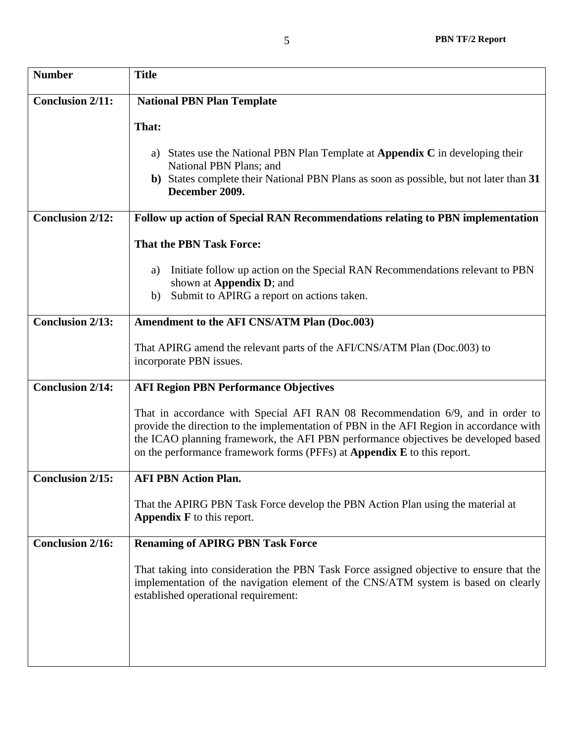| <b>Number</b>           | <b>Title</b>                                                                                                                                                                                                                                                                                                                                      |  |
|-------------------------|---------------------------------------------------------------------------------------------------------------------------------------------------------------------------------------------------------------------------------------------------------------------------------------------------------------------------------------------------|--|
| <b>Conclusion 2/11:</b> | <b>National PBN Plan Template</b>                                                                                                                                                                                                                                                                                                                 |  |
|                         | That:                                                                                                                                                                                                                                                                                                                                             |  |
|                         | States use the National PBN Plan Template at <b>Appendix C</b> in developing their<br>National PBN Plans; and                                                                                                                                                                                                                                     |  |
|                         | b) States complete their National PBN Plans as soon as possible, but not later than 31<br>December 2009.                                                                                                                                                                                                                                          |  |
| <b>Conclusion 2/12:</b> | Follow up action of Special RAN Recommendations relating to PBN implementation                                                                                                                                                                                                                                                                    |  |
|                         | <b>That the PBN Task Force:</b>                                                                                                                                                                                                                                                                                                                   |  |
|                         | Initiate follow up action on the Special RAN Recommendations relevant to PBN<br>a)<br>shown at <b>Appendix D</b> ; and<br>Submit to APIRG a report on actions taken.<br>b)                                                                                                                                                                        |  |
|                         |                                                                                                                                                                                                                                                                                                                                                   |  |
| <b>Conclusion 2/13:</b> | Amendment to the AFI CNS/ATM Plan (Doc.003)                                                                                                                                                                                                                                                                                                       |  |
|                         | That APIRG amend the relevant parts of the AFI/CNS/ATM Plan (Doc.003) to<br>incorporate PBN issues.                                                                                                                                                                                                                                               |  |
| <b>Conclusion 2/14:</b> | <b>AFI Region PBN Performance Objectives</b>                                                                                                                                                                                                                                                                                                      |  |
|                         | That in accordance with Special AFI RAN 08 Recommendation 6/9, and in order to<br>provide the direction to the implementation of PBN in the AFI Region in accordance with<br>the ICAO planning framework, the AFI PBN performance objectives be developed based<br>on the performance framework forms (PFFs) at <b>Appendix E</b> to this report. |  |
| <b>Conclusion 2/15:</b> | <b>AFI PBN Action Plan.</b>                                                                                                                                                                                                                                                                                                                       |  |
|                         | That the APIRG PBN Task Force develop the PBN Action Plan using the material at<br><b>Appendix <math>F</math></b> to this report.                                                                                                                                                                                                                 |  |
| <b>Conclusion 2/16:</b> | <b>Renaming of APIRG PBN Task Force</b>                                                                                                                                                                                                                                                                                                           |  |
|                         | That taking into consideration the PBN Task Force assigned objective to ensure that the<br>implementation of the navigation element of the CNS/ATM system is based on clearly<br>established operational requirement:                                                                                                                             |  |
|                         |                                                                                                                                                                                                                                                                                                                                                   |  |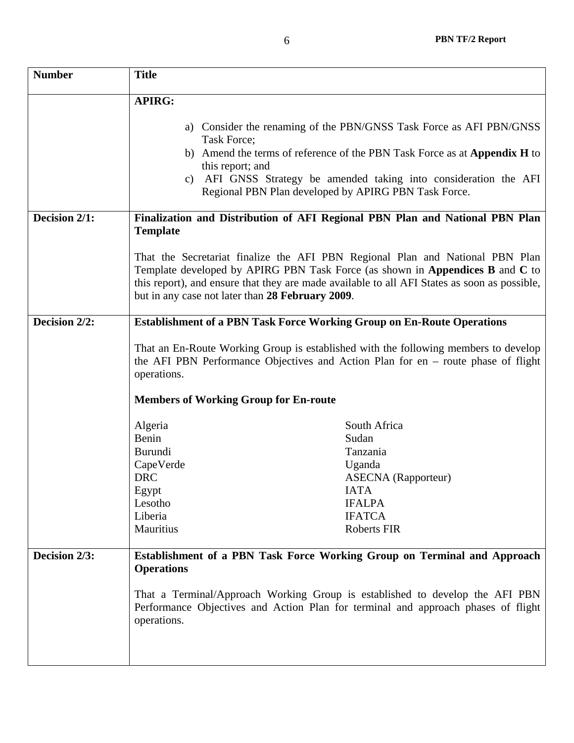| <b>Number</b> | <b>Title</b>                                                                                                                                                                                                                              |                                                                                                                                                                                                                                                                               |
|---------------|-------------------------------------------------------------------------------------------------------------------------------------------------------------------------------------------------------------------------------------------|-------------------------------------------------------------------------------------------------------------------------------------------------------------------------------------------------------------------------------------------------------------------------------|
|               | <b>APIRG:</b>                                                                                                                                                                                                                             |                                                                                                                                                                                                                                                                               |
|               | Task Force;<br>this report; and                                                                                                                                                                                                           | a) Consider the renaming of the PBN/GNSS Task Force as AFI PBN/GNSS<br>b) Amend the terms of reference of the PBN Task Force as at Appendix H to<br>c) AFI GNSS Strategy be amended taking into consideration the AFI<br>Regional PBN Plan developed by APIRG PBN Task Force. |
| Decision 2/1: | Finalization and Distribution of AFI Regional PBN Plan and National PBN Plan                                                                                                                                                              |                                                                                                                                                                                                                                                                               |
|               | <b>Template</b><br>but in any case not later than 28 February 2009.                                                                                                                                                                       | That the Secretariat finalize the AFI PBN Regional Plan and National PBN Plan<br>Template developed by APIRG PBN Task Force (as shown in Appendices B and C to<br>this report), and ensure that they are made available to all AFI States as soon as possible,                |
| Decision 2/2: | <b>Establishment of a PBN Task Force Working Group on En-Route Operations</b>                                                                                                                                                             |                                                                                                                                                                                                                                                                               |
|               | That an En-Route Working Group is established with the following members to develop<br>the AFI PBN Performance Objectives and Action Plan for $en$ – route phase of flight<br>operations.<br><b>Members of Working Group for En-route</b> |                                                                                                                                                                                                                                                                               |
|               | Algeria                                                                                                                                                                                                                                   | South Africa                                                                                                                                                                                                                                                                  |
|               | Benin                                                                                                                                                                                                                                     | Sudan                                                                                                                                                                                                                                                                         |
|               | <b>Burundi</b>                                                                                                                                                                                                                            | Tanzania                                                                                                                                                                                                                                                                      |
|               | CapeVerde                                                                                                                                                                                                                                 | Uganda                                                                                                                                                                                                                                                                        |
|               | <b>DRC</b>                                                                                                                                                                                                                                | <b>ASECNA</b> (Rapporteur)                                                                                                                                                                                                                                                    |
|               | Egypt                                                                                                                                                                                                                                     | <b>IATA</b>                                                                                                                                                                                                                                                                   |
|               | Lesotho<br>Liberia                                                                                                                                                                                                                        | <b>IFALPA</b><br><b>IFATCA</b>                                                                                                                                                                                                                                                |
|               | Mauritius                                                                                                                                                                                                                                 | <b>Roberts FIR</b>                                                                                                                                                                                                                                                            |
| Decision 2/3: | Establishment of a PBN Task Force Working Group on Terminal and Approach<br><b>Operations</b>                                                                                                                                             |                                                                                                                                                                                                                                                                               |
|               | operations.                                                                                                                                                                                                                               | That a Terminal/Approach Working Group is established to develop the AFI PBN<br>Performance Objectives and Action Plan for terminal and approach phases of flight                                                                                                             |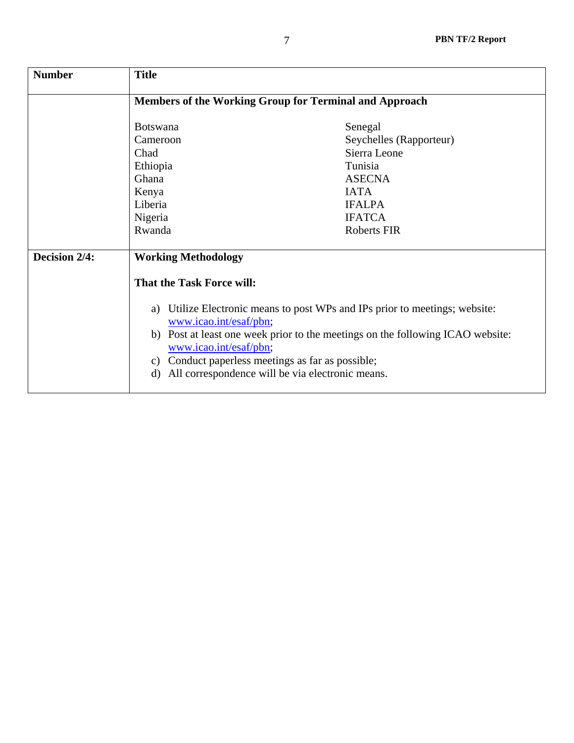| <b>Number</b> | <b>Title</b>                                                                                                                                                                                                                                                                                                                                                                                          |                                                                                                                                                       |
|---------------|-------------------------------------------------------------------------------------------------------------------------------------------------------------------------------------------------------------------------------------------------------------------------------------------------------------------------------------------------------------------------------------------------------|-------------------------------------------------------------------------------------------------------------------------------------------------------|
|               | Members of the Working Group for Terminal and Approach                                                                                                                                                                                                                                                                                                                                                |                                                                                                                                                       |
|               | <b>Botswana</b><br>Cameroon<br>Chad<br>Ethiopia<br>Ghana<br>Kenya<br>Liberia<br>Nigeria<br>Rwanda                                                                                                                                                                                                                                                                                                     | Senegal<br>Seychelles (Rapporteur)<br>Sierra Leone<br>Tunisia<br><b>ASECNA</b><br><b>IATA</b><br><b>IFALPA</b><br><b>IFATCA</b><br><b>Roberts FIR</b> |
| Decision 2/4: | <b>Working Methodology</b><br><b>That the Task Force will:</b><br>Utilize Electronic means to post WPs and IPs prior to meetings; website:<br>a)<br>www.icao.int/esaf/pbn;<br>b) Post at least one week prior to the meetings on the following ICAO website:<br>www.icao.int/esaf/pbn;<br>c) Conduct paperless meetings as far as possible;<br>All correspondence will be via electronic means.<br>d) |                                                                                                                                                       |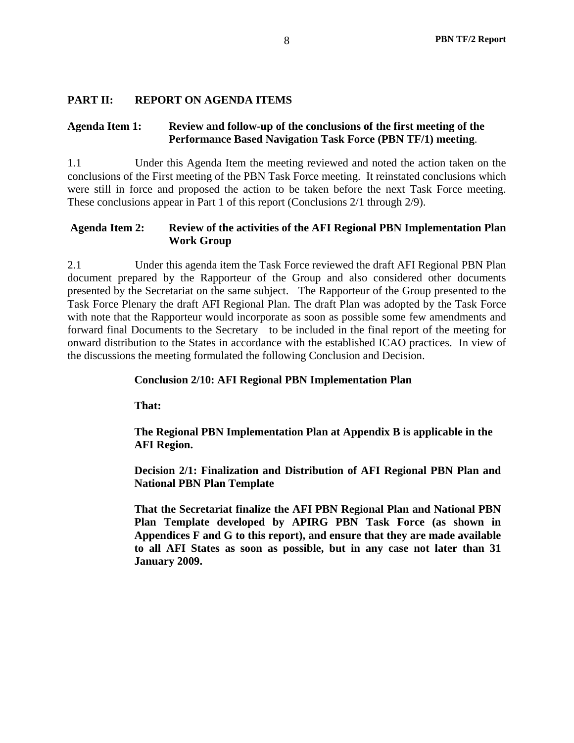## **PART II: REPORT ON AGENDA ITEMS**

### **Agenda Item 1: Review and follow-up of the conclusions of the first meeting of the Performance Based Navigation Task Force (PBN TF/1) meeting**.

1.1 Under this Agenda Item the meeting reviewed and noted the action taken on the conclusions of the First meeting of the PBN Task Force meeting. It reinstated conclusions which were still in force and proposed the action to be taken before the next Task Force meeting. These conclusions appear in Part 1 of this report (Conclusions 2/1 through 2/9).

### **Agenda Item 2: Review of the activities of the AFI Regional PBN Implementation Plan Work Group**

2.1 Under this agenda item the Task Force reviewed the draft AFI Regional PBN Plan document prepared by the Rapporteur of the Group and also considered other documents presented by the Secretariat on the same subject. The Rapporteur of the Group presented to the Task Force Plenary the draft AFI Regional Plan. The draft Plan was adopted by the Task Force with note that the Rapporteur would incorporate as soon as possible some few amendments and forward final Documents to the Secretary to be included in the final report of the meeting for onward distribution to the States in accordance with the established ICAO practices. In view of the discussions the meeting formulated the following Conclusion and Decision.

## **Conclusion 2/10: AFI Regional PBN Implementation Plan**

**That:** 

**The Regional PBN Implementation Plan at Appendix B is applicable in the AFI Region.** 

 **Decision 2/1: Finalization and Distribution of AFI Regional PBN Plan and National PBN Plan Template** 

**That the Secretariat finalize the AFI PBN Regional Plan and National PBN Plan Template developed by APIRG PBN Task Force (as shown in Appendices F and G to this report), and ensure that they are made available to all AFI States as soon as possible, but in any case not later than 31 January 2009.**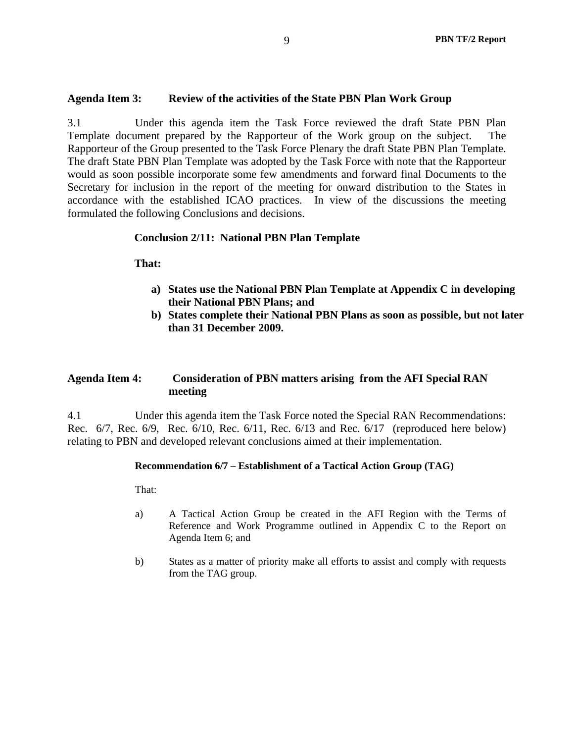### **Agenda Item 3: Review of the activities of the State PBN Plan Work Group**

3.1 Under this agenda item the Task Force reviewed the draft State PBN Plan Template document prepared by the Rapporteur of the Work group on the subject. The Rapporteur of the Group presented to the Task Force Plenary the draft State PBN Plan Template. The draft State PBN Plan Template was adopted by the Task Force with note that the Rapporteur would as soon possible incorporate some few amendments and forward final Documents to the Secretary for inclusion in the report of the meeting for onward distribution to the States in accordance with the established ICAO practices. In view of the discussions the meeting formulated the following Conclusions and decisions.

### **Conclusion 2/11: National PBN Plan Template**

**That:** 

- **a) States use the National PBN Plan Template at Appendix C in developing their National PBN Plans; and**
- **b) States complete their National PBN Plans as soon as possible, but not later than 31 December 2009.**

### **Agenda Item 4: Consideration of PBN matters arising from the AFI Special RAN meeting**

4.1 Under this agenda item the Task Force noted the Special RAN Recommendations: Rec. 6/7, Rec. 6/9, Rec. 6/10, Rec. 6/11, Rec. 6/13 and Rec. 6/17 (reproduced here below) relating to PBN and developed relevant conclusions aimed at their implementation.

### **Recommendation 6/7 – Establishment of a Tactical Action Group (TAG)**

That:

- a) A Tactical Action Group be created in the AFI Region with the Terms of Reference and Work Programme outlined in Appendix C to the Report on Agenda Item 6; and
- b) States as a matter of priority make all efforts to assist and comply with requests from the TAG group.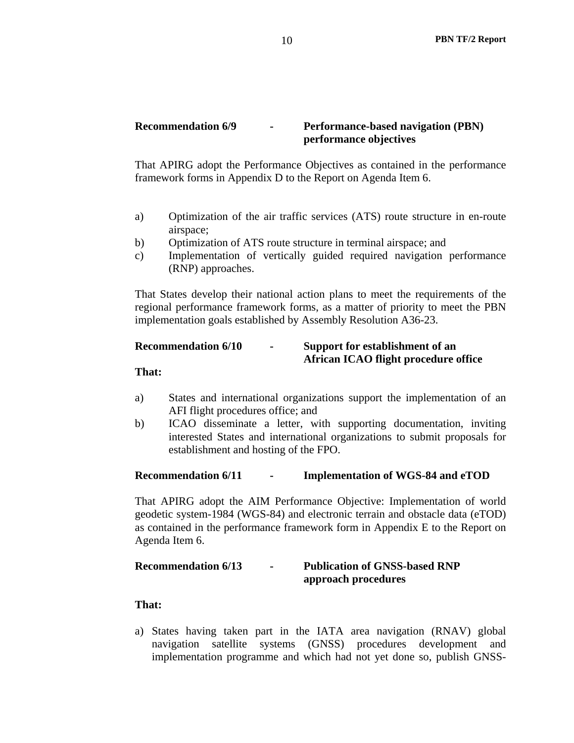### **Recommendation 6/9 - Performance-based navigation (PBN) performance objectives**

That APIRG adopt the Performance Objectives as contained in the performance framework forms in Appendix D to the Report on Agenda Item 6.

- a) Optimization of the air traffic services (ATS) route structure in en-route airspace;
- b) Optimization of ATS route structure in terminal airspace; and
- c) Implementation of vertically guided required navigation performance (RNP) approaches.

That States develop their national action plans to meet the requirements of the regional performance framework forms, as a matter of priority to meet the PBN implementation goals established by Assembly Resolution A36-23.

# **Recommendation 6/10 - Support for establishment of an African ICAO flight procedure office**

**That:** 

- a) States and international organizations support the implementation of an AFI flight procedures office; and
- b) ICAO disseminate a letter, with supporting documentation, inviting interested States and international organizations to submit proposals for establishment and hosting of the FPO.

### **Recommendation 6/11 - Implementation of WGS-84 and eTOD**

That APIRG adopt the AIM Performance Objective: Implementation of world geodetic system-1984 (WGS-84) and electronic terrain and obstacle data (eTOD) as contained in the performance framework form in Appendix E to the Report on Agenda Item 6.

### **Recommendation 6/13 - Publication of GNSS-based RNP approach procedures**

### **That:**

a) States having taken part in the IATA area navigation (RNAV) global navigation satellite systems (GNSS) procedures development and implementation programme and which had not yet done so, publish GNSS-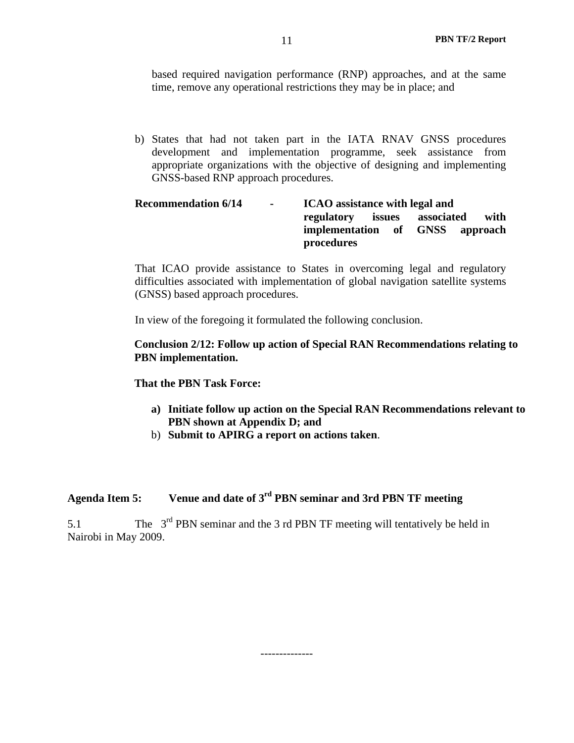based required navigation performance (RNP) approaches, and at the same time, remove any operational restrictions they may be in place; and

b) States that had not taken part in the IATA RNAV GNSS procedures development and implementation programme, seek assistance from appropriate organizations with the objective of designing and implementing GNSS-based RNP approach procedures.

### Recommendation 6/14 - **ICAO** assistance with legal and **regulatory issues associated with implementation of GNSS approach procedures**

That ICAO provide assistance to States in overcoming legal and regulatory difficulties associated with implementation of global navigation satellite systems (GNSS) based approach procedures.

In view of the foregoing it formulated the following conclusion.

### **Conclusion 2/12: Follow up action of Special RAN Recommendations relating to PBN implementation.**

### **That the PBN Task Force:**

- **a) Initiate follow up action on the Special RAN Recommendations relevant to PBN shown at Appendix D; and**
- b) **Submit to APIRG a report on actions taken**.

# **Agenda Item 5: Venue and date of 3rd PBN seminar and 3rd PBN TF meeting**

5.1 The 3rd PBN seminar and the 3 rd PBN TF meeting will tentatively be held in Nairobi in May 2009.

--------------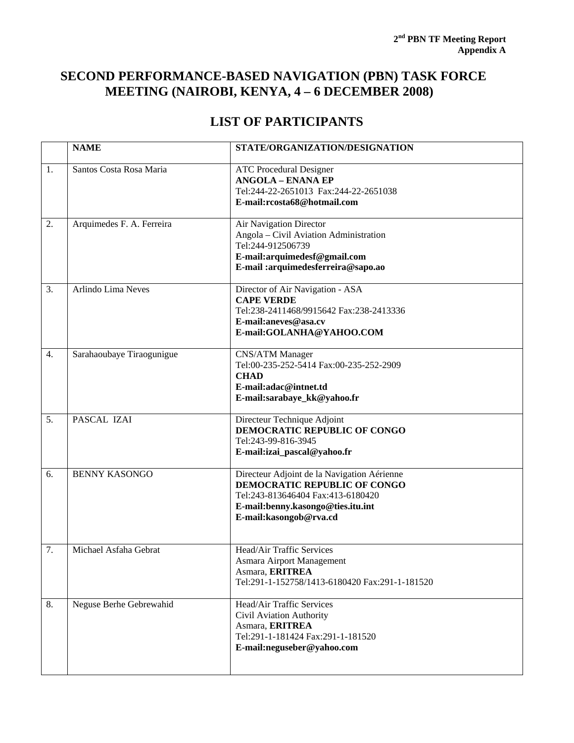# **SECOND PERFORMANCE-BASED NAVIGATION (PBN) TASK FORCE MEETING (NAIROBI, KENYA, 4 – 6 DECEMBER 2008)**

# **LIST OF PARTICIPANTS**

|                  | <b>NAME</b>               | STATE/ORGANIZATION/DESIGNATION                                                                                                                                                         |
|------------------|---------------------------|----------------------------------------------------------------------------------------------------------------------------------------------------------------------------------------|
| 1.               | Santos Costa Rosa Maria   | <b>ATC Procedural Designer</b><br><b>ANGOLA - ENANA EP</b><br>Tel:244-22-2651013 Fax:244-22-2651038<br>E-mail:rcosta68@hotmail.com                                                     |
| 2.               | Arquimedes F. A. Ferreira | Air Navigation Director<br>Angola - Civil Aviation Administration<br>Tel:244-912506739<br>E-mail:arquimedesf@gmail.com<br>E-mail :arquimedesferreira@sapo.ao                           |
| 3.               | Arlindo Lima Neves        | Director of Air Navigation - ASA<br><b>CAPE VERDE</b><br>Tel:238-2411468/9915642 Fax:238-2413336<br>E-mail:aneves@asa.cv<br>E-mail:GOLANHA@YAHOO.COM                                   |
| $\overline{4}$ . | Sarahaoubaye Tiraogunigue | CNS/ATM Manager<br>Tel:00-235-252-5414 Fax:00-235-252-2909<br><b>CHAD</b><br>E-mail:adac@intnet.td<br>E-mail:sarabaye_kk@yahoo.fr                                                      |
| 5.               | PASCAL IZAI               | Directeur Technique Adjoint<br>DEMOCRATIC REPUBLIC OF CONGO<br>Tel:243-99-816-3945<br>E-mail:izai_pascal@yahoo.fr                                                                      |
| 6.               | <b>BENNY KASONGO</b>      | Directeur Adjoint de la Navigation Aérienne<br><b>DEMOCRATIC REPUBLIC OF CONGO</b><br>Tel:243-813646404 Fax:413-6180420<br>E-mail:benny.kasongo@ties.itu.int<br>E-mail:kasongob@rva.cd |
| 7.               | Michael Asfaha Gebrat     | Head/Air Traffic Services<br>Asmara Airport Management<br>Asmara, ERITREA<br>Tel:291-1-152758/1413-6180420 Fax:291-1-181520                                                            |
| 8.               | Neguse Berhe Gebrewahid   | Head/Air Traffic Services<br>Civil Aviation Authority<br>Asmara, ERITREA<br>Tel:291-1-181424 Fax:291-1-181520<br>E-mail:neguseber@yahoo.com                                            |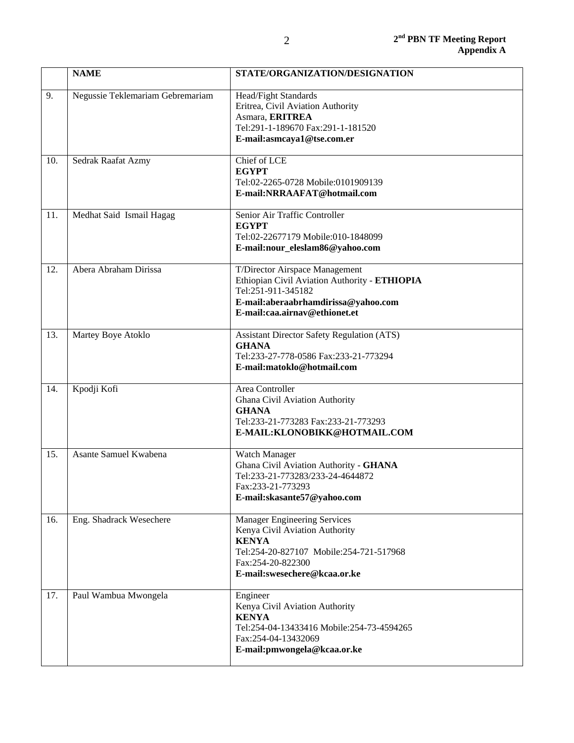|     | <b>NAME</b>                      | STATE/ORGANIZATION/DESIGNATION                                                                                                                                                        |
|-----|----------------------------------|---------------------------------------------------------------------------------------------------------------------------------------------------------------------------------------|
| 9.  | Negussie Teklemariam Gebremariam | Head/Fight Standards<br>Eritrea, Civil Aviation Authority<br>Asmara, ERITREA<br>Tel:291-1-189670 Fax:291-1-181520<br>E-mail:asmcaya1@tse.com.er                                       |
| 10. | Sedrak Raafat Azmy               | Chief of LCE<br><b>EGYPT</b><br>Tel:02-2265-0728 Mobile:0101909139<br>E-mail:NRRAAFAT@hotmail.com                                                                                     |
| 11. | Medhat Said Ismail Hagag         | Senior Air Traffic Controller<br><b>EGYPT</b><br>Tel:02-22677179 Mobile:010-1848099<br>E-mail:nour_eleslam86@yahoo.com                                                                |
| 12. | Abera Abraham Dirissa            | T/Director Airspace Management<br>Ethiopian Civil Aviation Authority - ETHIOPIA<br>Tel:251-911-345182<br>E-mail:aberaabrhamdirissa@yahoo.com<br>E-mail:caa.airnav@ethionet.et         |
| 13. | Martey Boye Atoklo               | <b>Assistant Director Safety Regulation (ATS)</b><br><b>GHANA</b><br>Tel:233-27-778-0586 Fax:233-21-773294<br>E-mail:matoklo@hotmail.com                                              |
| 14. | Kpodji Kofi                      | Area Controller<br>Ghana Civil Aviation Authority<br><b>GHANA</b><br>Tel:233-21-773283 Fax:233-21-773293<br>E-MAIL:KLONOBIKK@HOTMAIL.COM                                              |
| 15. | Asante Samuel Kwabena            | Watch Manager<br>Ghana Civil Aviation Authority - GHANA<br>Tel:233-21-773283/233-24-4644872<br>Fax:233-21-773293<br>E-mail:skasante57@yahoo.com                                       |
| 16. | Eng. Shadrack Wesechere          | <b>Manager Engineering Services</b><br>Kenya Civil Aviation Authority<br><b>KENYA</b><br>Tel:254-20-827107 Mobile:254-721-517968<br>Fax:254-20-822300<br>E-mail:swesechere@kcaa.or.ke |
| 17. | Paul Wambua Mwongela             | Engineer<br>Kenya Civil Aviation Authority<br><b>KENYA</b><br>Tel:254-04-13433416 Mobile:254-73-4594265<br>Fax:254-04-13432069<br>E-mail:pmwongela@kcaa.or.ke                         |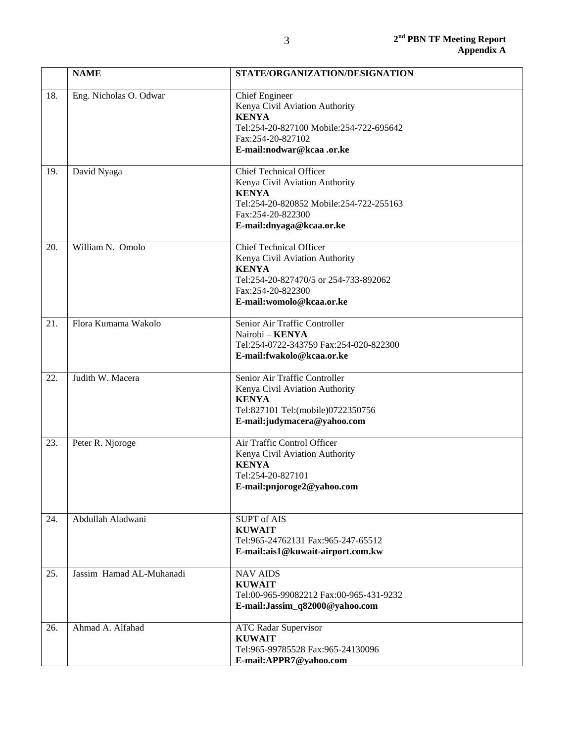|     | <b>NAME</b>              | STATE/ORGANIZATION/DESIGNATION                                                                                                                                               |
|-----|--------------------------|------------------------------------------------------------------------------------------------------------------------------------------------------------------------------|
| 18. | Eng. Nicholas O. Odwar   | <b>Chief Engineer</b><br>Kenya Civil Aviation Authority<br><b>KENYA</b><br>Tel:254-20-827100 Mobile:254-722-695642<br>Fax:254-20-827102<br>E-mail:nodwar@kcaa.or.ke          |
| 19. | David Nyaga              | <b>Chief Technical Officer</b><br>Kenya Civil Aviation Authority<br><b>KENYA</b><br>Tel:254-20-820852 Mobile:254-722-255163<br>Fax:254-20-822300<br>E-mail:dnyaga@kcaa.or.ke |
| 20. | William N. Omolo         | <b>Chief Technical Officer</b><br>Kenya Civil Aviation Authority<br><b>KENYA</b><br>Tel:254-20-827470/5 or 254-733-892062<br>Fax:254-20-822300<br>E-mail:womolo@kcaa.or.ke   |
| 21. | Flora Kumama Wakolo      | Senior Air Traffic Controller<br>Nairobi - KENYA<br>Tel:254-0722-343759 Fax:254-020-822300<br>E-mail:fwakolo@kcaa.or.ke                                                      |
| 22. | Judith W. Macera         | Senior Air Traffic Controller<br>Kenya Civil Aviation Authority<br><b>KENYA</b><br>Tel:827101 Tel:(mobile)0722350756<br>E-mail:judymacera@yahoo.com                          |
| 23. | Peter R. Njoroge         | Air Traffic Control Officer<br>Kenya Civil Aviation Authority<br><b>KENYA</b><br>Tel:254-20-827101<br>E-mail:pnjoroge2@yahoo.com                                             |
| 24. | Abdullah Aladwani        | <b>SUPT</b> of AIS<br><b>KUWAIT</b><br>Tel:965-24762131 Fax:965-247-65512<br>E-mail:ais1@kuwait-airport.com.kw                                                               |
| 25. | Jassim Hamad AL-Muhanadi | <b>NAV AIDS</b><br><b>KUWAIT</b><br>Tel:00-965-99082212 Fax:00-965-431-9232<br>E-mail:Jassim_q82000@yahoo.com                                                                |
| 26. | Ahmad A. Alfahad         | <b>ATC Radar Supervisor</b><br><b>KUWAIT</b><br>Tel:965-99785528 Fax:965-24130096<br>E-mail:APPR7@yahoo.com                                                                  |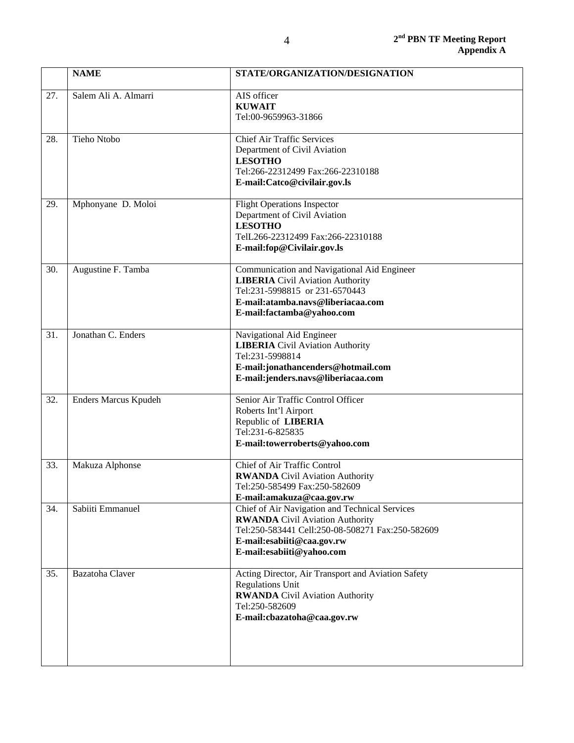|     | <b>NAME</b>          | STATE/ORGANIZATION/DESIGNATION                                                                                                                                                                          |
|-----|----------------------|---------------------------------------------------------------------------------------------------------------------------------------------------------------------------------------------------------|
| 27. | Salem Ali A. Almarri | AIS officer<br><b>KUWAIT</b><br>Tel:00-9659963-31866                                                                                                                                                    |
| 28. | Tieho Ntobo          | <b>Chief Air Traffic Services</b><br>Department of Civil Aviation<br><b>LESOTHO</b><br>Tel:266-22312499 Fax:266-22310188<br>E-mail:Catco@civilair.gov.ls                                                |
| 29. | Mphonyane D. Moloi   | <b>Flight Operations Inspector</b><br>Department of Civil Aviation<br><b>LESOTHO</b><br>TelL266-22312499 Fax:266-22310188<br>E-mail:fop@Civilair.gov.ls                                                 |
| 30. | Augustine F. Tamba   | Communication and Navigational Aid Engineer<br><b>LIBERIA</b> Civil Aviation Authority<br>Tel:231-5998815 or 231-6570443<br>E-mail:atamba.navs@liberiacaa.com<br>E-mail:factamba@yahoo.com              |
| 31. | Jonathan C. Enders   | Navigational Aid Engineer<br><b>LIBERIA</b> Civil Aviation Authority<br>Tel:231-5998814<br>E-mail:jonathancenders@hotmail.com<br>E-mail:jenders.navs@liberiacaa.com                                     |
| 32. | Enders Marcus Kpudeh | Senior Air Traffic Control Officer<br>Roberts Int'l Airport<br>Republic of LIBERIA<br>Tel:231-6-825835<br>E-mail:towerroberts@yahoo.com                                                                 |
| 33. | Makuza Alphonse      | Chief of Air Traffic Control<br><b>RWANDA</b> Civil Aviation Authority<br>Tel:250-585499 Fax:250-582609<br>E-mail:amakuza@caa.gov.rw                                                                    |
| 34. | Sabiiti Emmanuel     | Chief of Air Navigation and Technical Services<br><b>RWANDA</b> Civil Aviation Authority<br>Tel:250-583441 Cell:250-08-508271 Fax:250-582609<br>E-mail:esabiiti@caa.gov.rw<br>E-mail:esabiiti@yahoo.com |
| 35. | Bazatoha Claver      | Acting Director, Air Transport and Aviation Safety<br><b>Regulations Unit</b><br><b>RWANDA</b> Civil Aviation Authority<br>Tel:250-582609<br>E-mail:cbazatoha@caa.gov.rw                                |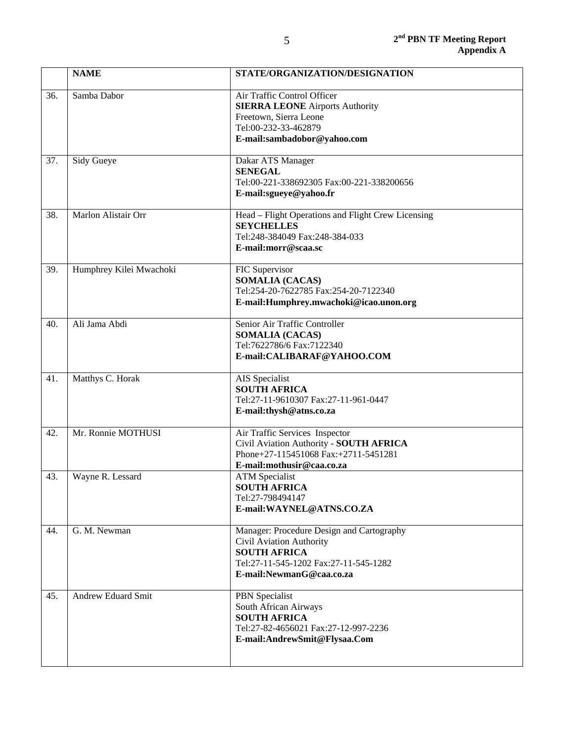| <b>NAME</b>               | STATE/ORGANIZATION/DESIGNATION                                                                                                                                    |
|---------------------------|-------------------------------------------------------------------------------------------------------------------------------------------------------------------|
| Samba Dabor               | Air Traffic Control Officer<br><b>SIERRA LEONE Airports Authority</b><br>Freetown, Sierra Leone<br>Tel:00-232-33-462879<br>E-mail:sambadobor@yahoo.com            |
| Sidy Gueye                | Dakar ATS Manager<br><b>SENEGAL</b><br>Tel:00-221-338692305 Fax:00-221-338200656<br>E-mail:sgueye@yahoo.fr                                                        |
| Marlon Alistair Orr       | Head - Flight Operations and Flight Crew Licensing<br><b>SEYCHELLES</b><br>Tel:248-384049 Fax:248-384-033<br>E-mail:morr@scaa.sc                                  |
| Humphrey Kilei Mwachoki   | FIC Supervisor<br><b>SOMALIA (CACAS)</b><br>Tel:254-20-7622785 Fax:254-20-7122340<br>E-mail:Humphrey.mwachoki@icao.unon.org                                       |
| Ali Jama Abdi             | Senior Air Traffic Controller<br><b>SOMALIA (CACAS)</b><br>Tel:7622786/6 Fax:7122340<br>E-mail:CALIBARAF@YAHOO.COM                                                |
| Matthys C. Horak          | AIS Specialist<br><b>SOUTH AFRICA</b><br>Tel:27-11-9610307 Fax:27-11-961-0447<br>E-mail:thysh@atns.co.za                                                          |
| Mr. Ronnie MOTHUSI        | Air Traffic Services Inspector<br>Civil Aviation Authority - SOUTH AFRICA<br>Phone+27-115451068 Fax:+2711-5451281<br>E-mail:mothusir@caa.co.za                    |
| Wayne R. Lessard          | <b>ATM</b> Specialist<br><b>SOUTH AFRICA</b><br>Tel:27-798494147<br>E-mail: WAYNEL@ATNS.CO.ZA                                                                     |
| G. M. Newman              | Manager: Procedure Design and Cartography<br>Civil Aviation Authority<br><b>SOUTH AFRICA</b><br>Tel:27-11-545-1202 Fax:27-11-545-1282<br>E-mail:NewmanG@caa.co.za |
| <b>Andrew Eduard Smit</b> | PBN Specialist<br>South African Airways<br><b>SOUTH AFRICA</b><br>Tel:27-82-4656021 Fax:27-12-997-2236<br>E-mail:AndrewSmit@Flysaa.Com                            |
|                           |                                                                                                                                                                   |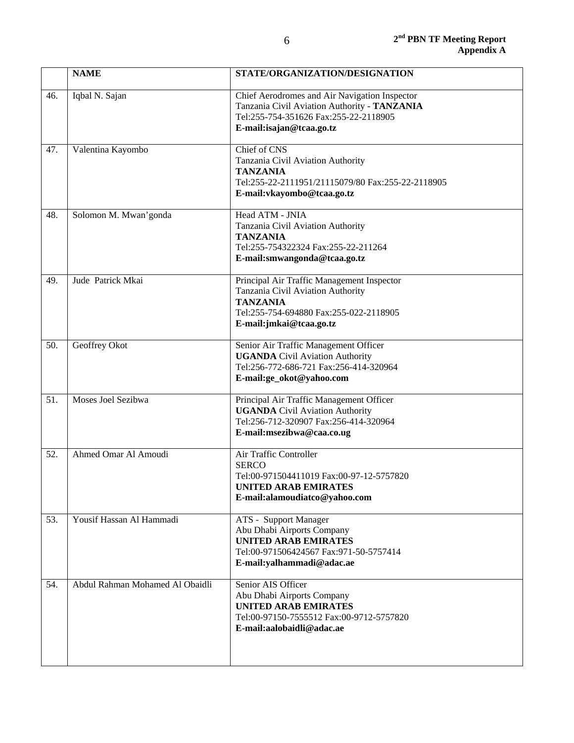|     | <b>NAME</b>                     | STATE/ORGANIZATION/DESIGNATION                                                                                                                                          |
|-----|---------------------------------|-------------------------------------------------------------------------------------------------------------------------------------------------------------------------|
| 46. | Iqbal N. Sajan                  | Chief Aerodromes and Air Navigation Inspector<br>Tanzania Civil Aviation Authority - TANZANIA<br>Tel:255-754-351626 Fax:255-22-2118905<br>E-mail:isajan@tcaa.go.tz      |
| 47. | Valentina Kayombo               | Chief of CNS<br>Tanzania Civil Aviation Authority<br><b>TANZANIA</b><br>Tel:255-22-2111951/21115079/80 Fax:255-22-2118905<br>E-mail: vkayombo@tcaa.go.tz                |
| 48. | Solomon M. Mwan'gonda           | Head ATM - JNIA<br>Tanzania Civil Aviation Authority<br><b>TANZANIA</b><br>Tel:255-754322324 Fax:255-22-211264<br>E-mail:smwangonda@tcaa.go.tz                          |
| 49. | Jude Patrick Mkai               | Principal Air Traffic Management Inspector<br>Tanzania Civil Aviation Authority<br><b>TANZANIA</b><br>Tel:255-754-694880 Fax:255-022-2118905<br>E-mail:jmkai@tcaa.go.tz |
| 50. | Geoffrey Okot                   | Senior Air Traffic Management Officer<br><b>UGANDA</b> Civil Aviation Authority<br>Tel:256-772-686-721 Fax:256-414-320964<br>E-mail:ge_okot@yahoo.com                   |
| 51. | Moses Joel Sezibwa              | Principal Air Traffic Management Officer<br><b>UGANDA</b> Civil Aviation Authority<br>Tel:256-712-320907 Fax:256-414-320964<br>E-mail:msezibwa@caa.co.ug                |
| 52. | Ahmed Omar Al Amoudi            | Air Traffic Controller<br><b>SERCO</b><br>Tel:00-971504411019 Fax:00-97-12-5757820<br><b>UNITED ARAB EMIRATES</b><br>E-mail:alamoudiatco@yahoo.com                      |
| 53. | Yousif Hassan Al Hammadi        | ATS - Support Manager<br>Abu Dhabi Airports Company<br><b>UNITED ARAB EMIRATES</b><br>Tel:00-971506424567 Fax:971-50-5757414<br>E-mail:yalhammadi@adac.ae               |
| 54. | Abdul Rahman Mohamed Al Obaidli | Senior AIS Officer<br>Abu Dhabi Airports Company<br><b>UNITED ARAB EMIRATES</b><br>Tel:00-97150-7555512 Fax:00-9712-5757820<br>E-mail:aalobaidli@adac.ae                |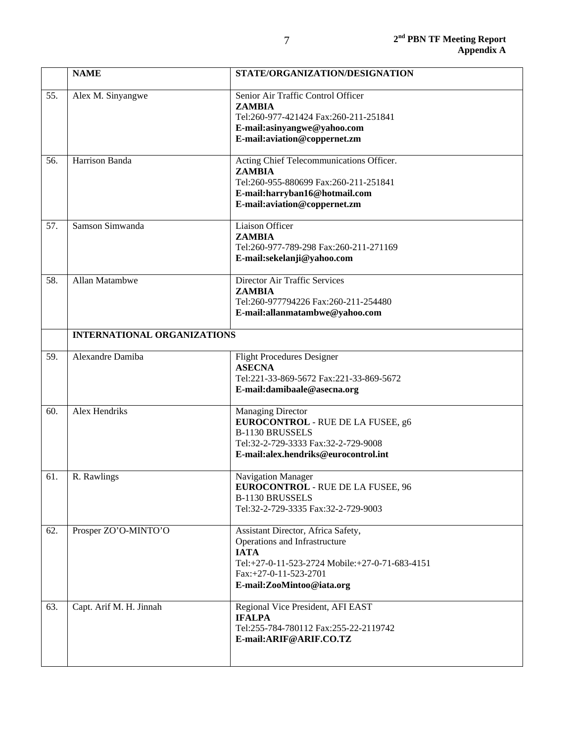|     | <b>NAME</b>                        | STATE/ORGANIZATION/DESIGNATION                                                                                                                                                             |
|-----|------------------------------------|--------------------------------------------------------------------------------------------------------------------------------------------------------------------------------------------|
| 55. | Alex M. Sinyangwe                  | Senior Air Traffic Control Officer<br><b>ZAMBIA</b><br>Tel:260-977-421424 Fax:260-211-251841<br>E-mail:asinyangwe@yahoo.com<br>E-mail: aviation@coppernet.zm                               |
| 56. | Harrison Banda                     | Acting Chief Telecommunications Officer.<br><b>ZAMBIA</b><br>Tel:260-955-880699 Fax:260-211-251841<br>E-mail:harryban16@hotmail.com<br>E-mail:aviation@coppernet.zm                        |
| 57. | Samson Simwanda                    | <b>Liaison Officer</b><br><b>ZAMBIA</b><br>Tel:260-977-789-298 Fax:260-211-271169<br>E-mail:sekelanji@yahoo.com                                                                            |
| 58. | Allan Matambwe                     | Director Air Traffic Services<br><b>ZAMBIA</b><br>Tel:260-977794226 Fax:260-211-254480<br>E-mail:allanmatambwe@yahoo.com                                                                   |
|     | <b>INTERNATIONAL ORGANIZATIONS</b> |                                                                                                                                                                                            |
| 59. | Alexandre Damiba                   | <b>Flight Procedures Designer</b><br><b>ASECNA</b><br>Tel:221-33-869-5672 Fax:221-33-869-5672<br>E-mail:damibaale@asecna.org                                                               |
| 60. | Alex Hendriks                      | <b>Managing Director</b><br><b>EUROCONTROL - RUE DE LA FUSEE, g6</b><br><b>B-1130 BRUSSELS</b><br>Tel:32-2-729-3333 Fax:32-2-729-9008<br>E-mail:alex.hendriks@eurocontrol.int              |
| 61. | R. Rawlings                        | <b>Navigation Manager</b><br><b>EUROCONTROL - RUE DE LA FUSEE, 96</b><br><b>B-1130 BRUSSELS</b><br>Tel:32-2-729-3335 Fax:32-2-729-9003                                                     |
| 62. | Prosper ZO'O-MINTO'O               | Assistant Director, Africa Safety,<br>Operations and Infrastructure<br><b>IATA</b><br>Tel:+27-0-11-523-2724 Mobile:+27-0-71-683-4151<br>Fax:+27-0-11-523-2701<br>E-mail:ZooMintoo@iata.org |
| 63. | Capt. Arif M. H. Jinnah            | Regional Vice President, AFI EAST<br><b>IFALPA</b><br>Tel:255-784-780112 Fax:255-22-2119742<br>E-mail:ARIF@ARIF.CO.TZ                                                                      |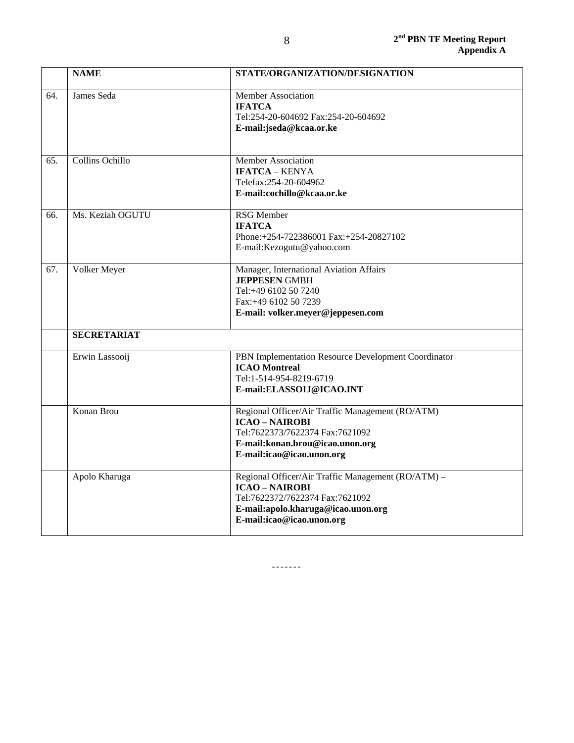|     | <b>NAME</b>        | STATE/ORGANIZATION/DESIGNATION                                                                                                                                                    |  |
|-----|--------------------|-----------------------------------------------------------------------------------------------------------------------------------------------------------------------------------|--|
| 64. | James Seda         | <b>Member Association</b><br><b>IFATCA</b><br>Tel:254-20-604692 Fax:254-20-604692<br>E-mail:jseda@kcaa.or.ke                                                                      |  |
| 65. | Collins Ochillo    | Member Association<br><b>IFATCA - KENYA</b><br>Telefax:254-20-604962<br>E-mail:cochillo@kcaa.or.ke                                                                                |  |
| 66. | Ms. Keziah OGUTU   | <b>RSG</b> Member<br><b>IFATCA</b><br>Phone:+254-722386001 Fax:+254-20827102<br>E-mail:Kezogutu@yahoo.com                                                                         |  |
| 67. | Volker Meyer       | Manager, International Aviation Affairs<br><b>JEPPESEN GMBH</b><br>Tel:+49 6102 50 7240<br>Fax:+49 6102 50 7239<br>E-mail: volker.meyer@jeppesen.com                              |  |
|     | <b>SECRETARIAT</b> |                                                                                                                                                                                   |  |
|     | Erwin Lassooij     | PBN Implementation Resource Development Coordinator<br><b>ICAO</b> Montreal<br>Tel:1-514-954-8219-6719<br>E-mail:ELASSOIJ@ICAO.INT                                                |  |
|     | Konan Brou         | Regional Officer/Air Traffic Management (RO/ATM)<br><b>ICAO - NAIROBI</b><br>Tel:7622373/7622374 Fax:7621092<br>E-mail:konan.brou@icao.unon.org<br>E-mail:icao@icao.unon.org      |  |
|     | Apolo Kharuga      | Regional Officer/Air Traffic Management (RO/ATM) -<br><b>ICAO - NAIROBI</b><br>Tel:7622372/7622374 Fax:7621092<br>E-mail:apolo.kharuga@icao.unon.org<br>E-mail:icao@icao.unon.org |  |

-------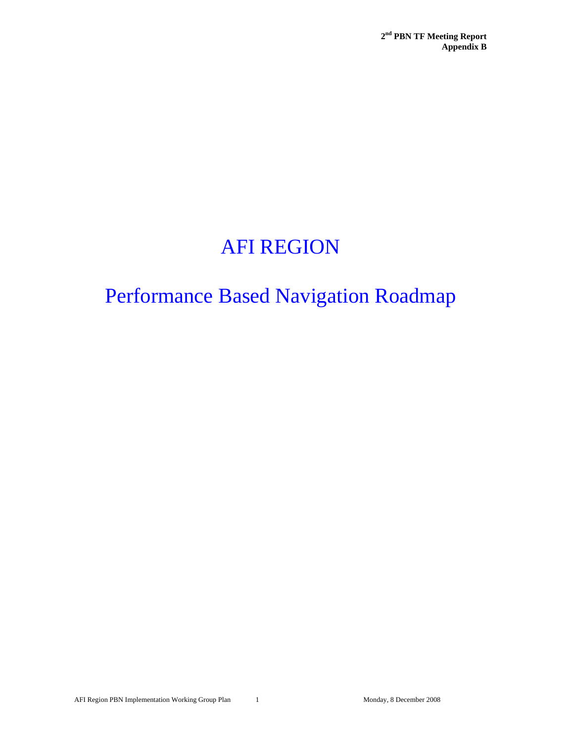# AFI REGION

# Performance Based Navigation Roadmap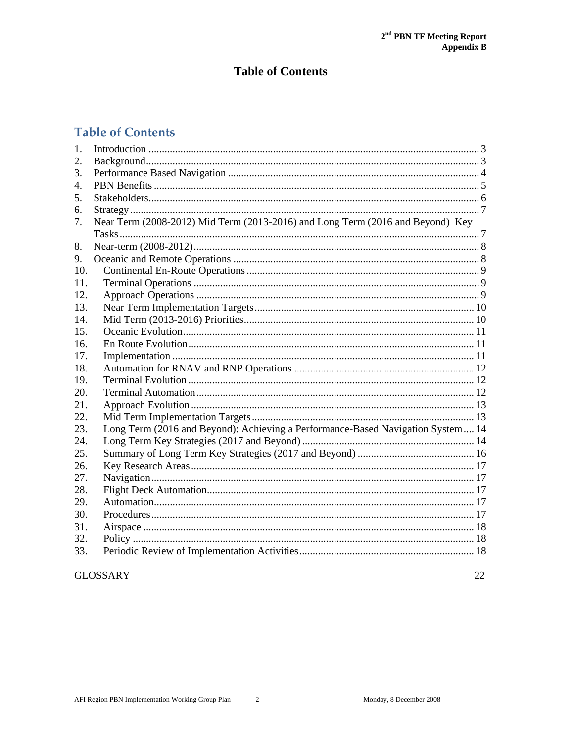# **Table of Contents**

# **Table of Contents**

| $\mathbf{1}$ . |                                                                                 |  |
|----------------|---------------------------------------------------------------------------------|--|
| 2.             |                                                                                 |  |
| 3.             |                                                                                 |  |
| 4.             |                                                                                 |  |
| 5.             |                                                                                 |  |
| 6.             |                                                                                 |  |
| 7.             | Near Term (2008-2012) Mid Term (2013-2016) and Long Term (2016 and Beyond) Key  |  |
|                |                                                                                 |  |
| 8.             |                                                                                 |  |
| 9.             |                                                                                 |  |
| 10.            |                                                                                 |  |
| 11.            |                                                                                 |  |
| 12.            |                                                                                 |  |
| 13.            |                                                                                 |  |
| 14.            |                                                                                 |  |
| 15.            |                                                                                 |  |
| 16.            |                                                                                 |  |
| 17.            |                                                                                 |  |
| 18.            |                                                                                 |  |
| 19.            |                                                                                 |  |
| 20.            |                                                                                 |  |
| 21.            |                                                                                 |  |
| 22.            |                                                                                 |  |
| 23.            | Long Term (2016 and Beyond): Achieving a Performance-Based Navigation System 14 |  |
| 24.            |                                                                                 |  |
| 25.            |                                                                                 |  |
| 26.            |                                                                                 |  |
| 27.            |                                                                                 |  |
| 28.            |                                                                                 |  |
| 29.            |                                                                                 |  |
| 30.            |                                                                                 |  |
| 31.            |                                                                                 |  |
| 32.            |                                                                                 |  |
| 33.            |                                                                                 |  |

### **GLOSSARY**

22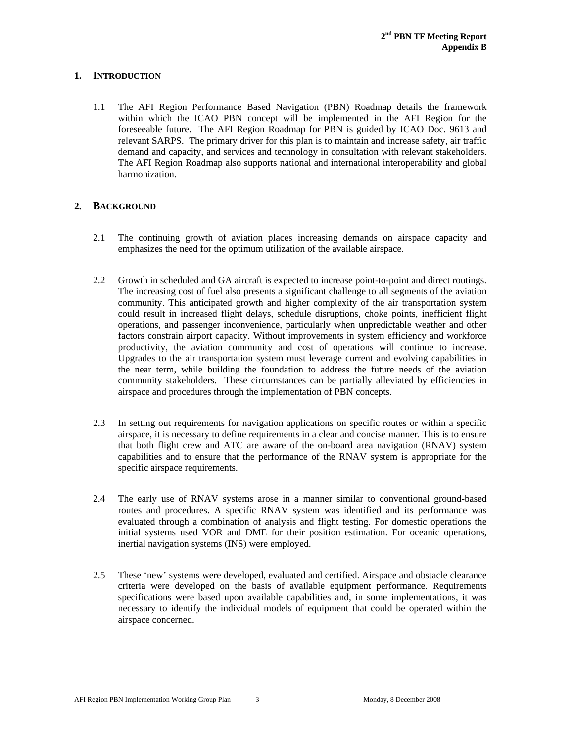### **1. INTRODUCTION**

1.1 The AFI Region Performance Based Navigation (PBN) Roadmap details the framework within which the ICAO PBN concept will be implemented in the AFI Region for the foreseeable future. The AFI Region Roadmap for PBN is guided by ICAO Doc. 9613 and relevant SARPS. The primary driver for this plan is to maintain and increase safety, air traffic demand and capacity, and services and technology in consultation with relevant stakeholders. The AFI Region Roadmap also supports national and international interoperability and global harmonization.

### **2. BACKGROUND**

- 2.1 The continuing growth of aviation places increasing demands on airspace capacity and emphasizes the need for the optimum utilization of the available airspace.
- 2.2 Growth in scheduled and GA aircraft is expected to increase point-to-point and direct routings. The increasing cost of fuel also presents a significant challenge to all segments of the aviation community. This anticipated growth and higher complexity of the air transportation system could result in increased flight delays, schedule disruptions, choke points, inefficient flight operations, and passenger inconvenience, particularly when unpredictable weather and other factors constrain airport capacity. Without improvements in system efficiency and workforce productivity, the aviation community and cost of operations will continue to increase. Upgrades to the air transportation system must leverage current and evolving capabilities in the near term, while building the foundation to address the future needs of the aviation community stakeholders. These circumstances can be partially alleviated by efficiencies in airspace and procedures through the implementation of PBN concepts.
- 2.3 In setting out requirements for navigation applications on specific routes or within a specific airspace, it is necessary to define requirements in a clear and concise manner. This is to ensure that both flight crew and ATC are aware of the on-board area navigation (RNAV) system capabilities and to ensure that the performance of the RNAV system is appropriate for the specific airspace requirements.
- 2.4 The early use of RNAV systems arose in a manner similar to conventional ground-based routes and procedures. A specific RNAV system was identified and its performance was evaluated through a combination of analysis and flight testing. For domestic operations the initial systems used VOR and DME for their position estimation. For oceanic operations, inertial navigation systems (INS) were employed.
- 2.5 These 'new' systems were developed, evaluated and certified. Airspace and obstacle clearance criteria were developed on the basis of available equipment performance. Requirements specifications were based upon available capabilities and, in some implementations, it was necessary to identify the individual models of equipment that could be operated within the airspace concerned.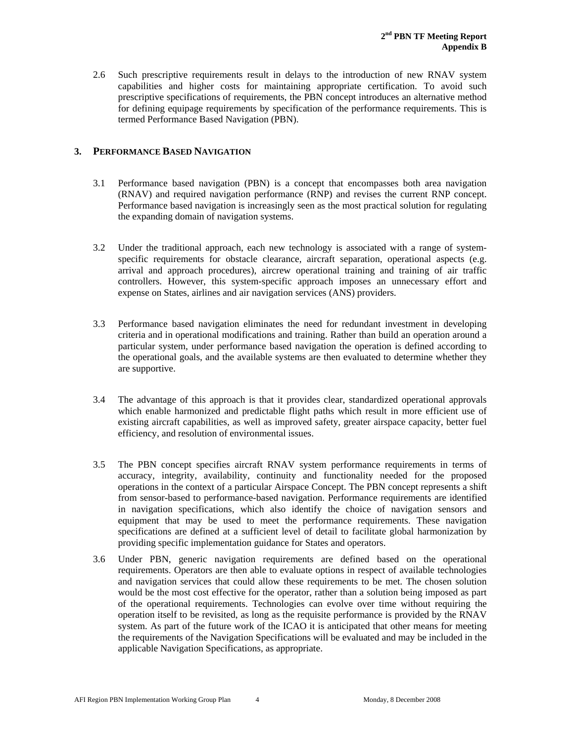2.6 Such prescriptive requirements result in delays to the introduction of new RNAV system capabilities and higher costs for maintaining appropriate certification. To avoid such prescriptive specifications of requirements, the PBN concept introduces an alternative method for defining equipage requirements by specification of the performance requirements. This is termed Performance Based Navigation (PBN).

### **3. PERFORMANCE BASED NAVIGATION**

- 3.1 Performance based navigation (PBN) is a concept that encompasses both area navigation (RNAV) and required navigation performance (RNP) and revises the current RNP concept. Performance based navigation is increasingly seen as the most practical solution for regulating the expanding domain of navigation systems.
- 3.2 Under the traditional approach, each new technology is associated with a range of systemspecific requirements for obstacle clearance, aircraft separation, operational aspects (e.g. arrival and approach procedures), aircrew operational training and training of air traffic controllers. However, this system-specific approach imposes an unnecessary effort and expense on States, airlines and air navigation services (ANS) providers.
- 3.3 Performance based navigation eliminates the need for redundant investment in developing criteria and in operational modifications and training. Rather than build an operation around a particular system, under performance based navigation the operation is defined according to the operational goals, and the available systems are then evaluated to determine whether they are supportive.
- 3.4 The advantage of this approach is that it provides clear, standardized operational approvals which enable harmonized and predictable flight paths which result in more efficient use of existing aircraft capabilities, as well as improved safety, greater airspace capacity, better fuel efficiency, and resolution of environmental issues.
- 3.5 The PBN concept specifies aircraft RNAV system performance requirements in terms of accuracy, integrity, availability, continuity and functionality needed for the proposed operations in the context of a particular Airspace Concept. The PBN concept represents a shift from sensor-based to performance-based navigation. Performance requirements are identified in navigation specifications, which also identify the choice of navigation sensors and equipment that may be used to meet the performance requirements. These navigation specifications are defined at a sufficient level of detail to facilitate global harmonization by providing specific implementation guidance for States and operators.
- 3.6 Under PBN, generic navigation requirements are defined based on the operational requirements. Operators are then able to evaluate options in respect of available technologies and navigation services that could allow these requirements to be met. The chosen solution would be the most cost effective for the operator, rather than a solution being imposed as part of the operational requirements. Technologies can evolve over time without requiring the operation itself to be revisited, as long as the requisite performance is provided by the RNAV system. As part of the future work of the ICAO it is anticipated that other means for meeting the requirements of the Navigation Specifications will be evaluated and may be included in the applicable Navigation Specifications, as appropriate.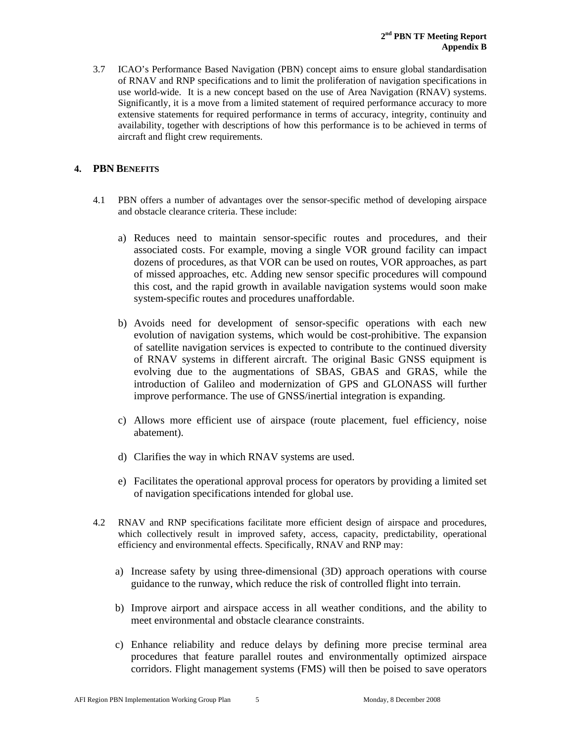3.7 ICAO's Performance Based Navigation (PBN) concept aims to ensure global standardisation of RNAV and RNP specifications and to limit the proliferation of navigation specifications in use world-wide. It is a new concept based on the use of Area Navigation (RNAV) systems. Significantly, it is a move from a limited statement of required performance accuracy to more extensive statements for required performance in terms of accuracy, integrity, continuity and availability, together with descriptions of how this performance is to be achieved in terms of aircraft and flight crew requirements.

### **4. PBN BENEFITS**

- 4.1 PBN offers a number of advantages over the sensor-specific method of developing airspace and obstacle clearance criteria. These include:
	- a) Reduces need to maintain sensor-specific routes and procedures, and their associated costs. For example, moving a single VOR ground facility can impact dozens of procedures, as that VOR can be used on routes, VOR approaches, as part of missed approaches, etc. Adding new sensor specific procedures will compound this cost, and the rapid growth in available navigation systems would soon make system-specific routes and procedures unaffordable.
	- b) Avoids need for development of sensor-specific operations with each new evolution of navigation systems, which would be cost-prohibitive. The expansion of satellite navigation services is expected to contribute to the continued diversity of RNAV systems in different aircraft. The original Basic GNSS equipment is evolving due to the augmentations of SBAS, GBAS and GRAS, while the introduction of Galileo and modernization of GPS and GLONASS will further improve performance. The use of GNSS/inertial integration is expanding.
	- c) Allows more efficient use of airspace (route placement, fuel efficiency, noise abatement).
	- d) Clarifies the way in which RNAV systems are used.
	- e) Facilitates the operational approval process for operators by providing a limited set of navigation specifications intended for global use.
- 4.2 RNAV and RNP specifications facilitate more efficient design of airspace and procedures, which collectively result in improved safety, access, capacity, predictability, operational efficiency and environmental effects. Specifically, RNAV and RNP may:
	- a) Increase safety by using three-dimensional (3D) approach operations with course guidance to the runway, which reduce the risk of controlled flight into terrain.
	- b) Improve airport and airspace access in all weather conditions, and the ability to meet environmental and obstacle clearance constraints.
	- c) Enhance reliability and reduce delays by defining more precise terminal area procedures that feature parallel routes and environmentally optimized airspace corridors. Flight management systems (FMS) will then be poised to save operators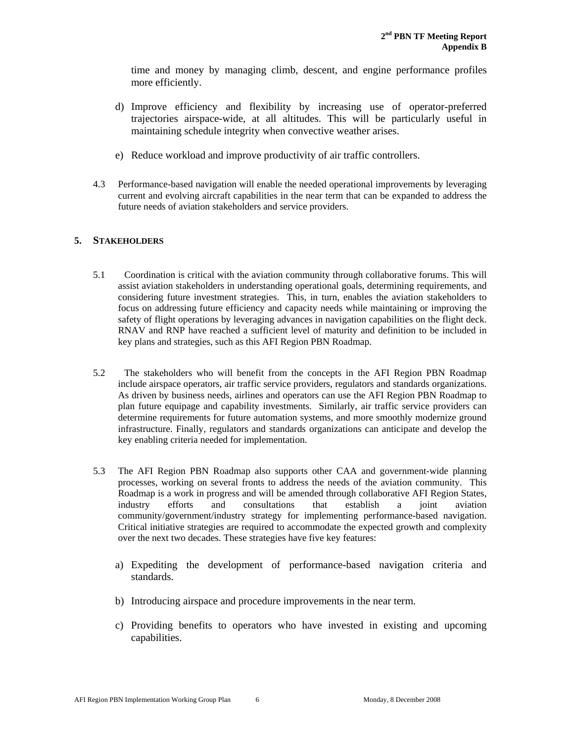time and money by managing climb, descent, and engine performance profiles more efficiently.

- d) Improve efficiency and flexibility by increasing use of operator-preferred trajectories airspace-wide, at all altitudes. This will be particularly useful in maintaining schedule integrity when convective weather arises.
- e) Reduce workload and improve productivity of air traffic controllers.
- 4.3 Performance-based navigation will enable the needed operational improvements by leveraging current and evolving aircraft capabilities in the near term that can be expanded to address the future needs of aviation stakeholders and service providers.

### **5. STAKEHOLDERS**

- 5.1 Coordination is critical with the aviation community through collaborative forums. This will assist aviation stakeholders in understanding operational goals, determining requirements, and considering future investment strategies. This, in turn, enables the aviation stakeholders to focus on addressing future efficiency and capacity needs while maintaining or improving the safety of flight operations by leveraging advances in navigation capabilities on the flight deck. RNAV and RNP have reached a sufficient level of maturity and definition to be included in key plans and strategies, such as this AFI Region PBN Roadmap.
- 5.2 The stakeholders who will benefit from the concepts in the AFI Region PBN Roadmap include airspace operators, air traffic service providers, regulators and standards organizations. As driven by business needs, airlines and operators can use the AFI Region PBN Roadmap to plan future equipage and capability investments. Similarly, air traffic service providers can determine requirements for future automation systems, and more smoothly modernize ground infrastructure. Finally, regulators and standards organizations can anticipate and develop the key enabling criteria needed for implementation.
- 5.3 The AFI Region PBN Roadmap also supports other CAA and government-wide planning processes, working on several fronts to address the needs of the aviation community. This Roadmap is a work in progress and will be amended through collaborative AFI Region States, industry efforts and consultations that establish a joint aviation community/government/industry strategy for implementing performance-based navigation. Critical initiative strategies are required to accommodate the expected growth and complexity over the next two decades. These strategies have five key features:
	- a) Expediting the development of performance-based navigation criteria and standards.
	- b) Introducing airspace and procedure improvements in the near term.
	- c) Providing benefits to operators who have invested in existing and upcoming capabilities.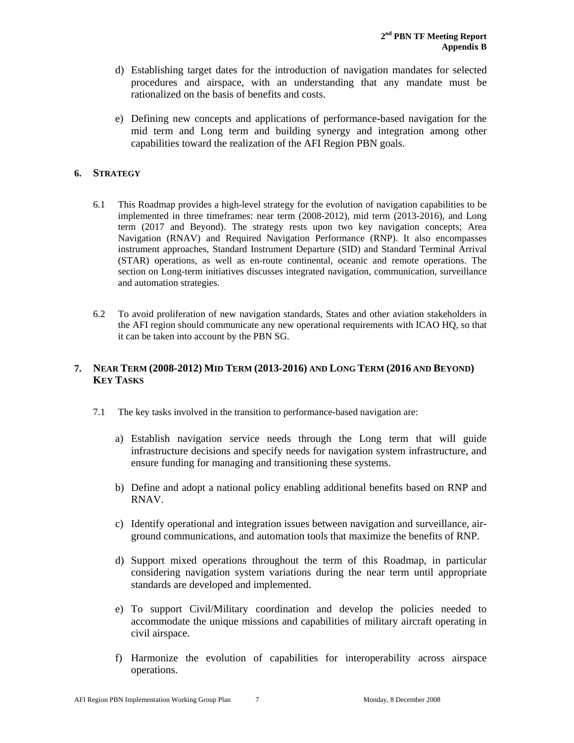- d) Establishing target dates for the introduction of navigation mandates for selected procedures and airspace, with an understanding that any mandate must be rationalized on the basis of benefits and costs.
- e) Defining new concepts and applications of performance-based navigation for the mid term and Long term and building synergy and integration among other capabilities toward the realization of the AFI Region PBN goals.

### **6. STRATEGY**

- 6.1 This Roadmap provides a high-level strategy for the evolution of navigation capabilities to be implemented in three timeframes: near term (2008-2012), mid term (2013-2016), and Long term (2017 and Beyond). The strategy rests upon two key navigation concepts; Area Navigation (RNAV) and Required Navigation Performance (RNP). It also encompasses instrument approaches, Standard Instrument Departure (SID) and Standard Terminal Arrival (STAR) operations, as well as en-route continental, oceanic and remote operations. The section on Long-term initiatives discusses integrated navigation, communication, surveillance and automation strategies.
- 6.2 To avoid proliferation of new navigation standards, States and other aviation stakeholders in the AFI region should communicate any new operational requirements with ICAO HQ, so that it can be taken into account by the PBN SG.

### **7. NEAR TERM (2008-2012) MID TERM (2013-2016) AND LONG TERM (2016 AND BEYOND) KEY TASKS**

- 7.1 The key tasks involved in the transition to performance-based navigation are:
	- a) Establish navigation service needs through the Long term that will guide infrastructure decisions and specify needs for navigation system infrastructure, and ensure funding for managing and transitioning these systems.
	- b) Define and adopt a national policy enabling additional benefits based on RNP and RNAV.
	- c) Identify operational and integration issues between navigation and surveillance, airground communications, and automation tools that maximize the benefits of RNP.
	- d) Support mixed operations throughout the term of this Roadmap, in particular considering navigation system variations during the near term until appropriate standards are developed and implemented.
	- e) To support Civil/Military coordination and develop the policies needed to accommodate the unique missions and capabilities of military aircraft operating in civil airspace.
	- f) Harmonize the evolution of capabilities for interoperability across airspace operations.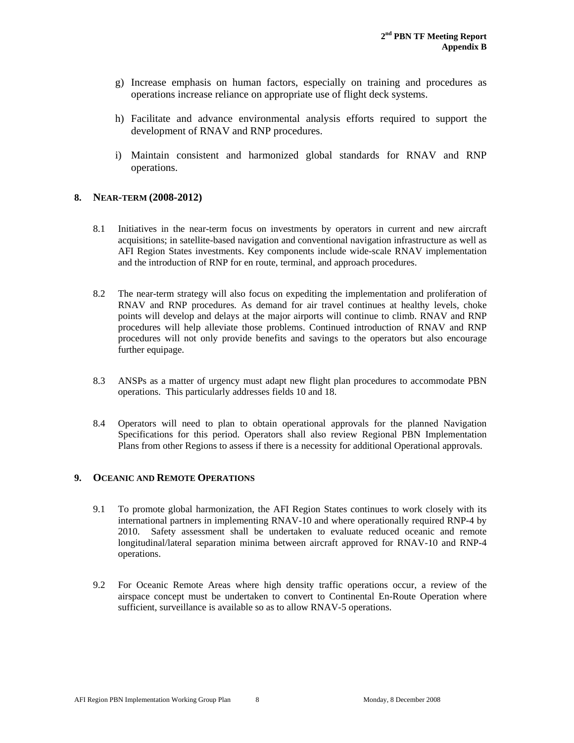- g) Increase emphasis on human factors, especially on training and procedures as operations increase reliance on appropriate use of flight deck systems.
- h) Facilitate and advance environmental analysis efforts required to support the development of RNAV and RNP procedures.
- i) Maintain consistent and harmonized global standards for RNAV and RNP operations.

#### **8. NEAR-TERM (2008-2012)**

- 8.1 Initiatives in the near-term focus on investments by operators in current and new aircraft acquisitions; in satellite-based navigation and conventional navigation infrastructure as well as AFI Region States investments. Key components include wide-scale RNAV implementation and the introduction of RNP for en route, terminal, and approach procedures.
- 8.2 The near-term strategy will also focus on expediting the implementation and proliferation of RNAV and RNP procedures. As demand for air travel continues at healthy levels, choke points will develop and delays at the major airports will continue to climb. RNAV and RNP procedures will help alleviate those problems. Continued introduction of RNAV and RNP procedures will not only provide benefits and savings to the operators but also encourage further equipage.
- 8.3 ANSPs as a matter of urgency must adapt new flight plan procedures to accommodate PBN operations. This particularly addresses fields 10 and 18.
- 8.4 Operators will need to plan to obtain operational approvals for the planned Navigation Specifications for this period. Operators shall also review Regional PBN Implementation Plans from other Regions to assess if there is a necessity for additional Operational approvals.

#### **9. OCEANIC AND REMOTE OPERATIONS**

- 9.1 To promote global harmonization, the AFI Region States continues to work closely with its international partners in implementing RNAV-10 and where operationally required RNP-4 by 2010. Safety assessment shall be undertaken to evaluate reduced oceanic and remote longitudinal/lateral separation minima between aircraft approved for RNAV-10 and RNP-4 operations.
- 9.2 For Oceanic Remote Areas where high density traffic operations occur, a review of the airspace concept must be undertaken to convert to Continental En-Route Operation where sufficient, surveillance is available so as to allow RNAV-5 operations.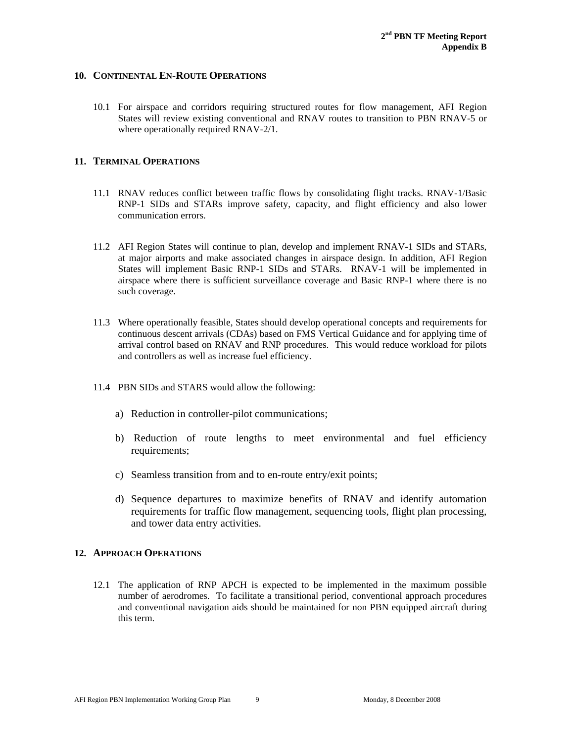### **10. CONTINENTAL EN-ROUTE OPERATIONS**

10.1 For airspace and corridors requiring structured routes for flow management, AFI Region States will review existing conventional and RNAV routes to transition to PBN RNAV-5 or where operationally required RNAV-2/1.

#### **11. TERMINAL OPERATIONS**

- 11.1 RNAV reduces conflict between traffic flows by consolidating flight tracks. RNAV-1/Basic RNP-1 SIDs and STARs improve safety, capacity, and flight efficiency and also lower communication errors.
- 11.2 AFI Region States will continue to plan, develop and implement RNAV-1 SIDs and STARs, at major airports and make associated changes in airspace design. In addition, AFI Region States will implement Basic RNP-1 SIDs and STARs. RNAV-1 will be implemented in airspace where there is sufficient surveillance coverage and Basic RNP-1 where there is no such coverage.
- 11.3 Where operationally feasible, States should develop operational concepts and requirements for continuous descent arrivals (CDAs) based on FMS Vertical Guidance and for applying time of arrival control based on RNAV and RNP procedures. This would reduce workload for pilots and controllers as well as increase fuel efficiency.
- 11.4 PBN SIDs and STARS would allow the following:
	- a) Reduction in controller-pilot communications;
	- b) Reduction of route lengths to meet environmental and fuel efficiency requirements;
	- c) Seamless transition from and to en-route entry/exit points;
	- d) Sequence departures to maximize benefits of RNAV and identify automation requirements for traffic flow management, sequencing tools, flight plan processing, and tower data entry activities.

#### **12. APPROACH OPERATIONS**

12.1 The application of RNP APCH is expected to be implemented in the maximum possible number of aerodromes. To facilitate a transitional period, conventional approach procedures and conventional navigation aids should be maintained for non PBN equipped aircraft during this term.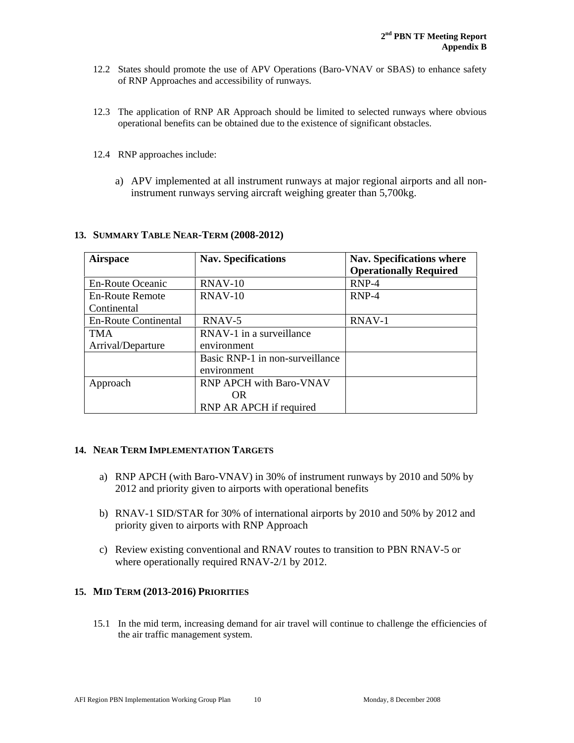- 12.2 States should promote the use of APV Operations (Baro-VNAV or SBAS) to enhance safety of RNP Approaches and accessibility of runways.
- 12.3 The application of RNP AR Approach should be limited to selected runways where obvious operational benefits can be obtained due to the existence of significant obstacles.
- 12.4 RNP approaches include:
	- a) APV implemented at all instrument runways at major regional airports and all noninstrument runways serving aircraft weighing greater than 5,700kg.

| <b>Airspace</b>             | <b>Nav. Specifications</b>      | <b>Nav.</b> Specifications where<br><b>Operationally Required</b> |
|-----------------------------|---------------------------------|-------------------------------------------------------------------|
| En-Route Oceanic            | $RNAV-10$                       | $RNP-4$                                                           |
| En-Route Remote             | $RNAV-10$                       | $RNP-4$                                                           |
| Continental                 |                                 |                                                                   |
| <b>En-Route Continental</b> | RNAV-5                          | RNAV-1                                                            |
| <b>TMA</b>                  | RNAV-1 in a surveillance        |                                                                   |
| Arrival/Departure           | environment                     |                                                                   |
|                             | Basic RNP-1 in non-surveillance |                                                                   |
|                             | environment                     |                                                                   |
| Approach                    | <b>RNP APCH with Baro-VNAV</b>  |                                                                   |
|                             | OR.                             |                                                                   |
|                             | RNP AR APCH if required         |                                                                   |

### **13. SUMMARY TABLE NEAR-TERM (2008-2012)**

#### **14. NEAR TERM IMPLEMENTATION TARGETS**

- a) RNP APCH (with Baro-VNAV) in 30% of instrument runways by 2010 and 50% by 2012 and priority given to airports with operational benefits
- b) RNAV-1 SID/STAR for 30% of international airports by 2010 and 50% by 2012 and priority given to airports with RNP Approach
- c) Review existing conventional and RNAV routes to transition to PBN RNAV-5 or where operationally required RNAV-2/1 by 2012.

#### **15. MID TERM (2013-2016) PRIORITIES**

15.1 In the mid term, increasing demand for air travel will continue to challenge the efficiencies of the air traffic management system.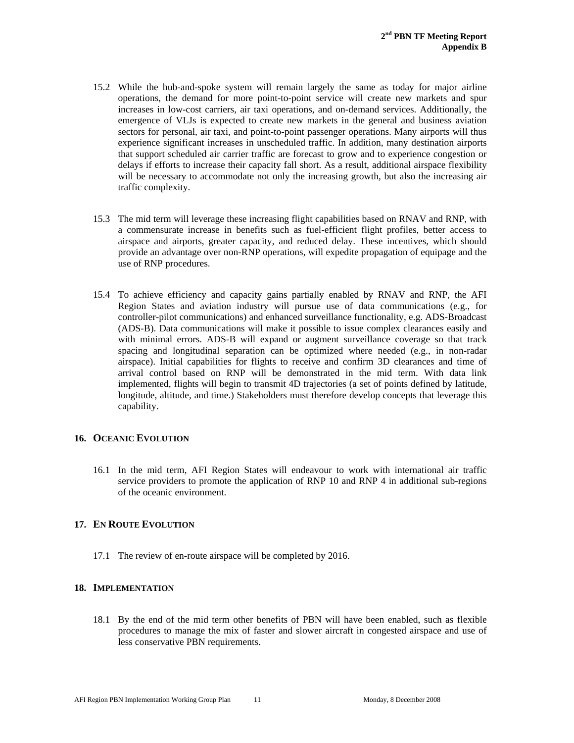- 15.2 While the hub-and-spoke system will remain largely the same as today for major airline operations, the demand for more point-to-point service will create new markets and spur increases in low-cost carriers, air taxi operations, and on-demand services. Additionally, the emergence of VLJs is expected to create new markets in the general and business aviation sectors for personal, air taxi, and point-to-point passenger operations. Many airports will thus experience significant increases in unscheduled traffic. In addition, many destination airports that support scheduled air carrier traffic are forecast to grow and to experience congestion or delays if efforts to increase their capacity fall short. As a result, additional airspace flexibility will be necessary to accommodate not only the increasing growth, but also the increasing air traffic complexity.
- 15.3 The mid term will leverage these increasing flight capabilities based on RNAV and RNP, with a commensurate increase in benefits such as fuel-efficient flight profiles, better access to airspace and airports, greater capacity, and reduced delay. These incentives, which should provide an advantage over non-RNP operations, will expedite propagation of equipage and the use of RNP procedures.
- 15.4 To achieve efficiency and capacity gains partially enabled by RNAV and RNP, the AFI Region States and aviation industry will pursue use of data communications (e.g., for controller-pilot communications) and enhanced surveillance functionality, e.g. ADS-Broadcast (ADS-B). Data communications will make it possible to issue complex clearances easily and with minimal errors. ADS-B will expand or augment surveillance coverage so that track spacing and longitudinal separation can be optimized where needed (e.g., in non-radar airspace). Initial capabilities for flights to receive and confirm 3D clearances and time of arrival control based on RNP will be demonstrated in the mid term. With data link implemented, flights will begin to transmit 4D trajectories (a set of points defined by latitude, longitude, altitude, and time.) Stakeholders must therefore develop concepts that leverage this capability.

#### **16. OCEANIC EVOLUTION**

16.1 In the mid term, AFI Region States will endeavour to work with international air traffic service providers to promote the application of RNP 10 and RNP 4 in additional sub-regions of the oceanic environment.

### **17. EN ROUTE EVOLUTION**

17.1 The review of en-route airspace will be completed by 2016.

### **18. IMPLEMENTATION**

18.1 By the end of the mid term other benefits of PBN will have been enabled, such as flexible procedures to manage the mix of faster and slower aircraft in congested airspace and use of less conservative PBN requirements.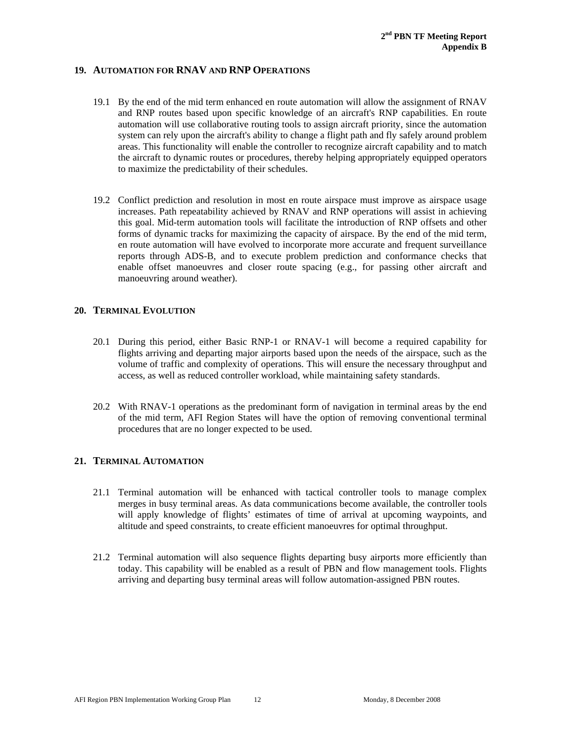### **19. AUTOMATION FOR RNAV AND RNP OPERATIONS**

- 19.1 By the end of the mid term enhanced en route automation will allow the assignment of RNAV and RNP routes based upon specific knowledge of an aircraft's RNP capabilities. En route automation will use collaborative routing tools to assign aircraft priority, since the automation system can rely upon the aircraft's ability to change a flight path and fly safely around problem areas. This functionality will enable the controller to recognize aircraft capability and to match the aircraft to dynamic routes or procedures, thereby helping appropriately equipped operators to maximize the predictability of their schedules.
- 19.2 Conflict prediction and resolution in most en route airspace must improve as airspace usage increases. Path repeatability achieved by RNAV and RNP operations will assist in achieving this goal. Mid-term automation tools will facilitate the introduction of RNP offsets and other forms of dynamic tracks for maximizing the capacity of airspace. By the end of the mid term, en route automation will have evolved to incorporate more accurate and frequent surveillance reports through ADS-B, and to execute problem prediction and conformance checks that enable offset manoeuvres and closer route spacing (e.g., for passing other aircraft and manoeuvring around weather).

### **20. TERMINAL EVOLUTION**

- 20.1 During this period, either Basic RNP-1 or RNAV-1 will become a required capability for flights arriving and departing major airports based upon the needs of the airspace, such as the volume of traffic and complexity of operations. This will ensure the necessary throughput and access, as well as reduced controller workload, while maintaining safety standards.
- 20.2 With RNAV-1 operations as the predominant form of navigation in terminal areas by the end of the mid term, AFI Region States will have the option of removing conventional terminal procedures that are no longer expected to be used.

### **21. TERMINAL AUTOMATION**

- 21.1 Terminal automation will be enhanced with tactical controller tools to manage complex merges in busy terminal areas. As data communications become available, the controller tools will apply knowledge of flights' estimates of time of arrival at upcoming waypoints, and altitude and speed constraints, to create efficient manoeuvres for optimal throughput.
- 21.2 Terminal automation will also sequence flights departing busy airports more efficiently than today. This capability will be enabled as a result of PBN and flow management tools. Flights arriving and departing busy terminal areas will follow automation-assigned PBN routes.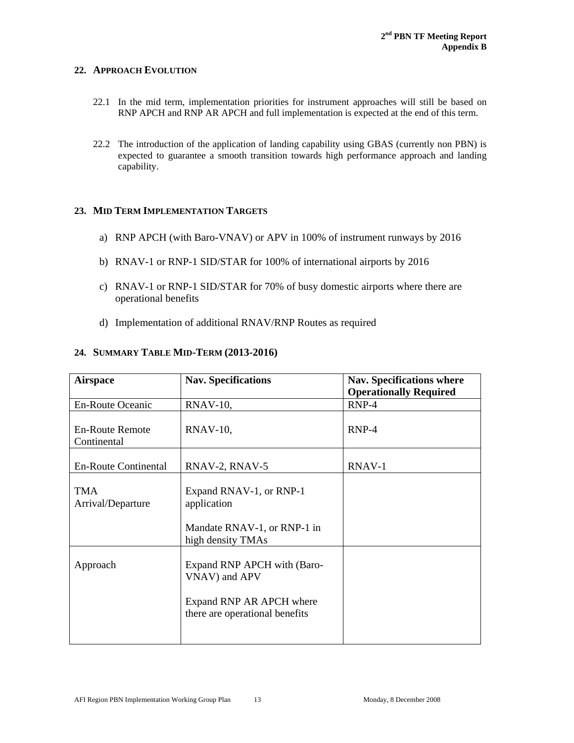### **22. APPROACH EVOLUTION**

- 22.1 In the mid term, implementation priorities for instrument approaches will still be based on RNP APCH and RNP AR APCH and full implementation is expected at the end of this term.
- 22.2 The introduction of the application of landing capability using GBAS (currently non PBN) is expected to guarantee a smooth transition towards high performance approach and landing capability.

### **23. MID TERM IMPLEMENTATION TARGETS**

- a) RNP APCH (with Baro-VNAV) or APV in 100% of instrument runways by 2016
- b) RNAV-1 or RNP-1 SID/STAR for 100% of international airports by 2016
- c) RNAV-1 or RNP-1 SID/STAR for 70% of busy domestic airports where there are operational benefits
- d) Implementation of additional RNAV/RNP Routes as required

### **24. SUMMARY TABLE MID-TERM (2013-2016)**

| <b>Airspace</b>                       | <b>Nav. Specifications</b>                                                                                                      | <b>Nav. Specifications where</b><br><b>Operationally Required</b> |
|---------------------------------------|---------------------------------------------------------------------------------------------------------------------------------|-------------------------------------------------------------------|
| En-Route Oceanic                      | $RNAV-10$ ,                                                                                                                     | $RNP-4$                                                           |
| <b>En-Route Remote</b><br>Continental | RNAV-10,                                                                                                                        | $RNP-4$                                                           |
| <b>En-Route Continental</b>           | RNAV-2, RNAV-5                                                                                                                  | RNAV-1                                                            |
| <b>TMA</b><br>Arrival/Departure       | Expand RNAV-1, or RNP-1<br>application<br>Mandate RNAV-1, or RNP-1 in                                                           |                                                                   |
| Approach                              | high density TMAs<br>Expand RNP APCH with (Baro-<br>VNAV) and APV<br>Expand RNP AR APCH where<br>there are operational benefits |                                                                   |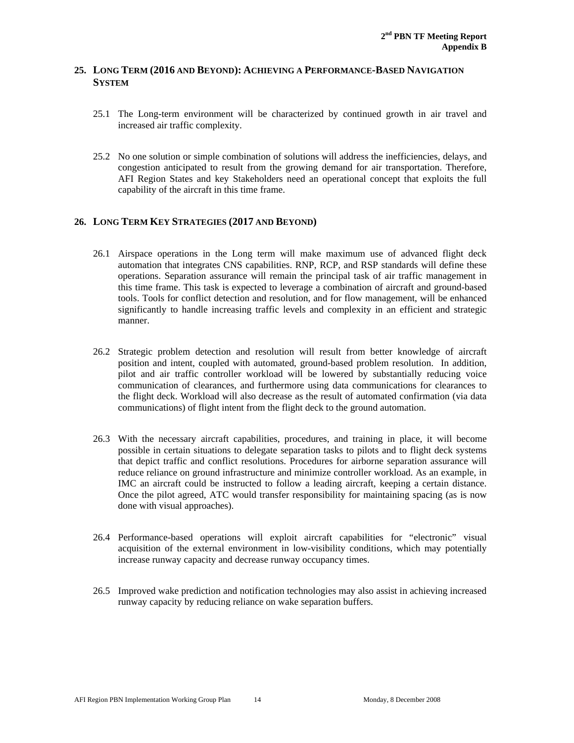### **25. LONG TERM (2016 AND BEYOND): ACHIEVING A PERFORMANCE-BASED NAVIGATION SYSTEM**

- 25.1 The Long-term environment will be characterized by continued growth in air travel and increased air traffic complexity.
- 25.2 No one solution or simple combination of solutions will address the inefficiencies, delays, and congestion anticipated to result from the growing demand for air transportation. Therefore, AFI Region States and key Stakeholders need an operational concept that exploits the full capability of the aircraft in this time frame.

### **26. LONG TERM KEY STRATEGIES (2017 AND BEYOND)**

- 26.1 Airspace operations in the Long term will make maximum use of advanced flight deck automation that integrates CNS capabilities. RNP, RCP, and RSP standards will define these operations. Separation assurance will remain the principal task of air traffic management in this time frame. This task is expected to leverage a combination of aircraft and ground-based tools. Tools for conflict detection and resolution, and for flow management, will be enhanced significantly to handle increasing traffic levels and complexity in an efficient and strategic manner.
- 26.2 Strategic problem detection and resolution will result from better knowledge of aircraft position and intent, coupled with automated, ground-based problem resolution. In addition, pilot and air traffic controller workload will be lowered by substantially reducing voice communication of clearances, and furthermore using data communications for clearances to the flight deck. Workload will also decrease as the result of automated confirmation (via data communications) of flight intent from the flight deck to the ground automation.
- 26.3 With the necessary aircraft capabilities, procedures, and training in place, it will become possible in certain situations to delegate separation tasks to pilots and to flight deck systems that depict traffic and conflict resolutions. Procedures for airborne separation assurance will reduce reliance on ground infrastructure and minimize controller workload. As an example, in IMC an aircraft could be instructed to follow a leading aircraft, keeping a certain distance. Once the pilot agreed, ATC would transfer responsibility for maintaining spacing (as is now done with visual approaches).
- 26.4 Performance-based operations will exploit aircraft capabilities for "electronic" visual acquisition of the external environment in low-visibility conditions, which may potentially increase runway capacity and decrease runway occupancy times.
- 26.5 Improved wake prediction and notification technologies may also assist in achieving increased runway capacity by reducing reliance on wake separation buffers.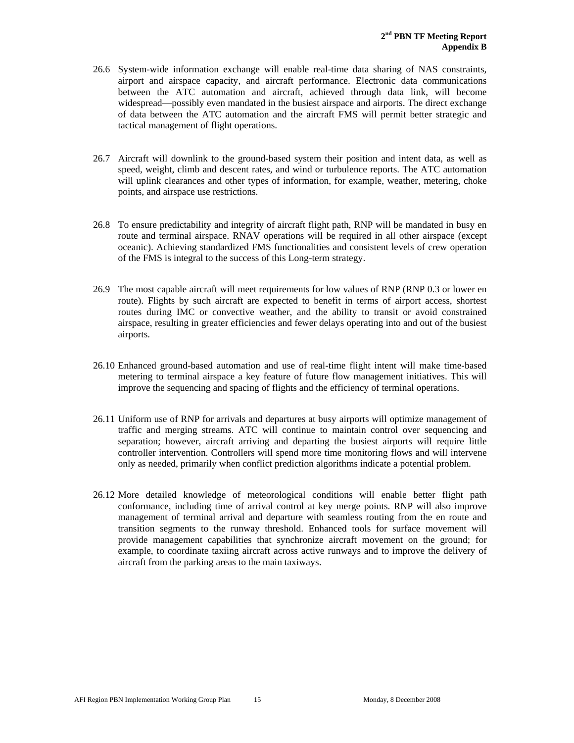- 26.6 System-wide information exchange will enable real-time data sharing of NAS constraints, airport and airspace capacity, and aircraft performance. Electronic data communications between the ATC automation and aircraft, achieved through data link, will become widespread—possibly even mandated in the busiest airspace and airports. The direct exchange of data between the ATC automation and the aircraft FMS will permit better strategic and tactical management of flight operations.
- 26.7 Aircraft will downlink to the ground-based system their position and intent data, as well as speed, weight, climb and descent rates, and wind or turbulence reports. The ATC automation will uplink clearances and other types of information, for example, weather, metering, choke points, and airspace use restrictions.
- 26.8 To ensure predictability and integrity of aircraft flight path, RNP will be mandated in busy en route and terminal airspace. RNAV operations will be required in all other airspace (except oceanic). Achieving standardized FMS functionalities and consistent levels of crew operation of the FMS is integral to the success of this Long-term strategy.
- 26.9 The most capable aircraft will meet requirements for low values of RNP (RNP 0.3 or lower en route). Flights by such aircraft are expected to benefit in terms of airport access, shortest routes during IMC or convective weather, and the ability to transit or avoid constrained airspace, resulting in greater efficiencies and fewer delays operating into and out of the busiest airports.
- 26.10 Enhanced ground-based automation and use of real-time flight intent will make time-based metering to terminal airspace a key feature of future flow management initiatives. This will improve the sequencing and spacing of flights and the efficiency of terminal operations.
- 26.11 Uniform use of RNP for arrivals and departures at busy airports will optimize management of traffic and merging streams. ATC will continue to maintain control over sequencing and separation; however, aircraft arriving and departing the busiest airports will require little controller intervention. Controllers will spend more time monitoring flows and will intervene only as needed, primarily when conflict prediction algorithms indicate a potential problem.
- 26.12 More detailed knowledge of meteorological conditions will enable better flight path conformance, including time of arrival control at key merge points. RNP will also improve management of terminal arrival and departure with seamless routing from the en route and transition segments to the runway threshold. Enhanced tools for surface movement will provide management capabilities that synchronize aircraft movement on the ground; for example, to coordinate taxiing aircraft across active runways and to improve the delivery of aircraft from the parking areas to the main taxiways.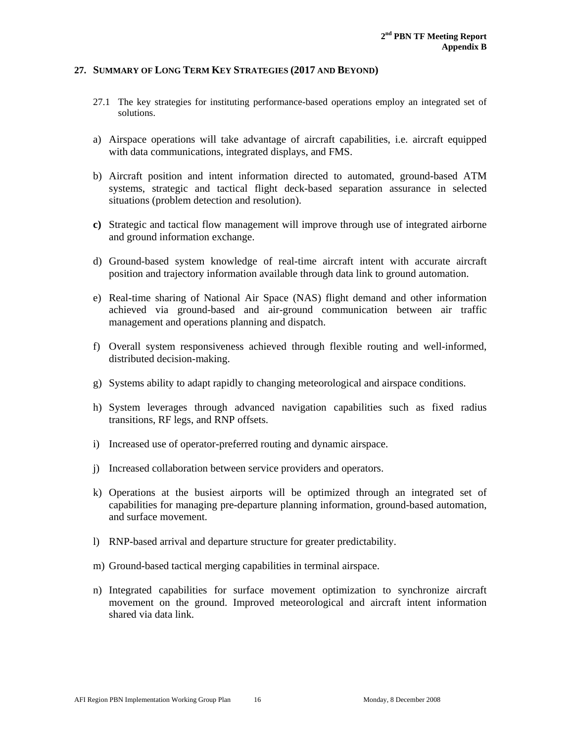#### **27. SUMMARY OF LONG TERM KEY STRATEGIES (2017 AND BEYOND)**

- 27.1 The key strategies for instituting performance-based operations employ an integrated set of solutions.
- a) Airspace operations will take advantage of aircraft capabilities, i.e. aircraft equipped with data communications, integrated displays, and FMS.
- b) Aircraft position and intent information directed to automated, ground-based ATM systems, strategic and tactical flight deck-based separation assurance in selected situations (problem detection and resolution).
- **c)** Strategic and tactical flow management will improve through use of integrated airborne and ground information exchange.
- d) Ground-based system knowledge of real-time aircraft intent with accurate aircraft position and trajectory information available through data link to ground automation.
- e) Real-time sharing of National Air Space (NAS) flight demand and other information achieved via ground-based and air-ground communication between air traffic management and operations planning and dispatch.
- f) Overall system responsiveness achieved through flexible routing and well-informed, distributed decision-making.
- g) Systems ability to adapt rapidly to changing meteorological and airspace conditions.
- h) System leverages through advanced navigation capabilities such as fixed radius transitions, RF legs, and RNP offsets.
- i) Increased use of operator-preferred routing and dynamic airspace.
- j) Increased collaboration between service providers and operators.
- k) Operations at the busiest airports will be optimized through an integrated set of capabilities for managing pre-departure planning information, ground-based automation, and surface movement.
- l) RNP-based arrival and departure structure for greater predictability.
- m) Ground-based tactical merging capabilities in terminal airspace.
- n) Integrated capabilities for surface movement optimization to synchronize aircraft movement on the ground. Improved meteorological and aircraft intent information shared via data link.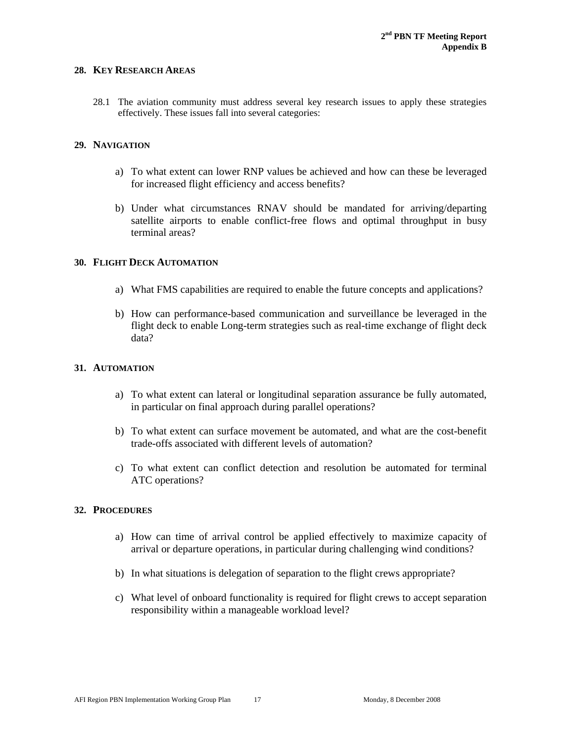#### **28. KEY RESEARCH AREAS**

28.1 The aviation community must address several key research issues to apply these strategies effectively. These issues fall into several categories:

#### **29. NAVIGATION**

- a) To what extent can lower RNP values be achieved and how can these be leveraged for increased flight efficiency and access benefits?
- b) Under what circumstances RNAV should be mandated for arriving/departing satellite airports to enable conflict-free flows and optimal throughput in busy terminal areas?

#### **30. FLIGHT DECK AUTOMATION**

- a) What FMS capabilities are required to enable the future concepts and applications?
- b) How can performance-based communication and surveillance be leveraged in the flight deck to enable Long-term strategies such as real-time exchange of flight deck data?

#### **31. AUTOMATION**

- a) To what extent can lateral or longitudinal separation assurance be fully automated, in particular on final approach during parallel operations?
- b) To what extent can surface movement be automated, and what are the cost-benefit trade-offs associated with different levels of automation?
- c) To what extent can conflict detection and resolution be automated for terminal ATC operations?

#### **32. PROCEDURES**

- a) How can time of arrival control be applied effectively to maximize capacity of arrival or departure operations, in particular during challenging wind conditions?
- b) In what situations is delegation of separation to the flight crews appropriate?
- c) What level of onboard functionality is required for flight crews to accept separation responsibility within a manageable workload level?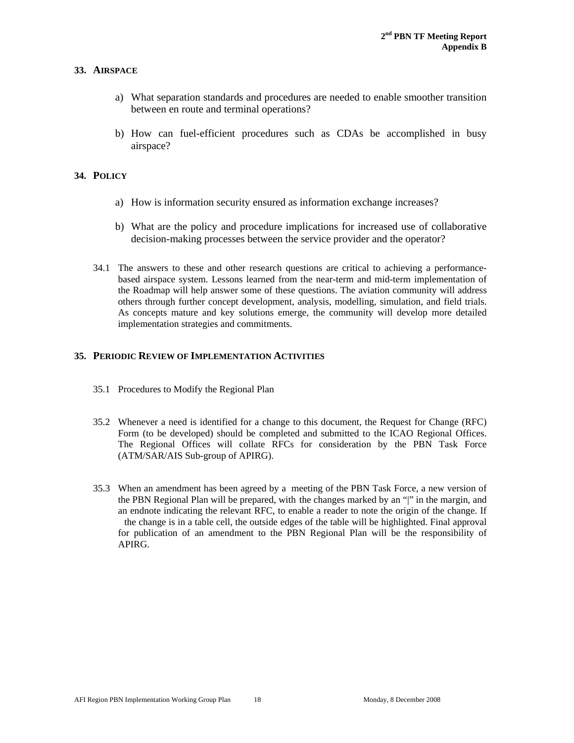#### **33. AIRSPACE**

- a) What separation standards and procedures are needed to enable smoother transition between en route and terminal operations?
- b) How can fuel-efficient procedures such as CDAs be accomplished in busy airspace?

#### **34. POLICY**

- a) How is information security ensured as information exchange increases?
- b) What are the policy and procedure implications for increased use of collaborative decision-making processes between the service provider and the operator?
- 34.1 The answers to these and other research questions are critical to achieving a performancebased airspace system. Lessons learned from the near-term and mid-term implementation of the Roadmap will help answer some of these questions. The aviation community will address others through further concept development, analysis, modelling, simulation, and field trials. As concepts mature and key solutions emerge, the community will develop more detailed implementation strategies and commitments.

#### **35. PERIODIC REVIEW OF IMPLEMENTATION ACTIVITIES**

- 35.1 Procedures to Modify the Regional Plan
- 35.2 Whenever a need is identified for a change to this document, the Request for Change (RFC) Form (to be developed) should be completed and submitted to the ICAO Regional Offices. The Regional Offices will collate RFCs for consideration by the PBN Task Force (ATM/SAR/AIS Sub-group of APIRG).
- 35.3 When an amendment has been agreed by a meeting of the PBN Task Force, a new version of the PBN Regional Plan will be prepared, with the changes marked by an "|" in the margin, and an endnote indicating the relevant RFC, to enable a reader to note the origin of the change. If the change is in a table cell, the outside edges of the table will be highlighted. Final approval for publication of an amendment to the PBN Regional Plan will be the responsibility of APIRG.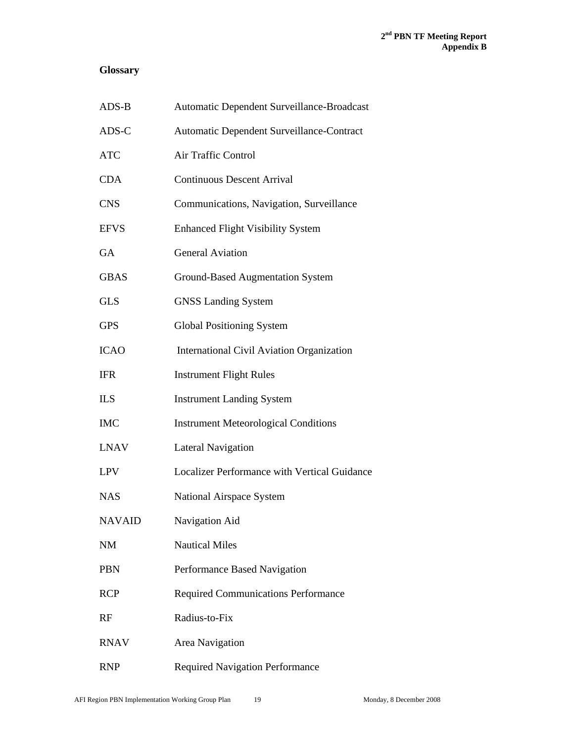## **Glossary**

| ADS-B         | Automatic Dependent Surveillance-Broadcast       |
|---------------|--------------------------------------------------|
| ADS-C         | Automatic Dependent Surveillance-Contract        |
| <b>ATC</b>    | Air Traffic Control                              |
| <b>CDA</b>    | <b>Continuous Descent Arrival</b>                |
| <b>CNS</b>    | Communications, Navigation, Surveillance         |
| <b>EFVS</b>   | <b>Enhanced Flight Visibility System</b>         |
| GA            | <b>General Aviation</b>                          |
| <b>GBAS</b>   | <b>Ground-Based Augmentation System</b>          |
| <b>GLS</b>    | <b>GNSS Landing System</b>                       |
| <b>GPS</b>    | <b>Global Positioning System</b>                 |
| <b>ICAO</b>   | <b>International Civil Aviation Organization</b> |
| IFR           | <b>Instrument Flight Rules</b>                   |
| ILS           | <b>Instrument Landing System</b>                 |
| <b>IMC</b>    | <b>Instrument Meteorological Conditions</b>      |
| <b>LNAV</b>   | <b>Lateral Navigation</b>                        |
| <b>LPV</b>    | Localizer Performance with Vertical Guidance     |
| <b>NAS</b>    | National Airspace System                         |
| <b>NAVAID</b> | Navigation Aid                                   |
| <b>NM</b>     | <b>Nautical Miles</b>                            |
| <b>PBN</b>    | Performance Based Navigation                     |
| <b>RCP</b>    | <b>Required Communications Performance</b>       |
| RF            | Radius-to-Fix                                    |
| <b>RNAV</b>   | Area Navigation                                  |
| <b>RNP</b>    | <b>Required Navigation Performance</b>           |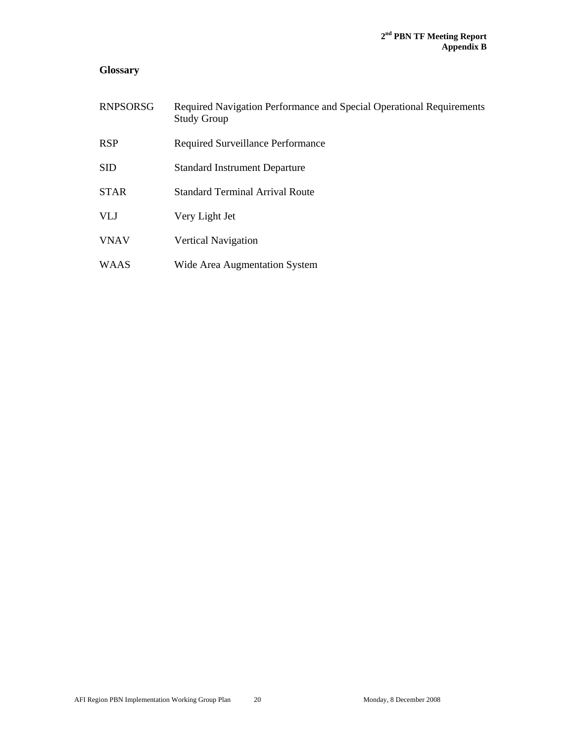## **Glossary**

| <b>RNPSORSG</b> | Required Navigation Performance and Special Operational Requirements<br><b>Study Group</b> |
|-----------------|--------------------------------------------------------------------------------------------|
| <b>RSP</b>      | Required Surveillance Performance                                                          |
| <b>SID</b>      | <b>Standard Instrument Departure</b>                                                       |
| <b>STAR</b>     | <b>Standard Terminal Arrival Route</b>                                                     |
| <b>VLJ</b>      | Very Light Jet                                                                             |
| <b>VNAV</b>     | <b>Vertical Navigation</b>                                                                 |
| <b>WAAS</b>     | Wide Area Augmentation System                                                              |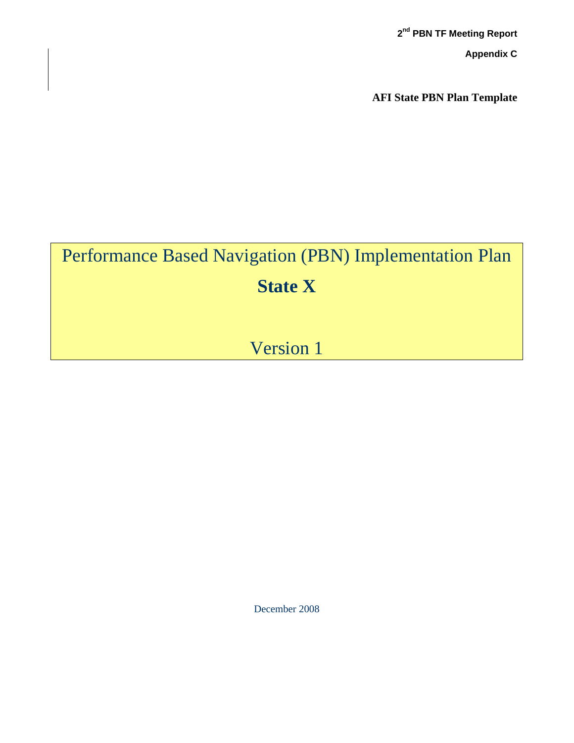**2nd PBN TF Meeting Report Appendix C**

**AFI State PBN Plan Template**

# Performance Based Navigation (PBN) Implementation Plan **State X**

## Version 1

December 2008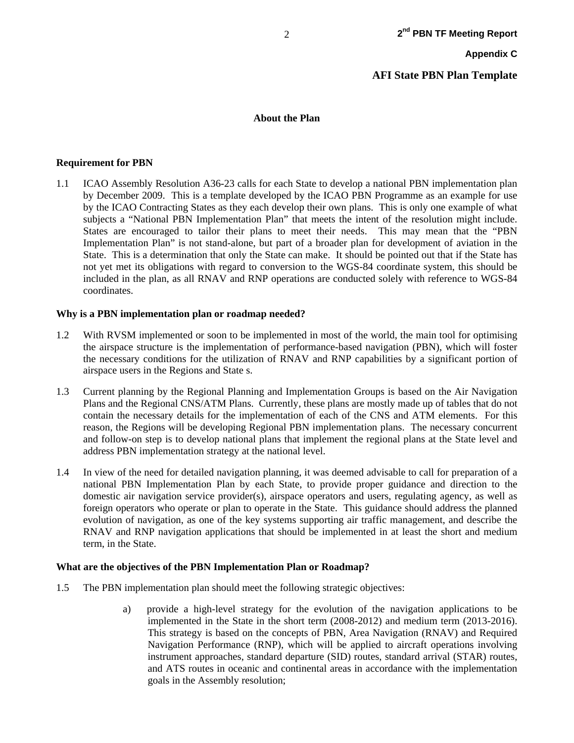#### **About the Plan**

#### **Requirement for PBN**

1.1 ICAO Assembly Resolution A36-23 calls for each State to develop a national PBN implementation plan by December 2009. This is a template developed by the ICAO PBN Programme as an example for use by the ICAO Contracting States as they each develop their own plans. This is only one example of what subjects a "National PBN Implementation Plan" that meets the intent of the resolution might include. States are encouraged to tailor their plans to meet their needs. This may mean that the "PBN Implementation Plan" is not stand-alone, but part of a broader plan for development of aviation in the State. This is a determination that only the State can make. It should be pointed out that if the State has not yet met its obligations with regard to conversion to the WGS-84 coordinate system, this should be included in the plan, as all RNAV and RNP operations are conducted solely with reference to WGS-84 coordinates.

#### **Why is a PBN implementation plan or roadmap needed?**

- 1.2 With RVSM implemented or soon to be implemented in most of the world, the main tool for optimising the airspace structure is the implementation of performance-based navigation (PBN), which will foster the necessary conditions for the utilization of RNAV and RNP capabilities by a significant portion of airspace users in the Regions and State s.
- 1.3 Current planning by the Regional Planning and Implementation Groups is based on the Air Navigation Plans and the Regional CNS/ATM Plans. Currently, these plans are mostly made up of tables that do not contain the necessary details for the implementation of each of the CNS and ATM elements. For this reason, the Regions will be developing Regional PBN implementation plans. The necessary concurrent and follow-on step is to develop national plans that implement the regional plans at the State level and address PBN implementation strategy at the national level.
- 1.4 In view of the need for detailed navigation planning, it was deemed advisable to call for preparation of a national PBN Implementation Plan by each State, to provide proper guidance and direction to the domestic air navigation service provider(s), airspace operators and users, regulating agency, as well as foreign operators who operate or plan to operate in the State. This guidance should address the planned evolution of navigation, as one of the key systems supporting air traffic management, and describe the RNAV and RNP navigation applications that should be implemented in at least the short and medium term, in the State.

#### **What are the objectives of the PBN Implementation Plan or Roadmap?**

- 1.5 The PBN implementation plan should meet the following strategic objectives:
	- a) provide a high-level strategy for the evolution of the navigation applications to be implemented in the State in the short term (2008-2012) and medium term (2013-2016). This strategy is based on the concepts of PBN, Area Navigation (RNAV) and Required Navigation Performance (RNP), which will be applied to aircraft operations involving instrument approaches, standard departure (SID) routes, standard arrival (STAR) routes, and ATS routes in oceanic and continental areas in accordance with the implementation goals in the Assembly resolution;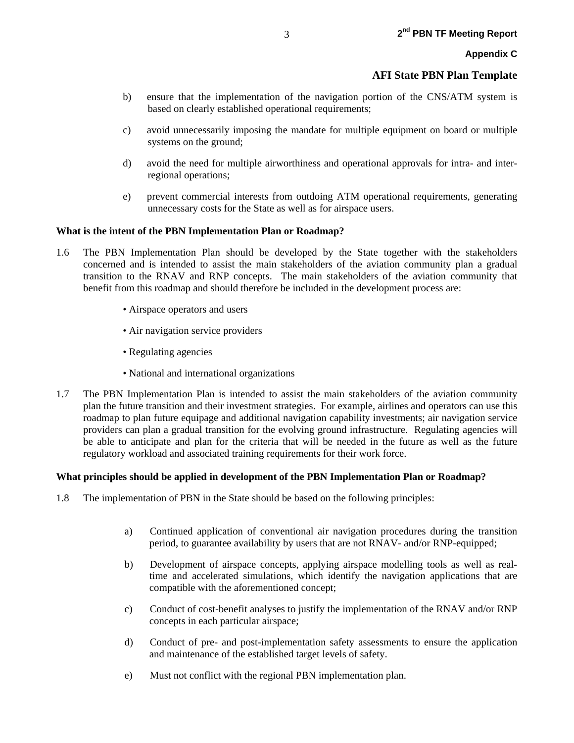- b) ensure that the implementation of the navigation portion of the CNS/ATM system is based on clearly established operational requirements;
- c) avoid unnecessarily imposing the mandate for multiple equipment on board or multiple systems on the ground;
- d) avoid the need for multiple airworthiness and operational approvals for intra- and interregional operations;
- e) prevent commercial interests from outdoing ATM operational requirements, generating unnecessary costs for the State as well as for airspace users.

#### **What is the intent of the PBN Implementation Plan or Roadmap?**

- 1.6 The PBN Implementation Plan should be developed by the State together with the stakeholders concerned and is intended to assist the main stakeholders of the aviation community plan a gradual transition to the RNAV and RNP concepts. The main stakeholders of the aviation community that benefit from this roadmap and should therefore be included in the development process are:
	- Airspace operators and users
	- Air navigation service providers
	- Regulating agencies
	- National and international organizations
- 1.7 The PBN Implementation Plan is intended to assist the main stakeholders of the aviation community plan the future transition and their investment strategies. For example, airlines and operators can use this roadmap to plan future equipage and additional navigation capability investments; air navigation service providers can plan a gradual transition for the evolving ground infrastructure. Regulating agencies will be able to anticipate and plan for the criteria that will be needed in the future as well as the future regulatory workload and associated training requirements for their work force.

#### **What principles should be applied in development of the PBN Implementation Plan or Roadmap?**

- 1.8 The implementation of PBN in the State should be based on the following principles:
	- a) Continued application of conventional air navigation procedures during the transition period, to guarantee availability by users that are not RNAV- and/or RNP-equipped;
	- b) Development of airspace concepts, applying airspace modelling tools as well as realtime and accelerated simulations, which identify the navigation applications that are compatible with the aforementioned concept;
	- c) Conduct of cost-benefit analyses to justify the implementation of the RNAV and/or RNP concepts in each particular airspace;
	- d) Conduct of pre- and post-implementation safety assessments to ensure the application and maintenance of the established target levels of safety.
	- e) Must not conflict with the regional PBN implementation plan.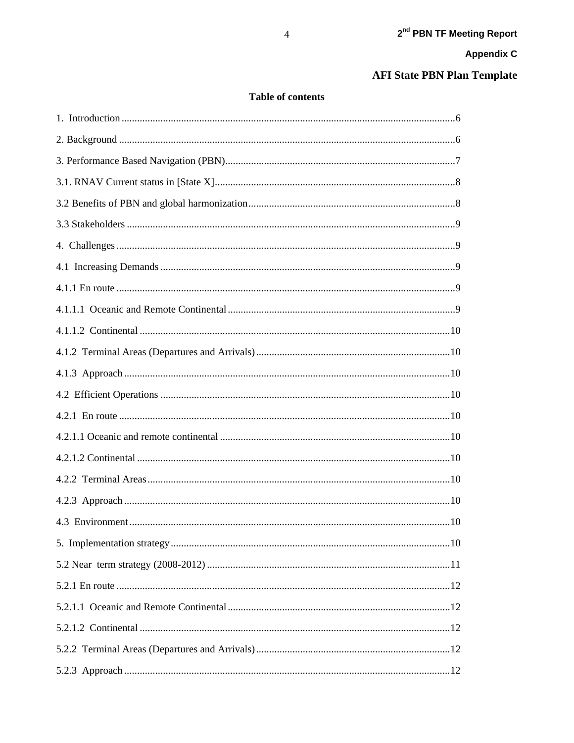## **AFI State PBN Plan Template**

## Table of contents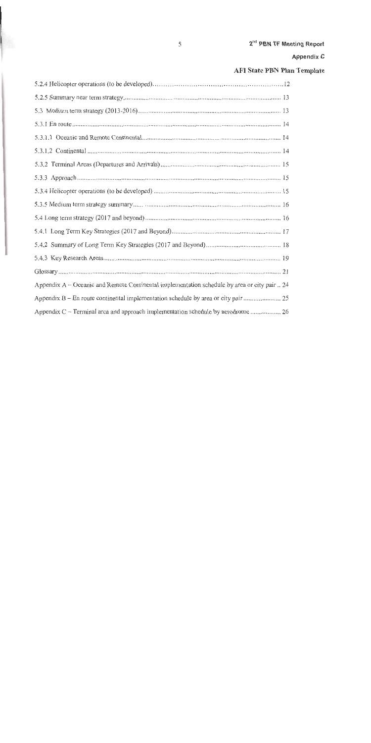## AFI State PBN Plan Template

| Appendix A – Oceanic and Remote Continental implementation schedule by area or city pair  24 |
|----------------------------------------------------------------------------------------------|
|                                                                                              |
| Appendix C – Terminal area and approach implementation schedule by aerodrome 26              |

ı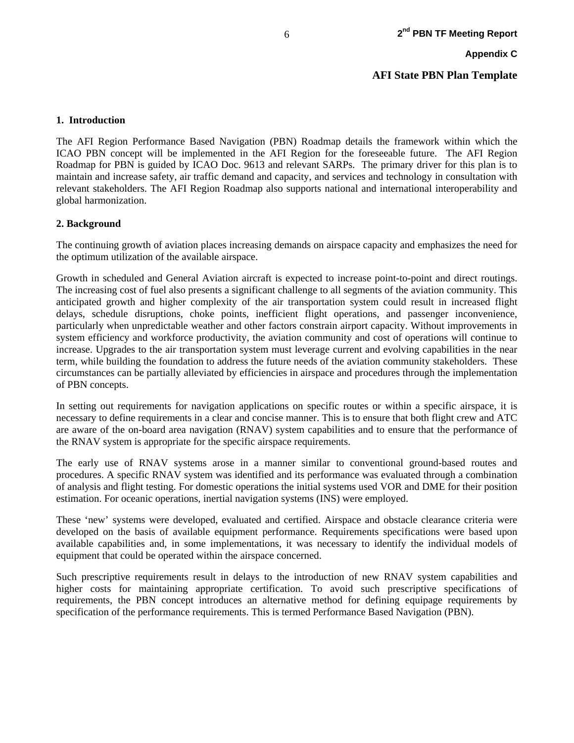## **AFI State PBN Plan Template**

#### **1. Introduction**

The AFI Region Performance Based Navigation (PBN) Roadmap details the framework within which the ICAO PBN concept will be implemented in the AFI Region for the foreseeable future. The AFI Region Roadmap for PBN is guided by ICAO Doc. 9613 and relevant SARPs. The primary driver for this plan is to maintain and increase safety, air traffic demand and capacity, and services and technology in consultation with relevant stakeholders. The AFI Region Roadmap also supports national and international interoperability and global harmonization.

#### **2. Background**

The continuing growth of aviation places increasing demands on airspace capacity and emphasizes the need for the optimum utilization of the available airspace.

Growth in scheduled and General Aviation aircraft is expected to increase point-to-point and direct routings. The increasing cost of fuel also presents a significant challenge to all segments of the aviation community. This anticipated growth and higher complexity of the air transportation system could result in increased flight delays, schedule disruptions, choke points, inefficient flight operations, and passenger inconvenience, particularly when unpredictable weather and other factors constrain airport capacity. Without improvements in system efficiency and workforce productivity, the aviation community and cost of operations will continue to increase. Upgrades to the air transportation system must leverage current and evolving capabilities in the near term, while building the foundation to address the future needs of the aviation community stakeholders. These circumstances can be partially alleviated by efficiencies in airspace and procedures through the implementation of PBN concepts.

In setting out requirements for navigation applications on specific routes or within a specific airspace, it is necessary to define requirements in a clear and concise manner. This is to ensure that both flight crew and ATC are aware of the on-board area navigation (RNAV) system capabilities and to ensure that the performance of the RNAV system is appropriate for the specific airspace requirements.

The early use of RNAV systems arose in a manner similar to conventional ground-based routes and procedures. A specific RNAV system was identified and its performance was evaluated through a combination of analysis and flight testing. For domestic operations the initial systems used VOR and DME for their position estimation. For oceanic operations, inertial navigation systems (INS) were employed.

These 'new' systems were developed, evaluated and certified. Airspace and obstacle clearance criteria were developed on the basis of available equipment performance. Requirements specifications were based upon available capabilities and, in some implementations, it was necessary to identify the individual models of equipment that could be operated within the airspace concerned.

Such prescriptive requirements result in delays to the introduction of new RNAV system capabilities and higher costs for maintaining appropriate certification. To avoid such prescriptive specifications of requirements, the PBN concept introduces an alternative method for defining equipage requirements by specification of the performance requirements. This is termed Performance Based Navigation (PBN).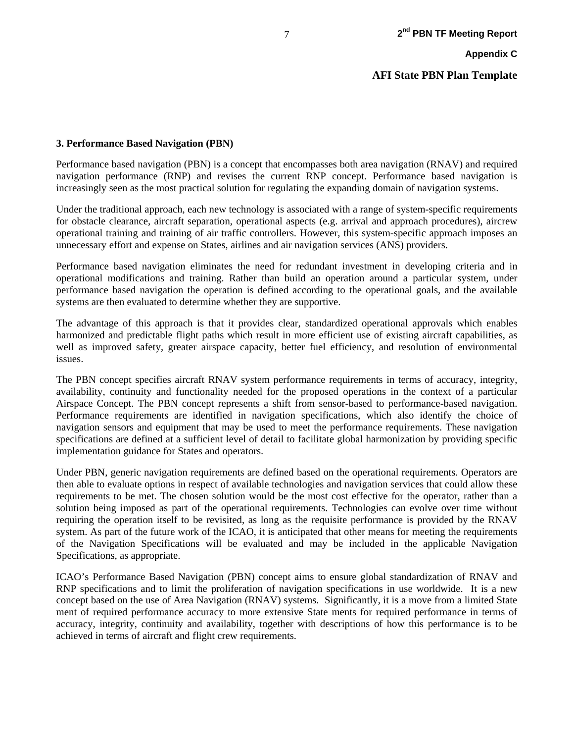**AFI State PBN Plan Template**

#### **3. Performance Based Navigation (PBN)**

Performance based navigation (PBN) is a concept that encompasses both area navigation (RNAV) and required navigation performance (RNP) and revises the current RNP concept. Performance based navigation is increasingly seen as the most practical solution for regulating the expanding domain of navigation systems.

Under the traditional approach, each new technology is associated with a range of system-specific requirements for obstacle clearance, aircraft separation, operational aspects (e.g. arrival and approach procedures), aircrew operational training and training of air traffic controllers. However, this system-specific approach imposes an unnecessary effort and expense on States, airlines and air navigation services (ANS) providers.

Performance based navigation eliminates the need for redundant investment in developing criteria and in operational modifications and training. Rather than build an operation around a particular system, under performance based navigation the operation is defined according to the operational goals, and the available systems are then evaluated to determine whether they are supportive.

The advantage of this approach is that it provides clear, standardized operational approvals which enables harmonized and predictable flight paths which result in more efficient use of existing aircraft capabilities, as well as improved safety, greater airspace capacity, better fuel efficiency, and resolution of environmental issues.

The PBN concept specifies aircraft RNAV system performance requirements in terms of accuracy, integrity, availability, continuity and functionality needed for the proposed operations in the context of a particular Airspace Concept. The PBN concept represents a shift from sensor-based to performance-based navigation. Performance requirements are identified in navigation specifications, which also identify the choice of navigation sensors and equipment that may be used to meet the performance requirements. These navigation specifications are defined at a sufficient level of detail to facilitate global harmonization by providing specific implementation guidance for States and operators.

Under PBN, generic navigation requirements are defined based on the operational requirements. Operators are then able to evaluate options in respect of available technologies and navigation services that could allow these requirements to be met. The chosen solution would be the most cost effective for the operator, rather than a solution being imposed as part of the operational requirements. Technologies can evolve over time without requiring the operation itself to be revisited, as long as the requisite performance is provided by the RNAV system. As part of the future work of the ICAO, it is anticipated that other means for meeting the requirements of the Navigation Specifications will be evaluated and may be included in the applicable Navigation Specifications, as appropriate.

ICAO's Performance Based Navigation (PBN) concept aims to ensure global standardization of RNAV and RNP specifications and to limit the proliferation of navigation specifications in use worldwide. It is a new concept based on the use of Area Navigation (RNAV) systems. Significantly, it is a move from a limited State ment of required performance accuracy to more extensive State ments for required performance in terms of accuracy, integrity, continuity and availability, together with descriptions of how this performance is to be achieved in terms of aircraft and flight crew requirements.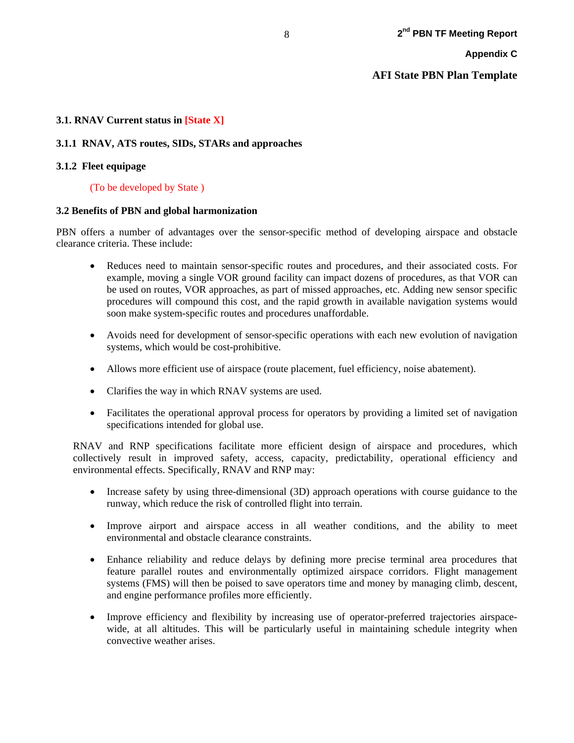## **3.1. RNAV Current status in [State X]**

## **3.1.1 RNAV, ATS routes, SIDs, STARs and approaches**

## **3.1.2 Fleet equipage**

## (To be developed by State )

## **3.2 Benefits of PBN and global harmonization**

PBN offers a number of advantages over the sensor-specific method of developing airspace and obstacle clearance criteria. These include:

- Reduces need to maintain sensor-specific routes and procedures, and their associated costs. For example, moving a single VOR ground facility can impact dozens of procedures, as that VOR can be used on routes, VOR approaches, as part of missed approaches, etc. Adding new sensor specific procedures will compound this cost, and the rapid growth in available navigation systems would soon make system-specific routes and procedures unaffordable.
- Avoids need for development of sensor-specific operations with each new evolution of navigation systems, which would be cost-prohibitive.
- Allows more efficient use of airspace (route placement, fuel efficiency, noise abatement).
- Clarifies the way in which RNAV systems are used.
- Facilitates the operational approval process for operators by providing a limited set of navigation specifications intended for global use.

RNAV and RNP specifications facilitate more efficient design of airspace and procedures, which collectively result in improved safety, access, capacity, predictability, operational efficiency and environmental effects. Specifically, RNAV and RNP may:

- Increase safety by using three-dimensional (3D) approach operations with course guidance to the runway, which reduce the risk of controlled flight into terrain.
- Improve airport and airspace access in all weather conditions, and the ability to meet environmental and obstacle clearance constraints.
- Enhance reliability and reduce delays by defining more precise terminal area procedures that feature parallel routes and environmentally optimized airspace corridors. Flight management systems (FMS) will then be poised to save operators time and money by managing climb, descent, and engine performance profiles more efficiently.
- Improve efficiency and flexibility by increasing use of operator-preferred trajectories airspacewide, at all altitudes. This will be particularly useful in maintaining schedule integrity when convective weather arises.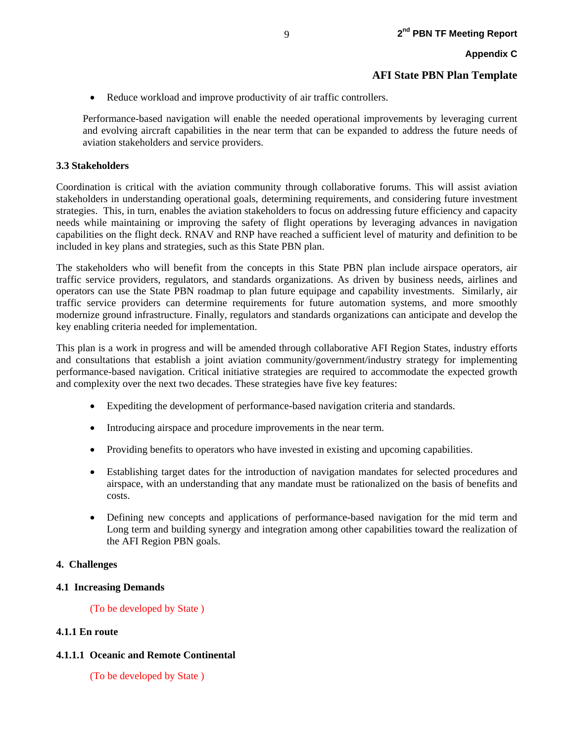• Reduce workload and improve productivity of air traffic controllers.

Performance-based navigation will enable the needed operational improvements by leveraging current and evolving aircraft capabilities in the near term that can be expanded to address the future needs of aviation stakeholders and service providers.

#### **3.3 Stakeholders**

Coordination is critical with the aviation community through collaborative forums. This will assist aviation stakeholders in understanding operational goals, determining requirements, and considering future investment strategies. This, in turn, enables the aviation stakeholders to focus on addressing future efficiency and capacity needs while maintaining or improving the safety of flight operations by leveraging advances in navigation capabilities on the flight deck. RNAV and RNP have reached a sufficient level of maturity and definition to be included in key plans and strategies, such as this State PBN plan.

The stakeholders who will benefit from the concepts in this State PBN plan include airspace operators, air traffic service providers, regulators, and standards organizations. As driven by business needs, airlines and operators can use the State PBN roadmap to plan future equipage and capability investments. Similarly, air traffic service providers can determine requirements for future automation systems, and more smoothly modernize ground infrastructure. Finally, regulators and standards organizations can anticipate and develop the key enabling criteria needed for implementation.

This plan is a work in progress and will be amended through collaborative AFI Region States, industry efforts and consultations that establish a joint aviation community/government/industry strategy for implementing performance-based navigation. Critical initiative strategies are required to accommodate the expected growth and complexity over the next two decades. These strategies have five key features:

- Expediting the development of performance-based navigation criteria and standards.
- Introducing airspace and procedure improvements in the near term.
- Providing benefits to operators who have invested in existing and upcoming capabilities.
- Establishing target dates for the introduction of navigation mandates for selected procedures and airspace, with an understanding that any mandate must be rationalized on the basis of benefits and costs.
- Defining new concepts and applications of performance-based navigation for the mid term and Long term and building synergy and integration among other capabilities toward the realization of the AFI Region PBN goals.

#### **4. Challenges**

#### **4.1 Increasing Demands**

(To be developed by State )

#### **4.1.1 En route**

#### **4.1.1.1 Oceanic and Remote Continental**

(To be developed by State )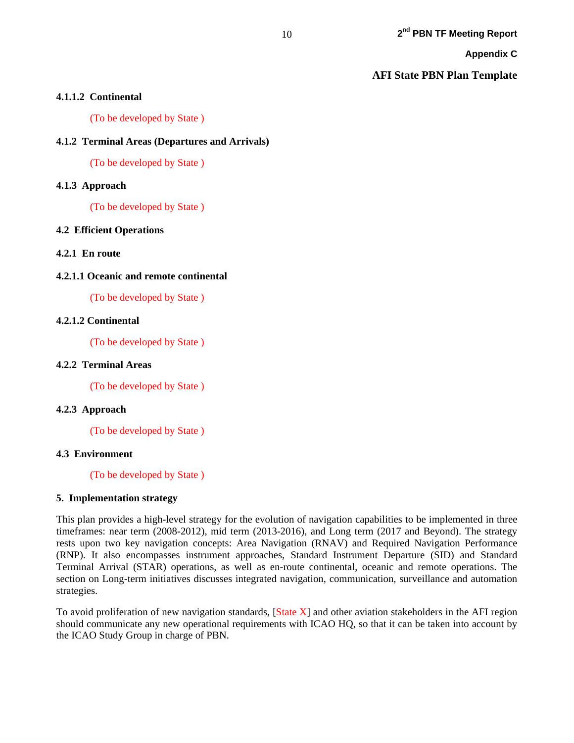#### **AFI State PBN Plan Template**

#### **4.1.1.2 Continental**

(To be developed by State )

#### **4.1.2 Terminal Areas (Departures and Arrivals)**

(To be developed by State )

#### **4.1.3 Approach**

(To be developed by State )

#### **4.2 Efficient Operations**

#### **4.2.1 En route**

#### **4.2.1.1 Oceanic and remote continental**

(To be developed by State )

#### **4.2.1.2 Continental**

(To be developed by State )

#### **4.2.2 Terminal Areas**

(To be developed by State )

#### **4.2.3 Approach**

(To be developed by State )

#### **4.3 Environment**

(To be developed by State )

#### **5. Implementation strategy**

This plan provides a high-level strategy for the evolution of navigation capabilities to be implemented in three timeframes: near term (2008-2012), mid term (2013-2016), and Long term (2017 and Beyond). The strategy rests upon two key navigation concepts: Area Navigation (RNAV) and Required Navigation Performance (RNP). It also encompasses instrument approaches, Standard Instrument Departure (SID) and Standard Terminal Arrival (STAR) operations, as well as en-route continental, oceanic and remote operations. The section on Long-term initiatives discusses integrated navigation, communication, surveillance and automation strategies.

To avoid proliferation of new navigation standards, [State X] and other aviation stakeholders in the AFI region should communicate any new operational requirements with ICAO HQ, so that it can be taken into account by the ICAO Study Group in charge of PBN.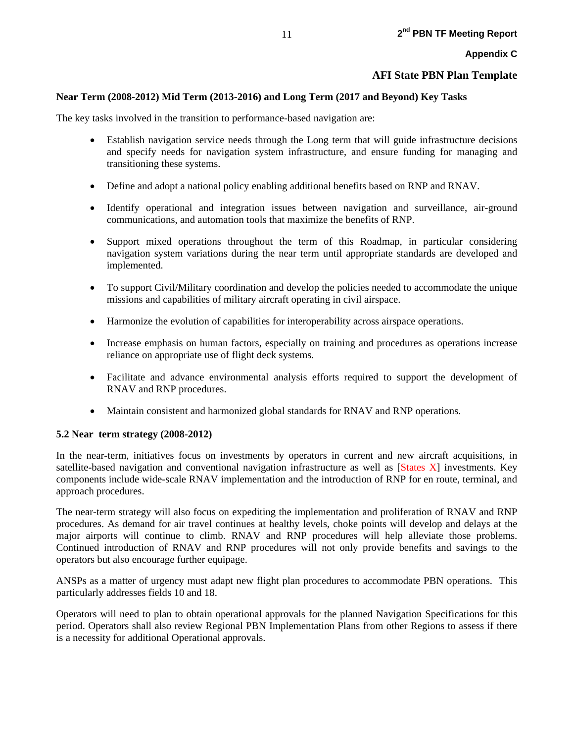## **AFI State PBN Plan Template**

### **Near Term (2008-2012) Mid Term (2013-2016) and Long Term (2017 and Beyond) Key Tasks**

The key tasks involved in the transition to performance-based navigation are:

- Establish navigation service needs through the Long term that will guide infrastructure decisions and specify needs for navigation system infrastructure, and ensure funding for managing and transitioning these systems.
- Define and adopt a national policy enabling additional benefits based on RNP and RNAV.
- Identify operational and integration issues between navigation and surveillance, air-ground communications, and automation tools that maximize the benefits of RNP.
- Support mixed operations throughout the term of this Roadmap, in particular considering navigation system variations during the near term until appropriate standards are developed and implemented.
- To support Civil/Military coordination and develop the policies needed to accommodate the unique missions and capabilities of military aircraft operating in civil airspace.
- Harmonize the evolution of capabilities for interoperability across airspace operations.
- Increase emphasis on human factors, especially on training and procedures as operations increase reliance on appropriate use of flight deck systems.
- Facilitate and advance environmental analysis efforts required to support the development of RNAV and RNP procedures.
- Maintain consistent and harmonized global standards for RNAV and RNP operations.

## **5.2 Near term strategy (2008-2012)**

In the near-term, initiatives focus on investments by operators in current and new aircraft acquisitions, in satellite-based navigation and conventional navigation infrastructure as well as [States X] investments. Key components include wide-scale RNAV implementation and the introduction of RNP for en route, terminal, and approach procedures.

The near-term strategy will also focus on expediting the implementation and proliferation of RNAV and RNP procedures. As demand for air travel continues at healthy levels, choke points will develop and delays at the major airports will continue to climb. RNAV and RNP procedures will help alleviate those problems. Continued introduction of RNAV and RNP procedures will not only provide benefits and savings to the operators but also encourage further equipage.

ANSPs as a matter of urgency must adapt new flight plan procedures to accommodate PBN operations. This particularly addresses fields 10 and 18.

Operators will need to plan to obtain operational approvals for the planned Navigation Specifications for this period. Operators shall also review Regional PBN Implementation Plans from other Regions to assess if there is a necessity for additional Operational approvals.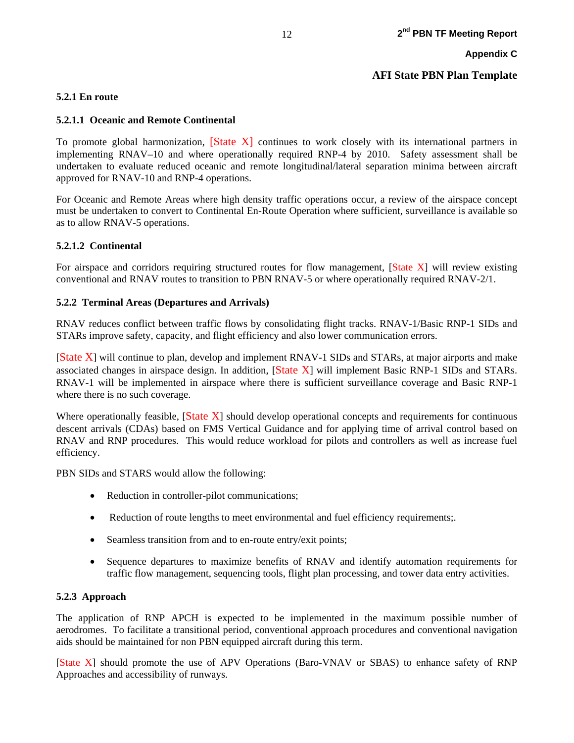#### **5.2.1 En route**

#### **5.2.1.1 Oceanic and Remote Continental**

To promote global harmonization, [State X] continues to work closely with its international partners in implementing RNAV–10 and where operationally required RNP-4 by 2010. Safety assessment shall be undertaken to evaluate reduced oceanic and remote longitudinal/lateral separation minima between aircraft approved for RNAV-10 and RNP-4 operations.

For Oceanic and Remote Areas where high density traffic operations occur, a review of the airspace concept must be undertaken to convert to Continental En-Route Operation where sufficient, surveillance is available so as to allow RNAV-5 operations.

#### **5.2.1.2 Continental**

For airspace and corridors requiring structured routes for flow management, [State X] will review existing conventional and RNAV routes to transition to PBN RNAV-5 or where operationally required RNAV-2/1.

#### **5.2.2 Terminal Areas (Departures and Arrivals)**

RNAV reduces conflict between traffic flows by consolidating flight tracks. RNAV-1/Basic RNP-1 SIDs and STARs improve safety, capacity, and flight efficiency and also lower communication errors.

[State X] will continue to plan, develop and implement RNAV-1 SIDs and STARs, at major airports and make associated changes in airspace design. In addition, [State X] will implement Basic RNP-1 SIDs and STARs. RNAV-1 will be implemented in airspace where there is sufficient surveillance coverage and Basic RNP-1 where there is no such coverage.

Where operationally feasible,  $[State X]$  should develop operational concepts and requirements for continuous descent arrivals (CDAs) based on FMS Vertical Guidance and for applying time of arrival control based on RNAV and RNP procedures. This would reduce workload for pilots and controllers as well as increase fuel efficiency.

PBN SIDs and STARS would allow the following:

- Reduction in controller-pilot communications;
- Reduction of route lengths to meet environmental and fuel efficiency requirements;.
- Seamless transition from and to en-route entry/exit points;
- Sequence departures to maximize benefits of RNAV and identify automation requirements for traffic flow management, sequencing tools, flight plan processing, and tower data entry activities.

#### **5.2.3 Approach**

The application of RNP APCH is expected to be implemented in the maximum possible number of aerodromes. To facilitate a transitional period, conventional approach procedures and conventional navigation aids should be maintained for non PBN equipped aircraft during this term.

[State X] should promote the use of APV Operations (Baro-VNAV or SBAS) to enhance safety of RNP Approaches and accessibility of runways.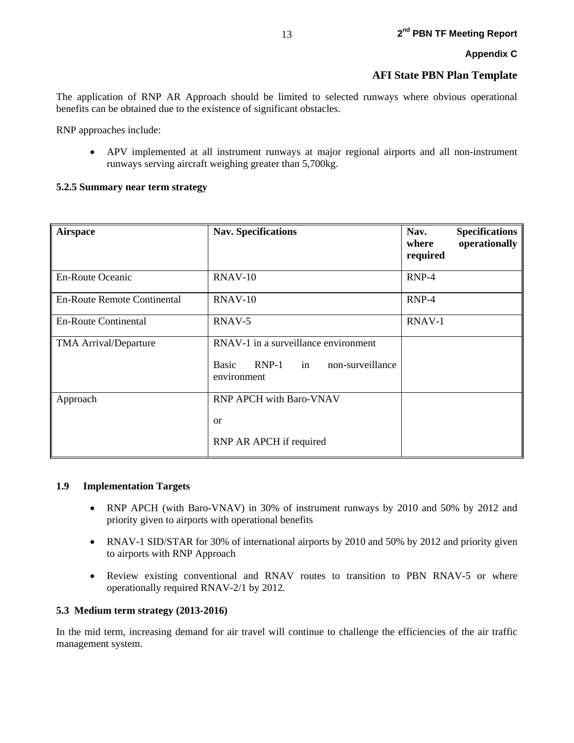The application of RNP AR Approach should be limited to selected runways where obvious operational benefits can be obtained due to the existence of significant obstacles.

RNP approaches include:

• APV implemented at all instrument runways at major regional airports and all non-instrument runways serving aircraft weighing greater than 5,700kg.

#### **5.2.5 Summary near term strategy**

| <b>Airspace</b>                    | <b>Nav. Specifications</b>                                                                            | Nav.<br>where<br>required | <b>Specifications</b><br>operationally |
|------------------------------------|-------------------------------------------------------------------------------------------------------|---------------------------|----------------------------------------|
| <b>En-Route Oceanic</b>            | <b>RNAV-10</b>                                                                                        | RNP-4                     |                                        |
| <b>En-Route Remote Continental</b> | <b>RNAV-10</b>                                                                                        | $RNP-4$                   |                                        |
| <b>En-Route Continental</b>        | RNAV-5                                                                                                | RNAV-1                    |                                        |
| <b>TMA Arrival/Departure</b>       | RNAV-1 in a surveillance environment<br>$RNP-1$ in<br>non-surveillance<br><b>Basic</b><br>environment |                           |                                        |
| Approach                           | <b>RNP APCH with Baro-VNAV</b><br>or<br>RNP AR APCH if required                                       |                           |                                        |

#### **1.9 Implementation Targets**

- RNP APCH (with Baro-VNAV) in 30% of instrument runways by 2010 and 50% by 2012 and priority given to airports with operational benefits
- RNAV-1 SID/STAR for 30% of international airports by 2010 and 50% by 2012 and priority given to airports with RNP Approach
- Review existing conventional and RNAV routes to transition to PBN RNAV-5 or where operationally required RNAV-2/1 by 2012.

#### **5.3 Medium term strategy (2013-2016)**

In the mid term, increasing demand for air travel will continue to challenge the efficiencies of the air traffic management system.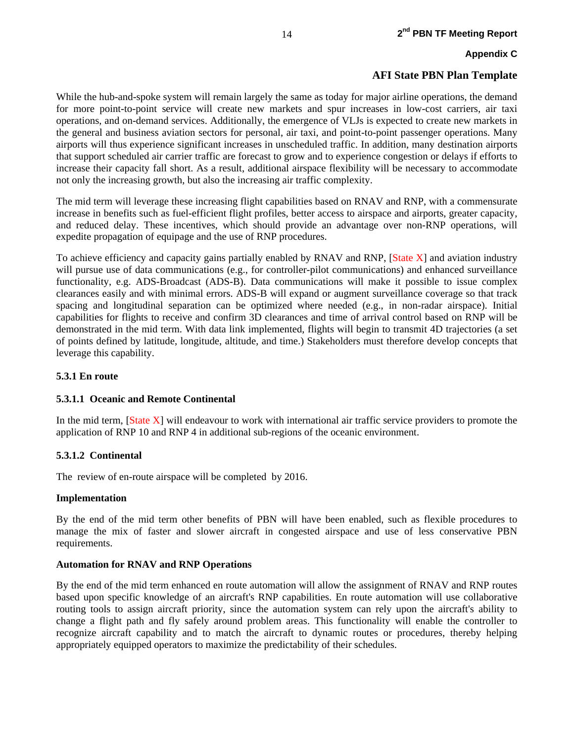While the hub-and-spoke system will remain largely the same as today for major airline operations, the demand for more point-to-point service will create new markets and spur increases in low-cost carriers, air taxi operations, and on-demand services. Additionally, the emergence of VLJs is expected to create new markets in the general and business aviation sectors for personal, air taxi, and point-to-point passenger operations. Many airports will thus experience significant increases in unscheduled traffic. In addition, many destination airports that support scheduled air carrier traffic are forecast to grow and to experience congestion or delays if efforts to increase their capacity fall short. As a result, additional airspace flexibility will be necessary to accommodate not only the increasing growth, but also the increasing air traffic complexity.

The mid term will leverage these increasing flight capabilities based on RNAV and RNP, with a commensurate increase in benefits such as fuel-efficient flight profiles, better access to airspace and airports, greater capacity, and reduced delay. These incentives, which should provide an advantage over non-RNP operations, will expedite propagation of equipage and the use of RNP procedures.

To achieve efficiency and capacity gains partially enabled by RNAV and RNP, [State X] and aviation industry will pursue use of data communications (e.g., for controller-pilot communications) and enhanced surveillance functionality, e.g. ADS-Broadcast (ADS-B). Data communications will make it possible to issue complex clearances easily and with minimal errors. ADS-B will expand or augment surveillance coverage so that track spacing and longitudinal separation can be optimized where needed (e.g., in non-radar airspace). Initial capabilities for flights to receive and confirm 3D clearances and time of arrival control based on RNP will be demonstrated in the mid term. With data link implemented, flights will begin to transmit 4D trajectories (a set of points defined by latitude, longitude, altitude, and time.) Stakeholders must therefore develop concepts that leverage this capability.

#### **5.3.1 En route**

#### **5.3.1.1 Oceanic and Remote Continental**

In the mid term, [State X] will endeavour to work with international air traffic service providers to promote the application of RNP 10 and RNP 4 in additional sub-regions of the oceanic environment.

#### **5.3.1.2 Continental**

The review of en-route airspace will be completed by 2016.

#### **Implementation**

By the end of the mid term other benefits of PBN will have been enabled, such as flexible procedures to manage the mix of faster and slower aircraft in congested airspace and use of less conservative PBN requirements.

#### **Automation for RNAV and RNP Operations**

By the end of the mid term enhanced en route automation will allow the assignment of RNAV and RNP routes based upon specific knowledge of an aircraft's RNP capabilities. En route automation will use collaborative routing tools to assign aircraft priority, since the automation system can rely upon the aircraft's ability to change a flight path and fly safely around problem areas. This functionality will enable the controller to recognize aircraft capability and to match the aircraft to dynamic routes or procedures, thereby helping appropriately equipped operators to maximize the predictability of their schedules.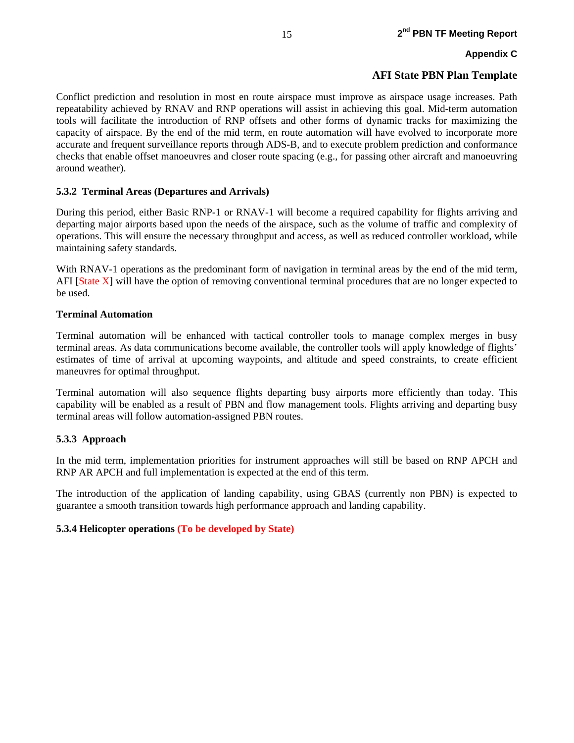Conflict prediction and resolution in most en route airspace must improve as airspace usage increases. Path repeatability achieved by RNAV and RNP operations will assist in achieving this goal. Mid-term automation tools will facilitate the introduction of RNP offsets and other forms of dynamic tracks for maximizing the capacity of airspace. By the end of the mid term, en route automation will have evolved to incorporate more accurate and frequent surveillance reports through ADS-B, and to execute problem prediction and conformance checks that enable offset manoeuvres and closer route spacing (e.g., for passing other aircraft and manoeuvring around weather).

#### **5.3.2 Terminal Areas (Departures and Arrivals)**

During this period, either Basic RNP-1 or RNAV-1 will become a required capability for flights arriving and departing major airports based upon the needs of the airspace, such as the volume of traffic and complexity of operations. This will ensure the necessary throughput and access, as well as reduced controller workload, while maintaining safety standards.

With RNAV-1 operations as the predominant form of navigation in terminal areas by the end of the mid term, AFI [State X] will have the option of removing conventional terminal procedures that are no longer expected to be used.

#### **Terminal Automation**

Terminal automation will be enhanced with tactical controller tools to manage complex merges in busy terminal areas. As data communications become available, the controller tools will apply knowledge of flights' estimates of time of arrival at upcoming waypoints, and altitude and speed constraints, to create efficient maneuvres for optimal throughput.

Terminal automation will also sequence flights departing busy airports more efficiently than today. This capability will be enabled as a result of PBN and flow management tools. Flights arriving and departing busy terminal areas will follow automation-assigned PBN routes.

#### **5.3.3 Approach**

In the mid term, implementation priorities for instrument approaches will still be based on RNP APCH and RNP AR APCH and full implementation is expected at the end of this term.

The introduction of the application of landing capability, using GBAS (currently non PBN) is expected to guarantee a smooth transition towards high performance approach and landing capability.

#### **5.3.4 Helicopter operations (To be developed by State)**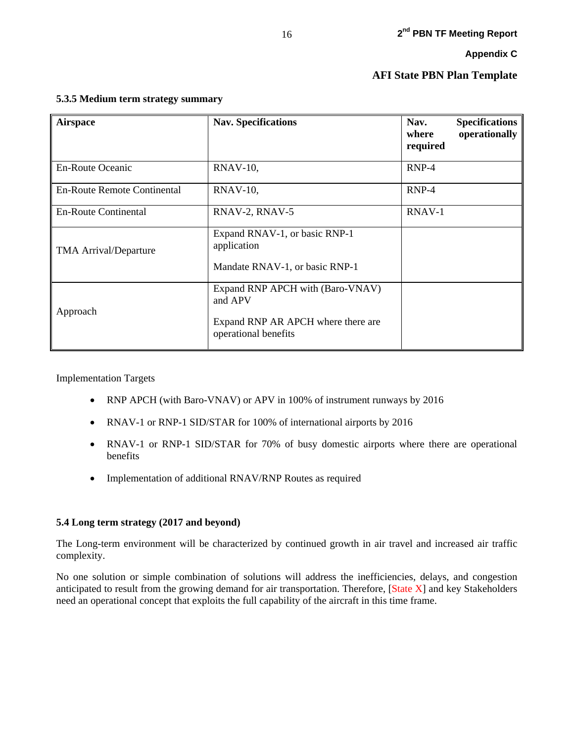| <b>Airspace</b>              | <b>Nav. Specifications</b>                                                     | Nav.<br>where<br>required | <b>Specifications</b><br>operationally |
|------------------------------|--------------------------------------------------------------------------------|---------------------------|----------------------------------------|
| <b>En-Route Oceanic</b>      | $RNAV-10$ ,                                                                    | $RNP-4$                   |                                        |
| En-Route Remote Continental  | $RNAV-10$ ,                                                                    | $RNP-4$                   |                                        |
| <b>En-Route Continental</b>  | RNAV-2, RNAV-5                                                                 | RNAV-1                    |                                        |
| <b>TMA Arrival/Departure</b> | Expand RNAV-1, or basic RNP-1<br>application<br>Mandate RNAV-1, or basic RNP-1 |                           |                                        |
| Approach                     | Expand RNP APCH with (Baro-VNAV)<br>and APV                                    |                           |                                        |
|                              | Expand RNP AR APCH where there are<br>operational benefits                     |                           |                                        |

#### **5.3.5 Medium term strategy summary**

Implementation Targets

- RNP APCH (with Baro-VNAV) or APV in 100% of instrument runways by 2016
- RNAV-1 or RNP-1 SID/STAR for 100% of international airports by 2016
- RNAV-1 or RNP-1 SID/STAR for 70% of busy domestic airports where there are operational benefits
- Implementation of additional RNAV/RNP Routes as required

#### **5.4 Long term strategy (2017 and beyond)**

The Long-term environment will be characterized by continued growth in air travel and increased air traffic complexity.

No one solution or simple combination of solutions will address the inefficiencies, delays, and congestion anticipated to result from the growing demand for air transportation. Therefore, [State X] and key Stakeholders need an operational concept that exploits the full capability of the aircraft in this time frame.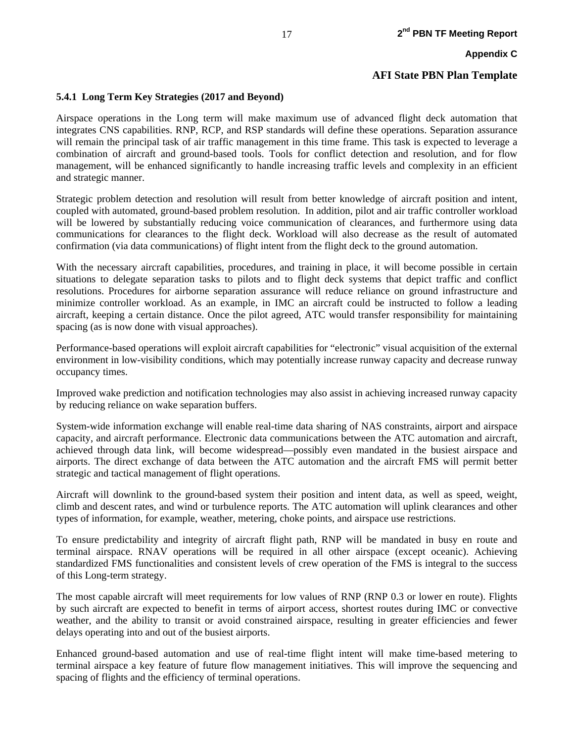## **5.4.1 Long Term Key Strategies (2017 and Beyond)**

Airspace operations in the Long term will make maximum use of advanced flight deck automation that integrates CNS capabilities. RNP, RCP, and RSP standards will define these operations. Separation assurance will remain the principal task of air traffic management in this time frame. This task is expected to leverage a combination of aircraft and ground-based tools. Tools for conflict detection and resolution, and for flow management, will be enhanced significantly to handle increasing traffic levels and complexity in an efficient and strategic manner.

Strategic problem detection and resolution will result from better knowledge of aircraft position and intent, coupled with automated, ground-based problem resolution. In addition, pilot and air traffic controller workload will be lowered by substantially reducing voice communication of clearances, and furthermore using data communications for clearances to the flight deck. Workload will also decrease as the result of automated confirmation (via data communications) of flight intent from the flight deck to the ground automation.

With the necessary aircraft capabilities, procedures, and training in place, it will become possible in certain situations to delegate separation tasks to pilots and to flight deck systems that depict traffic and conflict resolutions. Procedures for airborne separation assurance will reduce reliance on ground infrastructure and minimize controller workload. As an example, in IMC an aircraft could be instructed to follow a leading aircraft, keeping a certain distance. Once the pilot agreed, ATC would transfer responsibility for maintaining spacing (as is now done with visual approaches).

Performance-based operations will exploit aircraft capabilities for "electronic" visual acquisition of the external environment in low-visibility conditions, which may potentially increase runway capacity and decrease runway occupancy times.

Improved wake prediction and notification technologies may also assist in achieving increased runway capacity by reducing reliance on wake separation buffers.

System-wide information exchange will enable real-time data sharing of NAS constraints, airport and airspace capacity, and aircraft performance. Electronic data communications between the ATC automation and aircraft, achieved through data link, will become widespread—possibly even mandated in the busiest airspace and airports. The direct exchange of data between the ATC automation and the aircraft FMS will permit better strategic and tactical management of flight operations.

Aircraft will downlink to the ground-based system their position and intent data, as well as speed, weight, climb and descent rates, and wind or turbulence reports. The ATC automation will uplink clearances and other types of information, for example, weather, metering, choke points, and airspace use restrictions.

To ensure predictability and integrity of aircraft flight path, RNP will be mandated in busy en route and terminal airspace. RNAV operations will be required in all other airspace (except oceanic). Achieving standardized FMS functionalities and consistent levels of crew operation of the FMS is integral to the success of this Long-term strategy.

The most capable aircraft will meet requirements for low values of RNP (RNP 0.3 or lower en route). Flights by such aircraft are expected to benefit in terms of airport access, shortest routes during IMC or convective weather, and the ability to transit or avoid constrained airspace, resulting in greater efficiencies and fewer delays operating into and out of the busiest airports.

Enhanced ground-based automation and use of real-time flight intent will make time-based metering to terminal airspace a key feature of future flow management initiatives. This will improve the sequencing and spacing of flights and the efficiency of terminal operations.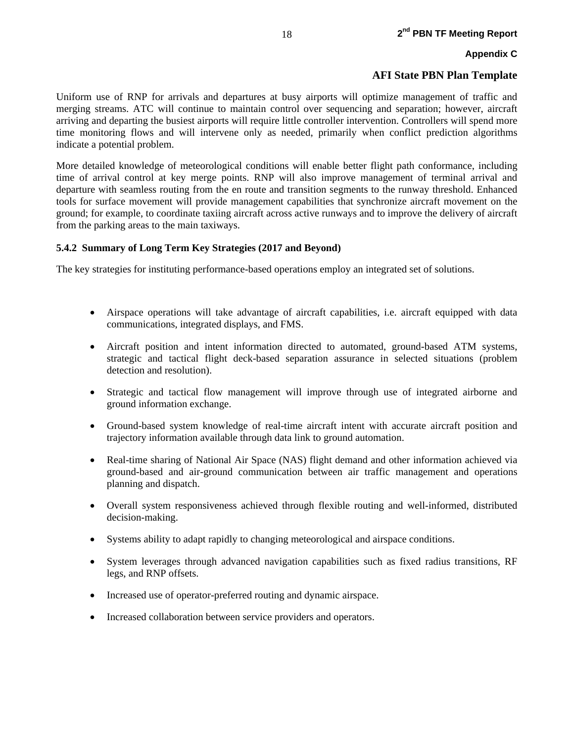#### **AFI State PBN Plan Template**

Uniform use of RNP for arrivals and departures at busy airports will optimize management of traffic and merging streams. ATC will continue to maintain control over sequencing and separation; however, aircraft arriving and departing the busiest airports will require little controller intervention. Controllers will spend more time monitoring flows and will intervene only as needed, primarily when conflict prediction algorithms indicate a potential problem.

More detailed knowledge of meteorological conditions will enable better flight path conformance, including time of arrival control at key merge points. RNP will also improve management of terminal arrival and departure with seamless routing from the en route and transition segments to the runway threshold. Enhanced tools for surface movement will provide management capabilities that synchronize aircraft movement on the ground; for example, to coordinate taxiing aircraft across active runways and to improve the delivery of aircraft from the parking areas to the main taxiways.

#### **5.4.2 Summary of Long Term Key Strategies (2017 and Beyond)**

The key strategies for instituting performance-based operations employ an integrated set of solutions.

- Airspace operations will take advantage of aircraft capabilities, i.e. aircraft equipped with data communications, integrated displays, and FMS.
- Aircraft position and intent information directed to automated, ground-based ATM systems, strategic and tactical flight deck-based separation assurance in selected situations (problem detection and resolution).
- Strategic and tactical flow management will improve through use of integrated airborne and ground information exchange.
- Ground-based system knowledge of real-time aircraft intent with accurate aircraft position and trajectory information available through data link to ground automation.
- Real-time sharing of National Air Space (NAS) flight demand and other information achieved via ground-based and air-ground communication between air traffic management and operations planning and dispatch.
- Overall system responsiveness achieved through flexible routing and well-informed, distributed decision-making.
- Systems ability to adapt rapidly to changing meteorological and airspace conditions.
- System leverages through advanced navigation capabilities such as fixed radius transitions, RF legs, and RNP offsets.
- Increased use of operator-preferred routing and dynamic airspace.
- Increased collaboration between service providers and operators.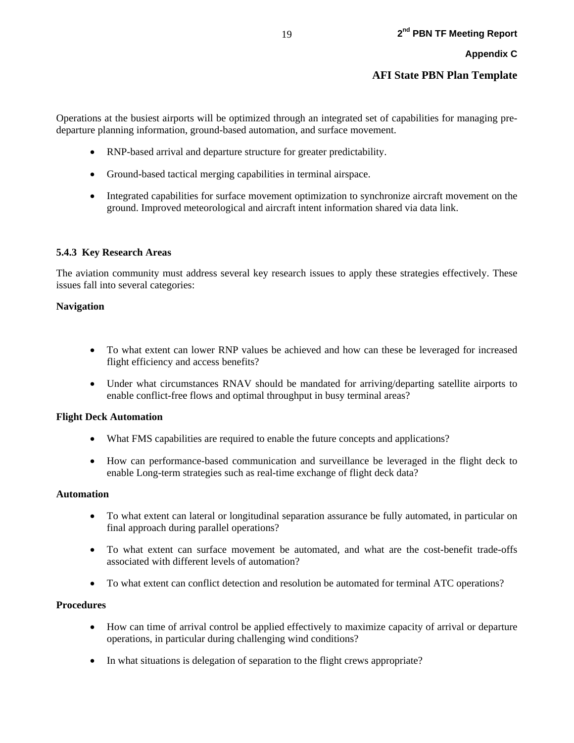Operations at the busiest airports will be optimized through an integrated set of capabilities for managing predeparture planning information, ground-based automation, and surface movement.

- RNP-based arrival and departure structure for greater predictability.
- Ground-based tactical merging capabilities in terminal airspace.
- Integrated capabilities for surface movement optimization to synchronize aircraft movement on the ground. Improved meteorological and aircraft intent information shared via data link.

#### **5.4.3 Key Research Areas**

The aviation community must address several key research issues to apply these strategies effectively. These issues fall into several categories:

#### **Navigation**

- To what extent can lower RNP values be achieved and how can these be leveraged for increased flight efficiency and access benefits?
- Under what circumstances RNAV should be mandated for arriving/departing satellite airports to enable conflict-free flows and optimal throughput in busy terminal areas?

#### **Flight Deck Automation**

- What FMS capabilities are required to enable the future concepts and applications?
- How can performance-based communication and surveillance be leveraged in the flight deck to enable Long-term strategies such as real-time exchange of flight deck data?

#### **Automation**

- To what extent can lateral or longitudinal separation assurance be fully automated, in particular on final approach during parallel operations?
- To what extent can surface movement be automated, and what are the cost-benefit trade-offs associated with different levels of automation?
- To what extent can conflict detection and resolution be automated for terminal ATC operations?

#### **Procedures**

- How can time of arrival control be applied effectively to maximize capacity of arrival or departure operations, in particular during challenging wind conditions?
- In what situations is delegation of separation to the flight crews appropriate?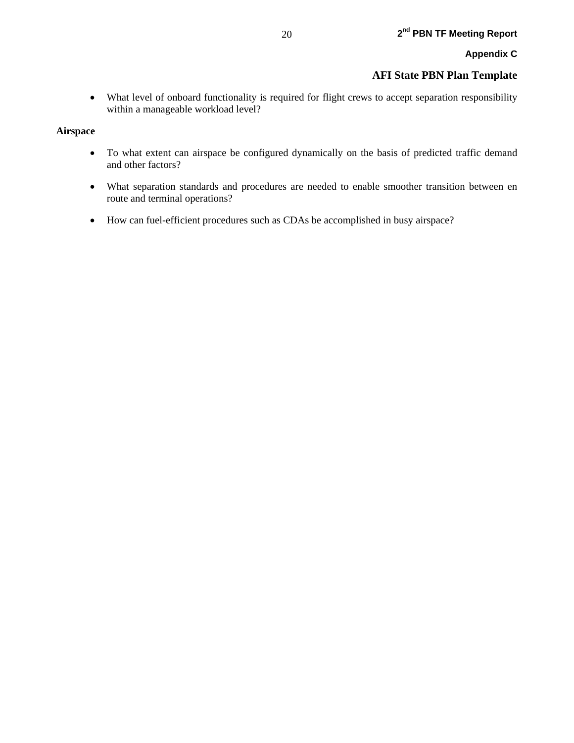• What level of onboard functionality is required for flight crews to accept separation responsibility within a manageable workload level?

#### **Airspace**

- To what extent can airspace be configured dynamically on the basis of predicted traffic demand and other factors?
- What separation standards and procedures are needed to enable smoother transition between en route and terminal operations?
- How can fuel-efficient procedures such as CDAs be accomplished in busy airspace?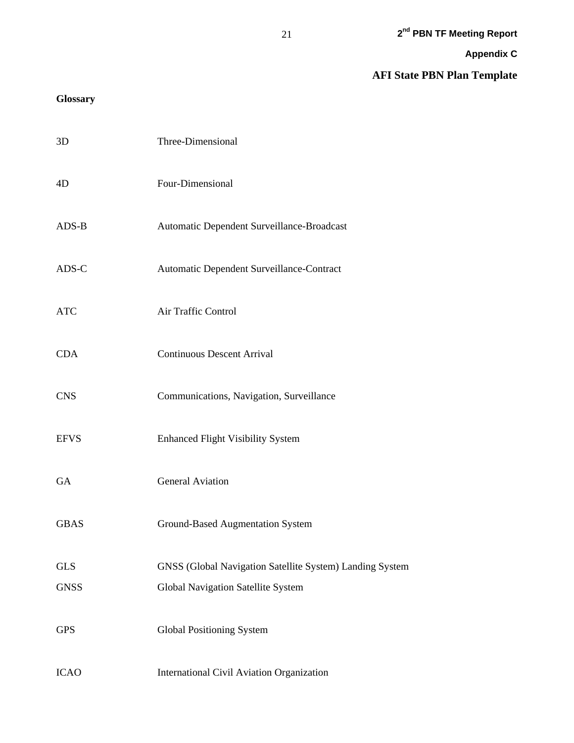**AFI State PBN Plan Template**

## **Glossary**

| 3D          | Three-Dimensional                                        |
|-------------|----------------------------------------------------------|
| 4D          | Four-Dimensional                                         |
| $ADS-B$     | Automatic Dependent Surveillance-Broadcast               |
| ADS-C       | Automatic Dependent Surveillance-Contract                |
| <b>ATC</b>  | Air Traffic Control                                      |
| <b>CDA</b>  | <b>Continuous Descent Arrival</b>                        |
| <b>CNS</b>  | Communications, Navigation, Surveillance                 |
| <b>EFVS</b> | <b>Enhanced Flight Visibility System</b>                 |
| GA          | <b>General Aviation</b>                                  |
| <b>GBAS</b> | <b>Ground-Based Augmentation System</b>                  |
| <b>GLS</b>  | GNSS (Global Navigation Satellite System) Landing System |
| <b>GNSS</b> | Global Navigation Satellite System                       |
| <b>GPS</b>  | Global Positioning System                                |
| <b>ICAO</b> | <b>International Civil Aviation Organization</b>         |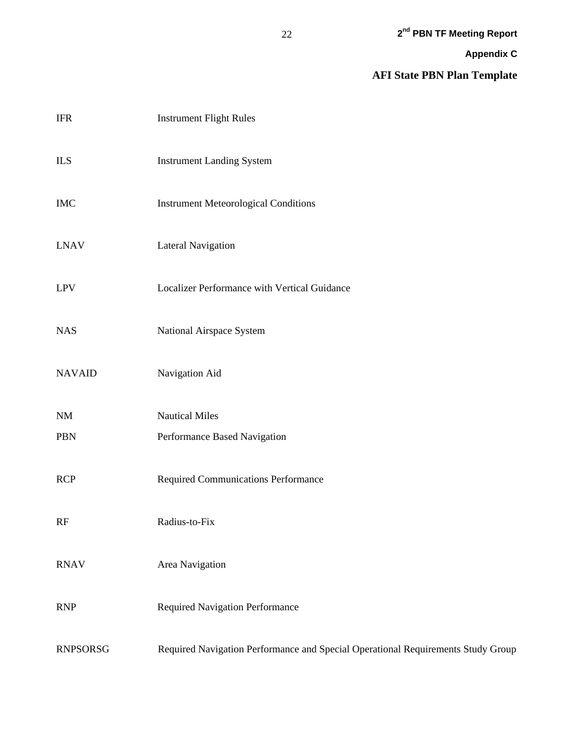**AFI State PBN Plan Template**

| $\rm IFR$       | <b>Instrument Flight Rules</b>                                                   |
|-----------------|----------------------------------------------------------------------------------|
| <b>ILS</b>      | <b>Instrument Landing System</b>                                                 |
| $IMC$           | <b>Instrument Meteorological Conditions</b>                                      |
| <b>LNAV</b>     | <b>Lateral Navigation</b>                                                        |
| <b>LPV</b>      | Localizer Performance with Vertical Guidance                                     |
| <b>NAS</b>      | National Airspace System                                                         |
| <b>NAVAID</b>   | Navigation Aid                                                                   |
| $\rm{NM}$       | <b>Nautical Miles</b>                                                            |
| <b>PBN</b>      | Performance Based Navigation                                                     |
| <b>RCP</b>      | <b>Required Communications Performance</b>                                       |
| RF              | Radius-to-Fix                                                                    |
| <b>RNAV</b>     | Area Navigation                                                                  |
| <b>RNP</b>      | <b>Required Navigation Performance</b>                                           |
| <b>RNPSORSG</b> | Required Navigation Performance and Special Operational Requirements Study Group |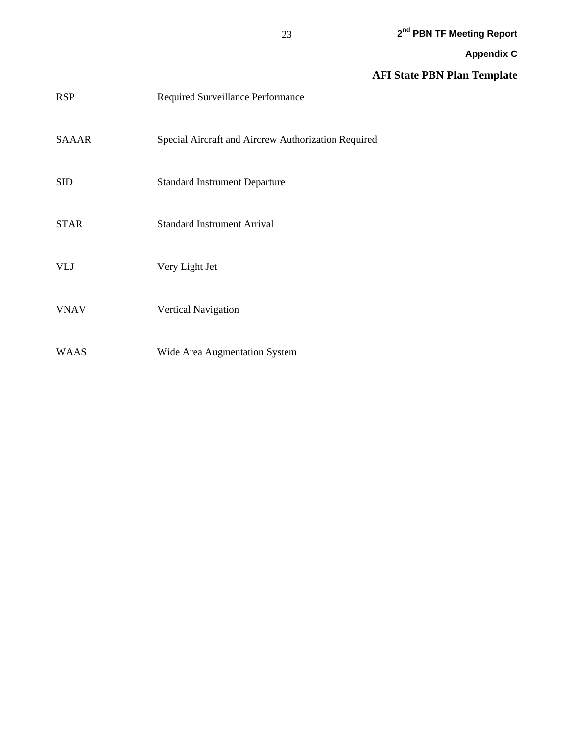## **AFI State PBN Plan Template**

| <b>RSP</b>   | Required Surveillance Performance                   |
|--------------|-----------------------------------------------------|
| <b>SAAAR</b> | Special Aircraft and Aircrew Authorization Required |
| <b>SID</b>   | <b>Standard Instrument Departure</b>                |
| <b>STAR</b>  | <b>Standard Instrument Arrival</b>                  |
| <b>VLJ</b>   | Very Light Jet                                      |
| <b>VNAV</b>  | <b>Vertical Navigation</b>                          |
| <b>WAAS</b>  | Wide Area Augmentation System                       |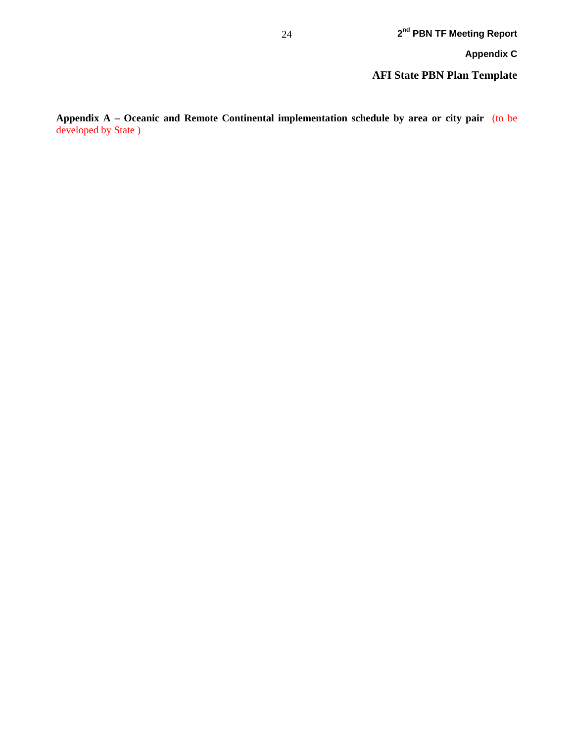**Appendix A – Oceanic and Remote Continental implementation schedule by area or city pair** (to be developed by State )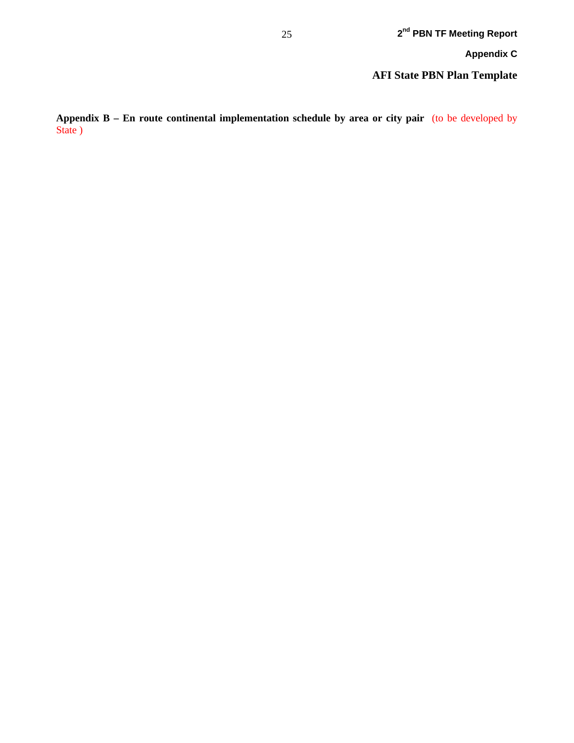**AFI State PBN Plan Template**

**Appendix B – En route continental implementation schedule by area or city pair** (to be developed by State )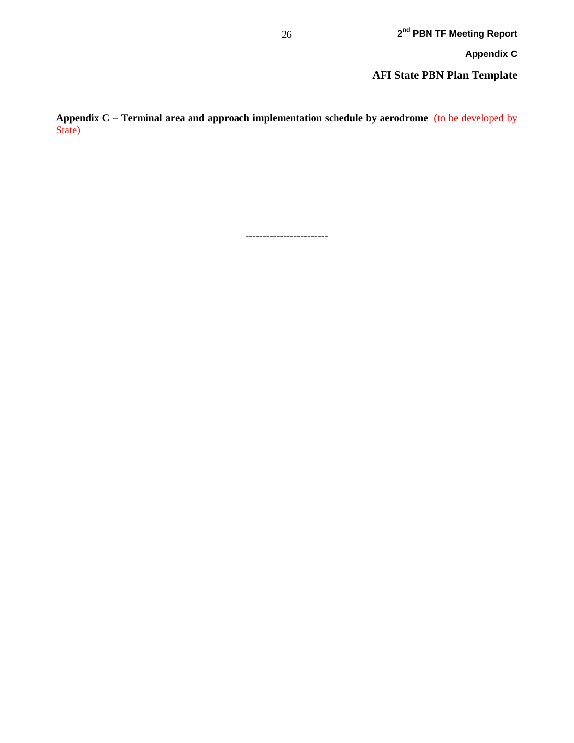**AFI State PBN Plan Template**

**Appendix C – Terminal area and approach implementation schedule by aerodrome** (to be developed by State)

------------------------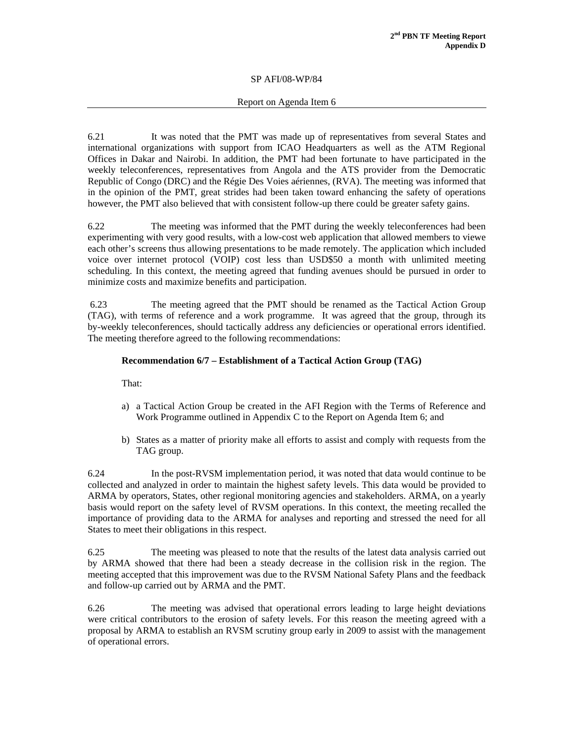#### Report on Agenda Item 6

6.21 It was noted that the PMT was made up of representatives from several States and international organizations with support from ICAO Headquarters as well as the ATM Regional Offices in Dakar and Nairobi. In addition, the PMT had been fortunate to have participated in the weekly teleconferences, representatives from Angola and the ATS provider from the Democratic Republic of Congo (DRC) and the Régie Des Voies aériennes, (RVA). The meeting was informed that in the opinion of the PMT, great strides had been taken toward enhancing the safety of operations however, the PMT also believed that with consistent follow-up there could be greater safety gains.

6.22 The meeting was informed that the PMT during the weekly teleconferences had been experimenting with very good results, with a low-cost web application that allowed members to viewe each other's screens thus allowing presentations to be made remotely. The application which included voice over internet protocol (VOIP) cost less than USD\$50 a month with unlimited meeting scheduling. In this context, the meeting agreed that funding avenues should be pursued in order to minimize costs and maximize benefits and participation.

 6.23 The meeting agreed that the PMT should be renamed as the Tactical Action Group (TAG), with terms of reference and a work programme. It was agreed that the group, through its by-weekly teleconferences, should tactically address any deficiencies or operational errors identified. The meeting therefore agreed to the following recommendations:

#### **Recommendation 6/7 – Establishment of a Tactical Action Group (TAG)**

That:

- a) a Tactical Action Group be created in the AFI Region with the Terms of Reference and Work Programme outlined in Appendix C to the Report on Agenda Item 6; and
- b) States as a matter of priority make all efforts to assist and comply with requests from the TAG group.

6.24 In the post-RVSM implementation period, it was noted that data would continue to be collected and analyzed in order to maintain the highest safety levels. This data would be provided to ARMA by operators, States, other regional monitoring agencies and stakeholders. ARMA, on a yearly basis would report on the safety level of RVSM operations. In this context, the meeting recalled the importance of providing data to the ARMA for analyses and reporting and stressed the need for all States to meet their obligations in this respect.

6.25 The meeting was pleased to note that the results of the latest data analysis carried out by ARMA showed that there had been a steady decrease in the collision risk in the region. The meeting accepted that this improvement was due to the RVSM National Safety Plans and the feedback and follow-up carried out by ARMA and the PMT.

6.26 The meeting was advised that operational errors leading to large height deviations were critical contributors to the erosion of safety levels. For this reason the meeting agreed with a proposal by ARMA to establish an RVSM scrutiny group early in 2009 to assist with the management of operational errors.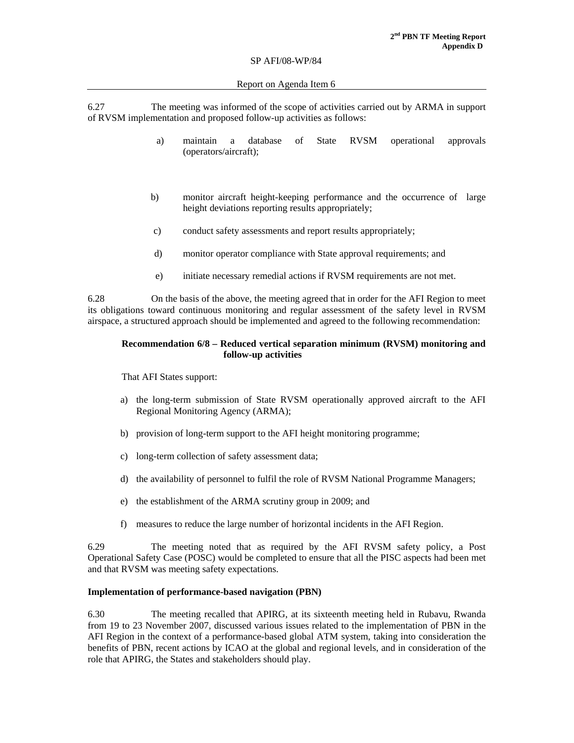#### Report on Agenda Item 6

6.27 The meeting was informed of the scope of activities carried out by ARMA in support of RVSM implementation and proposed follow-up activities as follows:

- a) maintain a database of State RVSM operational approvals (operators/aircraft);
- b) monitor aircraft height-keeping performance and the occurrence of large height deviations reporting results appropriately;
- c) conduct safety assessments and report results appropriately;
- d) monitor operator compliance with State approval requirements; and
- e) initiate necessary remedial actions if RVSM requirements are not met.

6.28 On the basis of the above, the meeting agreed that in order for the AFI Region to meet its obligations toward continuous monitoring and regular assessment of the safety level in RVSM airspace, a structured approach should be implemented and agreed to the following recommendation:

#### **Recommendation 6/8 – Reduced vertical separation minimum (RVSM) monitoring and follow-up activities**

That AFI States support:

- a) the long-term submission of State RVSM operationally approved aircraft to the AFI Regional Monitoring Agency (ARMA);
- b) provision of long-term support to the AFI height monitoring programme;
- c) long-term collection of safety assessment data;
- d) the availability of personnel to fulfil the role of RVSM National Programme Managers;
- e) the establishment of the ARMA scrutiny group in 2009; and
- f) measures to reduce the large number of horizontal incidents in the AFI Region.

6.29 The meeting noted that as required by the AFI RVSM safety policy, a Post Operational Safety Case (POSC) would be completed to ensure that all the PISC aspects had been met and that RVSM was meeting safety expectations.

#### **Implementation of performance-based navigation (PBN)**

6.30 The meeting recalled that APIRG, at its sixteenth meeting held in Rubavu, Rwanda from 19 to 23 November 2007, discussed various issues related to the implementation of PBN in the AFI Region in the context of a performance-based global ATM system, taking into consideration the benefits of PBN, recent actions by ICAO at the global and regional levels, and in consideration of the role that APIRG, the States and stakeholders should play.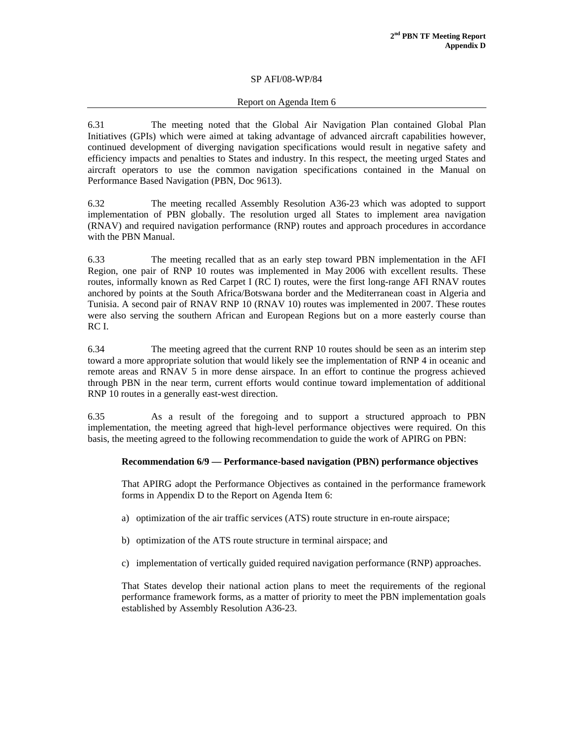#### Report on Agenda Item 6

6.31 The meeting noted that the Global Air Navigation Plan contained Global Plan Initiatives (GPIs) which were aimed at taking advantage of advanced aircraft capabilities however, continued development of diverging navigation specifications would result in negative safety and efficiency impacts and penalties to States and industry. In this respect, the meeting urged States and aircraft operators to use the common navigation specifications contained in the Manual on Performance Based Navigation (PBN, Doc 9613).

6.32 The meeting recalled Assembly Resolution A36-23 which was adopted to support implementation of PBN globally. The resolution urged all States to implement area navigation (RNAV) and required navigation performance (RNP) routes and approach procedures in accordance with the PBN Manual.

6.33 The meeting recalled that as an early step toward PBN implementation in the AFI Region, one pair of RNP 10 routes was implemented in May 2006 with excellent results. These routes, informally known as Red Carpet I (RC I) routes, were the first long-range AFI RNAV routes anchored by points at the South Africa/Botswana border and the Mediterranean coast in Algeria and Tunisia. A second pair of RNAV RNP 10 (RNAV 10) routes was implemented in 2007. These routes were also serving the southern African and European Regions but on a more easterly course than RC I.

6.34 The meeting agreed that the current RNP 10 routes should be seen as an interim step toward a more appropriate solution that would likely see the implementation of RNP 4 in oceanic and remote areas and RNAV 5 in more dense airspace. In an effort to continue the progress achieved through PBN in the near term, current efforts would continue toward implementation of additional RNP 10 routes in a generally east-west direction.

6.35 As a result of the foregoing and to support a structured approach to PBN implementation, the meeting agreed that high-level performance objectives were required. On this basis, the meeting agreed to the following recommendation to guide the work of APIRG on PBN:

#### **Recommendation 6/9 — Performance-based navigation (PBN) performance objectives**

That APIRG adopt the Performance Objectives as contained in the performance framework forms in Appendix D to the Report on Agenda Item 6:

- a) optimization of the air traffic services (ATS) route structure in en-route airspace;
- b) optimization of the ATS route structure in terminal airspace; and
- c) implementation of vertically guided required navigation performance (RNP) approaches.

That States develop their national action plans to meet the requirements of the regional performance framework forms, as a matter of priority to meet the PBN implementation goals established by Assembly Resolution A36-23.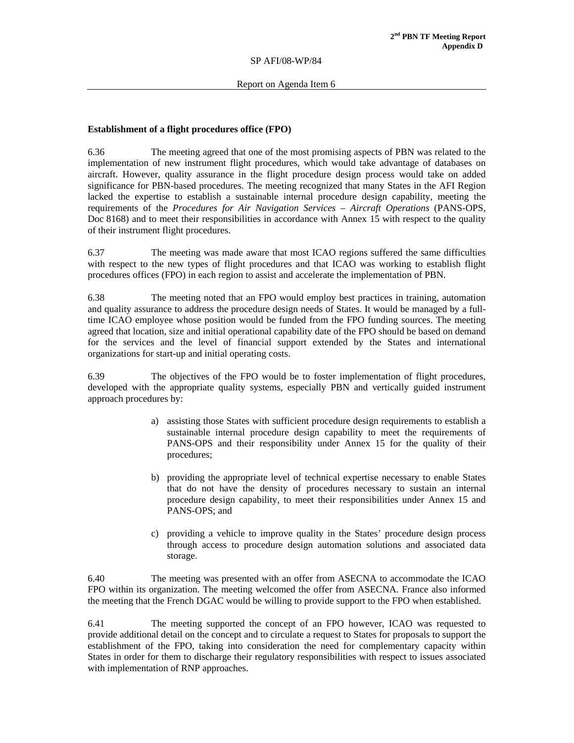#### **Establishment of a flight procedures office (FPO)**

6.36 The meeting agreed that one of the most promising aspects of PBN was related to the implementation of new instrument flight procedures, which would take advantage of databases on aircraft. However, quality assurance in the flight procedure design process would take on added significance for PBN-based procedures. The meeting recognized that many States in the AFI Region lacked the expertise to establish a sustainable internal procedure design capability, meeting the requirements of the *Procedures for Air Navigation Services – Aircraft Operations* (PANS-OPS, Doc 8168) and to meet their responsibilities in accordance with Annex 15 with respect to the quality of their instrument flight procedures.

6.37 The meeting was made aware that most ICAO regions suffered the same difficulties with respect to the new types of flight procedures and that ICAO was working to establish flight procedures offices (FPO) in each region to assist and accelerate the implementation of PBN.

6.38 The meeting noted that an FPO would employ best practices in training, automation and quality assurance to address the procedure design needs of States. It would be managed by a fulltime ICAO employee whose position would be funded from the FPO funding sources. The meeting agreed that location, size and initial operational capability date of the FPO should be based on demand for the services and the level of financial support extended by the States and international organizations for start-up and initial operating costs.

6.39 The objectives of the FPO would be to foster implementation of flight procedures, developed with the appropriate quality systems, especially PBN and vertically guided instrument approach procedures by:

- a) assisting those States with sufficient procedure design requirements to establish a sustainable internal procedure design capability to meet the requirements of PANS-OPS and their responsibility under Annex 15 for the quality of their procedures;
- b) providing the appropriate level of technical expertise necessary to enable States that do not have the density of procedures necessary to sustain an internal procedure design capability, to meet their responsibilities under Annex 15 and PANS-OPS; and
- c) providing a vehicle to improve quality in the States' procedure design process through access to procedure design automation solutions and associated data storage.

6.40 The meeting was presented with an offer from ASECNA to accommodate the ICAO FPO within its organization. The meeting welcomed the offer from ASECNA. France also informed the meeting that the French DGAC would be willing to provide support to the FPO when established.

6.41 The meeting supported the concept of an FPO however, ICAO was requested to provide additional detail on the concept and to circulate a request to States for proposals to support the establishment of the FPO, taking into consideration the need for complementary capacity within States in order for them to discharge their regulatory responsibilities with respect to issues associated with implementation of RNP approaches.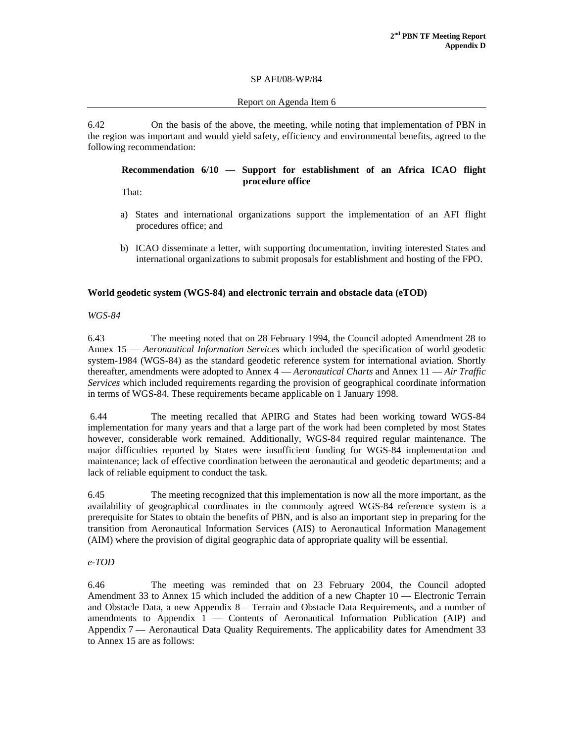### Report on Agenda Item 6

6.42 On the basis of the above, the meeting, while noting that implementation of PBN in the region was important and would yield safety, efficiency and environmental benefits, agreed to the following recommendation:

# **Recommendation 6/10 — Support for establishment of an Africa ICAO flight procedure office**

That:

- a) States and international organizations support the implementation of an AFI flight procedures office; and
- b) ICAO disseminate a letter, with supporting documentation, inviting interested States and international organizations to submit proposals for establishment and hosting of the FPO.

### **World geodetic system (WGS-84) and electronic terrain and obstacle data (eTOD)**

*WGS-84* 

6.43 The meeting noted that on 28 February 1994, the Council adopted Amendment 28 to Annex 15 — *Aeronautical Information Services* which included the specification of world geodetic system-1984 (WGS-84) as the standard geodetic reference system for international aviation. Shortly thereafter, amendments were adopted to Annex 4 — *Aeronautical Charts* and Annex 11 — *Air Traffic Services* which included requirements regarding the provision of geographical coordinate information in terms of WGS-84. These requirements became applicable on 1 January 1998.

 6.44 The meeting recalled that APIRG and States had been working toward WGS-84 implementation for many years and that a large part of the work had been completed by most States however, considerable work remained. Additionally, WGS-84 required regular maintenance. The major difficulties reported by States were insufficient funding for WGS-84 implementation and maintenance; lack of effective coordination between the aeronautical and geodetic departments; and a lack of reliable equipment to conduct the task.

6.45 The meeting recognized that this implementation is now all the more important, as the availability of geographical coordinates in the commonly agreed WGS-84 reference system is a prerequisite for States to obtain the benefits of PBN, and is also an important step in preparing for the transition from Aeronautical Information Services (AIS) to Aeronautical Information Management (AIM) where the provision of digital geographic data of appropriate quality will be essential.

### *e-TOD*

6.46 The meeting was reminded that on 23 February 2004, the Council adopted Amendment 33 to Annex 15 which included the addition of a new Chapter 10 — Electronic Terrain and Obstacle Data*,* a new Appendix 8 – Terrain and Obstacle Data Requirements, and a number of amendments to Appendix 1 — Contents of Aeronautical Information Publication (AIP) and Appendix 7 — Aeronautical Data Quality Requirements. The applicability dates for Amendment 33 to Annex 15 are as follows: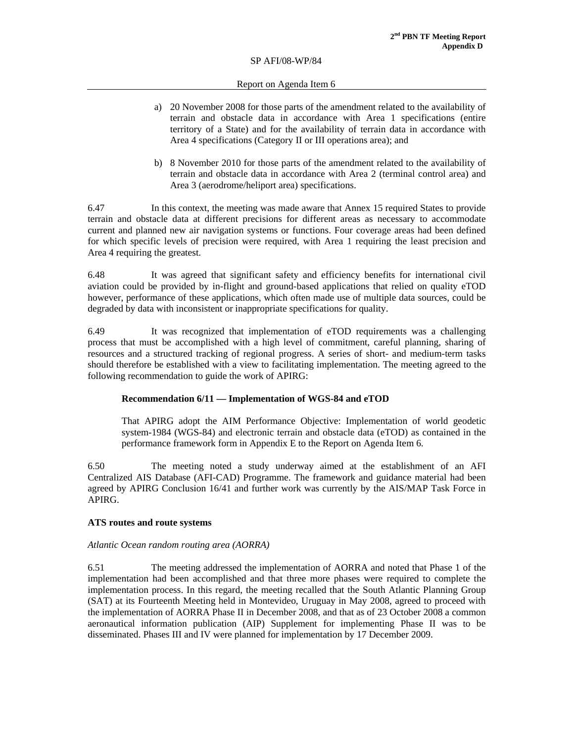#### Report on Agenda Item 6

- a) 20 November 2008 for those parts of the amendment related to the availability of terrain and obstacle data in accordance with Area 1 specifications (entire territory of a State) and for the availability of terrain data in accordance with Area 4 specifications (Category II or III operations area); and
- b) 8 November 2010 for those parts of the amendment related to the availability of terrain and obstacle data in accordance with Area 2 (terminal control area) and Area 3 (aerodrome/heliport area) specifications.

6.47 In this context, the meeting was made aware that Annex 15 required States to provide terrain and obstacle data at different precisions for different areas as necessary to accommodate current and planned new air navigation systems or functions. Four coverage areas had been defined for which specific levels of precision were required, with Area 1 requiring the least precision and Area 4 requiring the greatest.

6.48 It was agreed that significant safety and efficiency benefits for international civil aviation could be provided by in-flight and ground-based applications that relied on quality eTOD however, performance of these applications, which often made use of multiple data sources, could be degraded by data with inconsistent or inappropriate specifications for quality.

6.49 It was recognized that implementation of eTOD requirements was a challenging process that must be accomplished with a high level of commitment, careful planning, sharing of resources and a structured tracking of regional progress. A series of short- and medium-term tasks should therefore be established with a view to facilitating implementation. The meeting agreed to the following recommendation to guide the work of APIRG:

### **Recommendation 6/11 — Implementation of WGS-84 and eTOD**

That APIRG adopt the AIM Performance Objective: Implementation of world geodetic system-1984 (WGS-84) and electronic terrain and obstacle data (eTOD) as contained in the performance framework form in Appendix E to the Report on Agenda Item 6.

6.50 The meeting noted a study underway aimed at the establishment of an AFI Centralized AIS Database (AFI-CAD) Programme. The framework and guidance material had been agreed by APIRG Conclusion 16/41 and further work was currently by the AIS/MAP Task Force in APIRG.

### **ATS routes and route systems**

### *Atlantic Ocean random routing area (AORRA)*

6.51 The meeting addressed the implementation of AORRA and noted that Phase 1 of the implementation had been accomplished and that three more phases were required to complete the implementation process. In this regard, the meeting recalled that the South Atlantic Planning Group (SAT) at its Fourteenth Meeting held in Montevideo, Uruguay in May 2008, agreed to proceed with the implementation of AORRA Phase II in December 2008, and that as of 23 October 2008 a common aeronautical information publication (AIP) Supplement for implementing Phase II was to be disseminated. Phases III and IV were planned for implementation by 17 December 2009.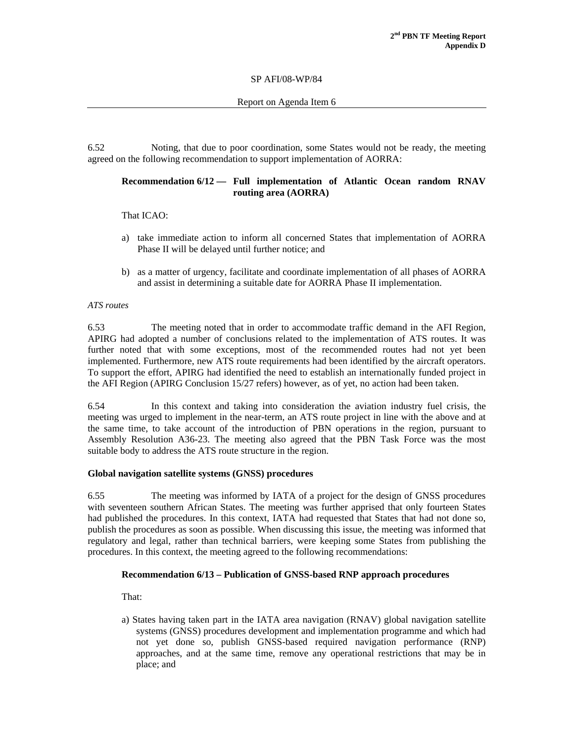Report on Agenda Item 6

6.52 Noting, that due to poor coordination, some States would not be ready, the meeting agreed on the following recommendation to support implementation of AORRA:

#### **Recommendation 6/12 — Full implementation of Atlantic Ocean random RNAV routing area (AORRA)**

That ICAO:

- a) take immediate action to inform all concerned States that implementation of AORRA Phase II will be delayed until further notice; and
- b) as a matter of urgency, facilitate and coordinate implementation of all phases of AORRA and assist in determining a suitable date for AORRA Phase II implementation.

#### *ATS routes*

6.53 The meeting noted that in order to accommodate traffic demand in the AFI Region, APIRG had adopted a number of conclusions related to the implementation of ATS routes. It was further noted that with some exceptions, most of the recommended routes had not yet been implemented. Furthermore, new ATS route requirements had been identified by the aircraft operators. To support the effort, APIRG had identified the need to establish an internationally funded project in the AFI Region (APIRG Conclusion 15/27 refers) however, as of yet, no action had been taken.

6.54 In this context and taking into consideration the aviation industry fuel crisis, the meeting was urged to implement in the near-term, an ATS route project in line with the above and at the same time, to take account of the introduction of PBN operations in the region, pursuant to Assembly Resolution A36-23. The meeting also agreed that the PBN Task Force was the most suitable body to address the ATS route structure in the region.

### **Global navigation satellite systems (GNSS) procedures**

6.55 The meeting was informed by IATA of a project for the design of GNSS procedures with seventeen southern African States. The meeting was further apprised that only fourteen States had published the procedures. In this context, IATA had requested that States that had not done so, publish the procedures as soon as possible. When discussing this issue, the meeting was informed that regulatory and legal, rather than technical barriers, were keeping some States from publishing the procedures. In this context, the meeting agreed to the following recommendations:

### **Recommendation 6/13 – Publication of GNSS-based RNP approach procedures**

That:

a) States having taken part in the IATA area navigation (RNAV) global navigation satellite systems (GNSS) procedures development and implementation programme and which had not yet done so, publish GNSS-based required navigation performance (RNP) approaches, and at the same time, remove any operational restrictions that may be in place; and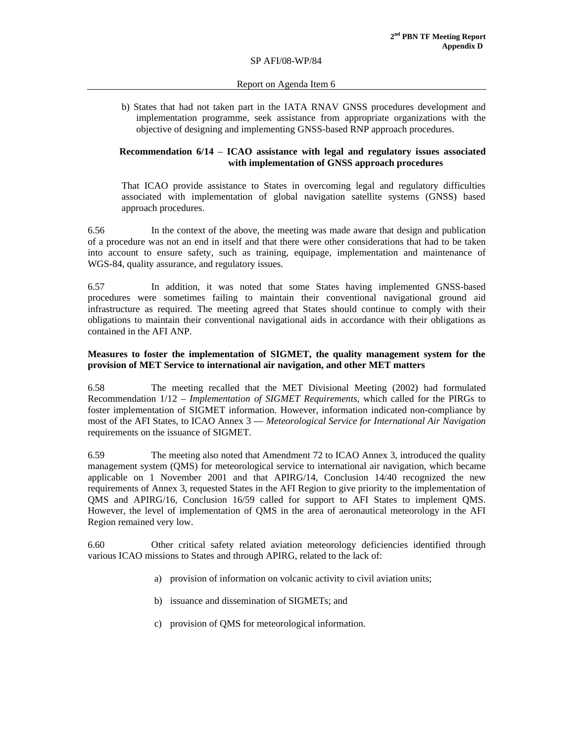#### Report on Agenda Item 6

b) States that had not taken part in the IATA RNAV GNSS procedures development and implementation programme, seek assistance from appropriate organizations with the objective of designing and implementing GNSS-based RNP approach procedures.

### **Recommendation 6/14** – **ICAO assistance with legal and regulatory issues associated with implementation of GNSS approach procedures**

That ICAO provide assistance to States in overcoming legal and regulatory difficulties associated with implementation of global navigation satellite systems (GNSS) based approach procedures.

6.56 In the context of the above, the meeting was made aware that design and publication of a procedure was not an end in itself and that there were other considerations that had to be taken into account to ensure safety, such as training, equipage, implementation and maintenance of WGS-84, quality assurance, and regulatory issues.

6.57 In addition, it was noted that some States having implemented GNSS-based procedures were sometimes failing to maintain their conventional navigational ground aid infrastructure as required. The meeting agreed that States should continue to comply with their obligations to maintain their conventional navigational aids in accordance with their obligations as contained in the AFI ANP.

### **Measures to foster the implementation of SIGMET, the quality management system for the provision of MET Service to international air navigation, and other MET matters**

6.58 The meeting recalled that the MET Divisional Meeting (2002) had formulated Recommendation 1/12 – *Implementation of SIGMET Requirements*, which called for the PIRGs to foster implementation of SIGMET information. However, information indicated non-compliance by most of the AFI States, to ICAO Annex 3 — *Meteorological Service for International Air Navigation* requirements on the issuance of SIGMET.

6.59 The meeting also noted that Amendment 72 to ICAO Annex 3, introduced the quality management system (QMS) for meteorological service to international air navigation, which became applicable on 1 November 2001 and that APIRG/14, Conclusion 14/40 recognized the new requirements of Annex 3, requested States in the AFI Region to give priority to the implementation of QMS and APIRG/16, Conclusion 16/59 called for support to AFI States to implement QMS. However, the level of implementation of QMS in the area of aeronautical meteorology in the AFI Region remained very low.

6.60 Other critical safety related aviation meteorology deficiencies identified through various ICAO missions to States and through APIRG, related to the lack of:

- a) provision of information on volcanic activity to civil aviation units;
- b) issuance and dissemination of SIGMETs; and
- c) provision of QMS for meteorological information.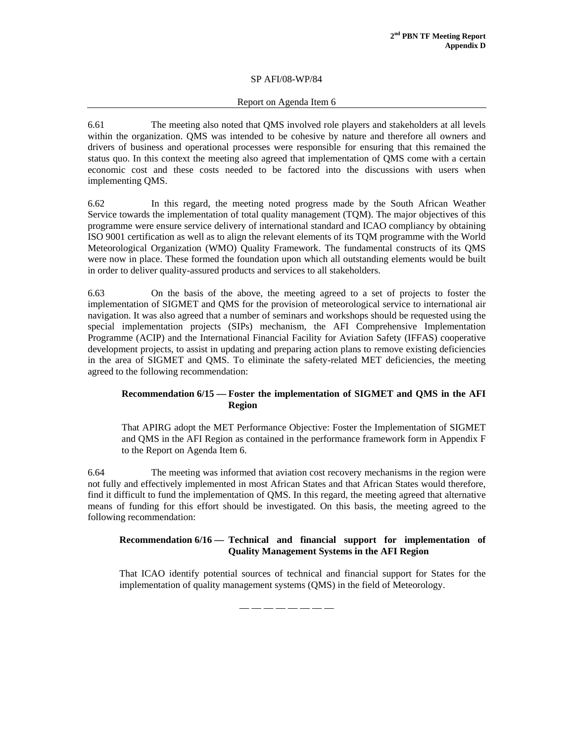### Report on Agenda Item 6

6.61 The meeting also noted that QMS involved role players and stakeholders at all levels within the organization. QMS was intended to be cohesive by nature and therefore all owners and drivers of business and operational processes were responsible for ensuring that this remained the status quo. In this context the meeting also agreed that implementation of QMS come with a certain economic cost and these costs needed to be factored into the discussions with users when implementing QMS.

6.62 In this regard, the meeting noted progress made by the South African Weather Service towards the implementation of total quality management (TQM). The major objectives of this programme were ensure service delivery of international standard and ICAO compliancy by obtaining ISO 9001 certification as well as to align the relevant elements of its TQM programme with the World Meteorological Organization (WMO) Quality Framework. The fundamental constructs of its QMS were now in place. These formed the foundation upon which all outstanding elements would be built in order to deliver quality-assured products and services to all stakeholders.

6.63 On the basis of the above, the meeting agreed to a set of projects to foster the implementation of SIGMET and QMS for the provision of meteorological service to international air navigation. It was also agreed that a number of seminars and workshops should be requested using the special implementation projects (SIPs) mechanism, the AFI Comprehensive Implementation Programme (ACIP) and the International Financial Facility for Aviation Safety (IFFAS) cooperative development projects, to assist in updating and preparing action plans to remove existing deficiencies in the area of SIGMET and QMS. To eliminate the safety-related MET deficiencies, the meeting agreed to the following recommendation:

### **Recommendation 6/15 — Foster the implementation of SIGMET and QMS in the AFI Region**

That APIRG adopt the MET Performance Objective: Foster the Implementation of SIGMET and QMS in the AFI Region as contained in the performance framework form in Appendix F to the Report on Agenda Item 6.

6.64 The meeting was informed that aviation cost recovery mechanisms in the region were not fully and effectively implemented in most African States and that African States would therefore, find it difficult to fund the implementation of QMS. In this regard, the meeting agreed that alternative means of funding for this effort should be investigated. On this basis, the meeting agreed to the following recommendation:

### **Recommendation 6/16 — Technical and financial support for implementation of Quality Management Systems in the AFI Region**

That ICAO identify potential sources of technical and financial support for States for the implementation of quality management systems (QMS) in the field of Meteorology.

— — — — — — — —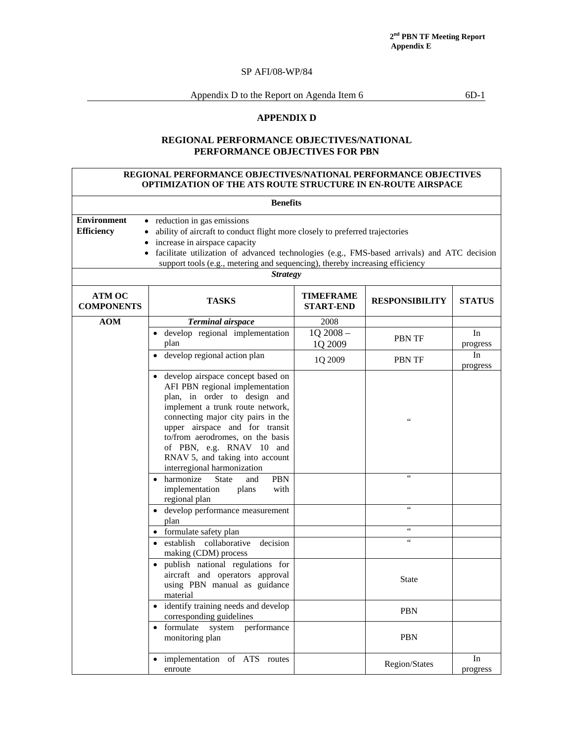Appendix D to the Report on Agenda Item 6 6D-1

### **APPENDIX D**

# **REGIONAL PERFORMANCE OBJECTIVES/NATIONAL PERFORMANCE OBJECTIVES FOR PBN**

#### **REGIONAL PERFORMANCE OBJECTIVES/NATIONAL PERFORMANCE OBJECTIVES OPTIMIZATION OF THE ATS ROUTE STRUCTURE IN EN-ROUTE AIRSPACE**

| <b>Benefits</b>                                                                                                                                                                                                                                                                                                                                                                                                      |                                                                                                                                                                                                                                                                                                                                                      |                                      |                       |                |  |  |  |  |
|----------------------------------------------------------------------------------------------------------------------------------------------------------------------------------------------------------------------------------------------------------------------------------------------------------------------------------------------------------------------------------------------------------------------|------------------------------------------------------------------------------------------------------------------------------------------------------------------------------------------------------------------------------------------------------------------------------------------------------------------------------------------------------|--------------------------------------|-----------------------|----------------|--|--|--|--|
| <b>Environment</b><br>• reduction in gas emissions<br><b>Efficiency</b><br>ability of aircraft to conduct flight more closely to preferred trajectories<br>$\bullet$<br>increase in airspace capacity<br>$\bullet$<br>facilitate utilization of advanced technologies (e.g., FMS-based arrivals) and ATC decision<br>support tools (e.g., metering and sequencing), thereby increasing efficiency<br><b>Strategy</b> |                                                                                                                                                                                                                                                                                                                                                      |                                      |                       |                |  |  |  |  |
| ATM OC<br><b>COMPONENTS</b>                                                                                                                                                                                                                                                                                                                                                                                          | <b>TASKS</b>                                                                                                                                                                                                                                                                                                                                         | <b>TIMEFRAME</b><br><b>START-END</b> | <b>RESPONSIBILITY</b> | <b>STATUS</b>  |  |  |  |  |
| <b>AOM</b>                                                                                                                                                                                                                                                                                                                                                                                                           | <b>Terminal airspace</b>                                                                                                                                                                                                                                                                                                                             | 2008                                 |                       |                |  |  |  |  |
|                                                                                                                                                                                                                                                                                                                                                                                                                      | develop regional implementation<br>plan                                                                                                                                                                                                                                                                                                              | 1Q 2008-<br>1Q 2009                  | PBN TF                | In<br>progress |  |  |  |  |
|                                                                                                                                                                                                                                                                                                                                                                                                                      | develop regional action plan                                                                                                                                                                                                                                                                                                                         | 1Q 2009                              | <b>PBN TF</b>         | In<br>progress |  |  |  |  |
|                                                                                                                                                                                                                                                                                                                                                                                                                      | • develop airspace concept based on<br>AFI PBN regional implementation<br>plan, in order to design and<br>implement a trunk route network,<br>connecting major city pairs in the<br>upper airspace and for transit<br>to/from aerodromes, on the basis<br>of PBN, e.g. RNAV 10 and<br>RNAV 5, and taking into account<br>interregional harmonization |                                      | $\zeta$ $\zeta$       |                |  |  |  |  |
|                                                                                                                                                                                                                                                                                                                                                                                                                      | • harmonize<br>PBN<br>State<br>and<br>implementation<br>plans<br>with<br>regional plan                                                                                                                                                                                                                                                               |                                      | $\leq$                |                |  |  |  |  |
|                                                                                                                                                                                                                                                                                                                                                                                                                      | develop performance measurement<br>plan                                                                                                                                                                                                                                                                                                              |                                      | $\epsilon$            |                |  |  |  |  |
|                                                                                                                                                                                                                                                                                                                                                                                                                      | • formulate safety plan                                                                                                                                                                                                                                                                                                                              |                                      | $\leq$ $\leq$         |                |  |  |  |  |
|                                                                                                                                                                                                                                                                                                                                                                                                                      | · establish collaborative<br>decision<br>making (CDM) process                                                                                                                                                                                                                                                                                        |                                      | $\leq \leq$           |                |  |  |  |  |
|                                                                                                                                                                                                                                                                                                                                                                                                                      | publish national regulations for<br>aircraft and operators approval<br>using PBN manual as guidance<br>material                                                                                                                                                                                                                                      |                                      | <b>State</b>          |                |  |  |  |  |
|                                                                                                                                                                                                                                                                                                                                                                                                                      | • identify training needs and develop<br>corresponding guidelines                                                                                                                                                                                                                                                                                    |                                      | <b>PBN</b>            |                |  |  |  |  |
|                                                                                                                                                                                                                                                                                                                                                                                                                      | formulate system<br>performance<br>$\bullet$<br>monitoring plan                                                                                                                                                                                                                                                                                      |                                      | <b>PBN</b>            |                |  |  |  |  |
|                                                                                                                                                                                                                                                                                                                                                                                                                      | implementation of ATS routes<br>enroute                                                                                                                                                                                                                                                                                                              |                                      | Region/States         | In<br>progress |  |  |  |  |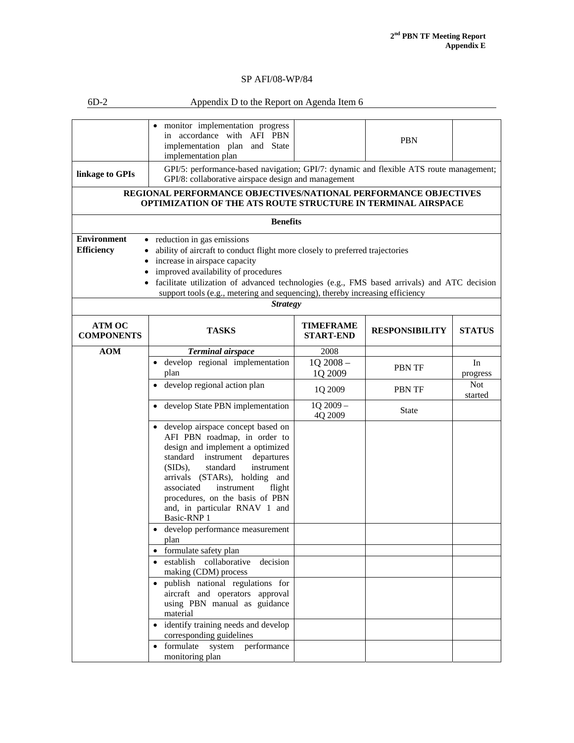| $6D-2$                                                                                                                          | Appendix D to the Report on Agenda Item 6                                                                                                                                                                                                                                                                                                                                            |                               |                       |                       |  |  |  |
|---------------------------------------------------------------------------------------------------------------------------------|--------------------------------------------------------------------------------------------------------------------------------------------------------------------------------------------------------------------------------------------------------------------------------------------------------------------------------------------------------------------------------------|-------------------------------|-----------------------|-----------------------|--|--|--|
|                                                                                                                                 | monitor implementation progress<br>in accordance with AFI PBN<br>implementation plan and State<br>implementation plan                                                                                                                                                                                                                                                                |                               | <b>PBN</b>            |                       |  |  |  |
| linkage to GPIs                                                                                                                 | GPI/5: performance-based navigation; GPI/7: dynamic and flexible ATS route management;<br>GPI/8: collaborative airspace design and management                                                                                                                                                                                                                                        |                               |                       |                       |  |  |  |
| REGIONAL PERFORMANCE OBJECTIVES/NATIONAL PERFORMANCE OBJECTIVES<br>OPTIMIZATION OF THE ATS ROUTE STRUCTURE IN TERMINAL AIRSPACE |                                                                                                                                                                                                                                                                                                                                                                                      |                               |                       |                       |  |  |  |
|                                                                                                                                 | <b>Benefits</b>                                                                                                                                                                                                                                                                                                                                                                      |                               |                       |                       |  |  |  |
| <b>Environment</b><br><b>Efficiency</b>                                                                                         | • reduction in gas emissions<br>ability of aircraft to conduct flight more closely to preferred trajectories<br>$\bullet$<br>increase in airspace capacity<br>improved availability of procedures<br>facilitate utilization of advanced technologies (e.g., FMS based arrivals) and ATC decision<br>support tools (e.g., metering and sequencing), thereby increasing efficiency     |                               |                       |                       |  |  |  |
|                                                                                                                                 | <b>Strategy</b>                                                                                                                                                                                                                                                                                                                                                                      |                               |                       |                       |  |  |  |
| <b>ATM OC</b><br><b>COMPONENTS</b>                                                                                              | <b>TASKS</b>                                                                                                                                                                                                                                                                                                                                                                         | TIMEFRAME<br><b>START-END</b> | <b>RESPONSIBILITY</b> | <b>STATUS</b>         |  |  |  |
| AOM                                                                                                                             | Terminal airspace                                                                                                                                                                                                                                                                                                                                                                    | 2008                          |                       |                       |  |  |  |
|                                                                                                                                 | · develop regional implementation<br>plan                                                                                                                                                                                                                                                                                                                                            | 1Q 2008-<br>1Q 2009           | <b>PBN TF</b>         | In<br>progress        |  |  |  |
|                                                                                                                                 | • develop regional action plan                                                                                                                                                                                                                                                                                                                                                       | 1Q 2009                       | PBN TF                | <b>Not</b><br>started |  |  |  |
|                                                                                                                                 | develop State PBN implementation                                                                                                                                                                                                                                                                                                                                                     | 1Q 2009-<br>4Q 2009           | <b>State</b>          |                       |  |  |  |
|                                                                                                                                 | • develop airspace concept based on<br>AFI PBN roadmap, in order to<br>design and implement a optimized<br>standard<br>instrument<br>departures<br>instrument<br>$(SIDS)$ ,<br>standard<br>arrivals (STARs), holding and<br>associated<br>instrument<br>flight<br>procedures, on the basis of PBN<br>and, in particular RNAV 1 and<br>Basic-RNP 1<br>develop performance measurement |                               |                       |                       |  |  |  |
|                                                                                                                                 | plan                                                                                                                                                                                                                                                                                                                                                                                 |                               |                       |                       |  |  |  |
|                                                                                                                                 | formulate safety plan<br>decision<br>• establish collaborative<br>making (CDM) process<br>· publish national regulations for<br>aircraft and operators approval<br>using PBN manual as guidance<br>material<br>identify training needs and develop                                                                                                                                   |                               |                       |                       |  |  |  |
|                                                                                                                                 | corresponding guidelines<br>• formulate system performance                                                                                                                                                                                                                                                                                                                           |                               |                       |                       |  |  |  |
|                                                                                                                                 | monitoring plan                                                                                                                                                                                                                                                                                                                                                                      |                               |                       |                       |  |  |  |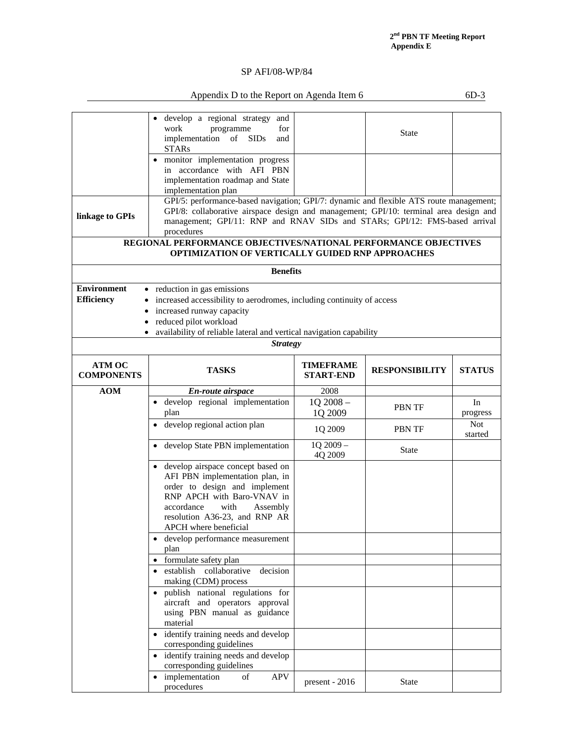# Appendix D to the Report on Agenda Item 6 6D-3

|                                                                                                                                                                                                                                                                                                | develop a regional strategy and<br>work<br>for<br>programme<br>implementation of SIDs<br>and<br><b>STARs</b><br>• monitor implementation progress<br>in accordance with AFI PBN                                                                        |                               | <b>State</b>          |                       |  |  |  |
|------------------------------------------------------------------------------------------------------------------------------------------------------------------------------------------------------------------------------------------------------------------------------------------------|--------------------------------------------------------------------------------------------------------------------------------------------------------------------------------------------------------------------------------------------------------|-------------------------------|-----------------------|-----------------------|--|--|--|
|                                                                                                                                                                                                                                                                                                | implementation roadmap and State<br>implementation plan                                                                                                                                                                                                |                               |                       |                       |  |  |  |
| GPI/5: performance-based navigation; GPI/7: dynamic and flexible ATS route management;<br>GPI/8: collaborative airspace design and management; GPI/10: terminal area design and<br>linkage to GPIs<br>management; GPI/11: RNP and RNAV SIDs and STARs; GPI/12: FMS-based arrival<br>procedures |                                                                                                                                                                                                                                                        |                               |                       |                       |  |  |  |
|                                                                                                                                                                                                                                                                                                | REGIONAL PERFORMANCE OBJECTIVES/NATIONAL PERFORMANCE OBJECTIVES<br><b>OPTIMIZATION OF VERTICALLY GUIDED RNP APPROACHES</b>                                                                                                                             |                               |                       |                       |  |  |  |
|                                                                                                                                                                                                                                                                                                | <b>Benefits</b>                                                                                                                                                                                                                                        |                               |                       |                       |  |  |  |
| <b>Environment</b><br><b>Efficiency</b>                                                                                                                                                                                                                                                        | • reduction in gas emissions<br>increased accessibility to aerodromes, including continuity of access<br>increased runway capacity<br>reduced pilot workload<br>availability of reliable lateral and vertical navigation capability<br><b>Strategy</b> |                               |                       |                       |  |  |  |
| <b>ATM OC</b><br><b>COMPONENTS</b>                                                                                                                                                                                                                                                             | <b>TASKS</b>                                                                                                                                                                                                                                           | TIMEFRAME<br><b>START-END</b> | <b>RESPONSIBILITY</b> | <b>STATUS</b>         |  |  |  |
| <b>AOM</b>                                                                                                                                                                                                                                                                                     | En-route airspace                                                                                                                                                                                                                                      | 2008                          |                       |                       |  |  |  |
|                                                                                                                                                                                                                                                                                                | · develop regional implementation<br>plan                                                                                                                                                                                                              | 1Q 2008-<br>1Q 2009           | <b>PBN TF</b>         | In<br>progress        |  |  |  |
|                                                                                                                                                                                                                                                                                                | develop regional action plan                                                                                                                                                                                                                           | 1Q 2009                       | <b>PBN TF</b>         | <b>Not</b><br>started |  |  |  |
|                                                                                                                                                                                                                                                                                                | develop State PBN implementation<br>$\bullet$                                                                                                                                                                                                          | 1Q 2009-<br>4Q 2009           | <b>State</b>          |                       |  |  |  |
|                                                                                                                                                                                                                                                                                                | • develop airspace concept based on<br>AFI PBN implementation plan, in<br>order to design and implement<br>RNP APCH with Baro-VNAV in<br>accordance<br>with<br>Assembly<br>resolution A36-23, and RNP AR<br>APCH where beneficial                      |                               |                       |                       |  |  |  |
|                                                                                                                                                                                                                                                                                                | develop performance measurement<br>plan                                                                                                                                                                                                                |                               |                       |                       |  |  |  |
|                                                                                                                                                                                                                                                                                                | formulate safety plan<br>$\bullet$                                                                                                                                                                                                                     |                               |                       |                       |  |  |  |
|                                                                                                                                                                                                                                                                                                | establish collaborative<br>decision<br>making (CDM) process                                                                                                                                                                                            |                               |                       |                       |  |  |  |
|                                                                                                                                                                                                                                                                                                | publish national regulations for<br>$\bullet$<br>aircraft and operators approval<br>using PBN manual as guidance<br>material<br>identify training needs and develop                                                                                    |                               |                       |                       |  |  |  |
|                                                                                                                                                                                                                                                                                                | corresponding guidelines                                                                                                                                                                                                                               |                               |                       |                       |  |  |  |
|                                                                                                                                                                                                                                                                                                | identify training needs and develop<br>corresponding guidelines                                                                                                                                                                                        |                               |                       |                       |  |  |  |
|                                                                                                                                                                                                                                                                                                | implementation<br><b>APV</b><br>of<br>$\bullet$<br>procedures                                                                                                                                                                                          | present - 2016                | <b>State</b>          |                       |  |  |  |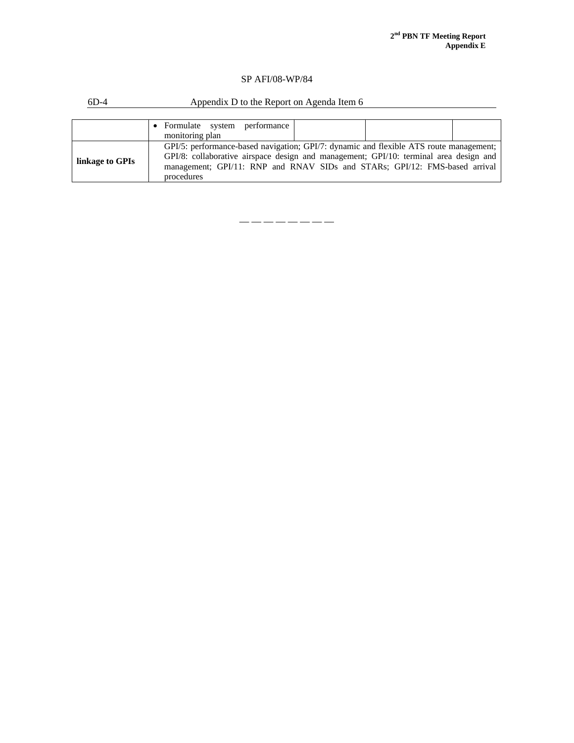| $6D-4$          | Appendix D to the Report on Agenda Item 6                                              |  |  |  |  |  |
|-----------------|----------------------------------------------------------------------------------------|--|--|--|--|--|
|                 |                                                                                        |  |  |  |  |  |
|                 | • Formulate system performance                                                         |  |  |  |  |  |
|                 | monitoring plan                                                                        |  |  |  |  |  |
|                 | GPI/5: performance-based navigation; GPI/7: dynamic and flexible ATS route management; |  |  |  |  |  |
| linkage to GPIs | GPI/8: collaborative airspace design and management; GPI/10: terminal area design and  |  |  |  |  |  |
|                 | management; GPI/11: RNP and RNAV SIDs and STARs; GPI/12: FMS-based arrival             |  |  |  |  |  |
|                 | procedures                                                                             |  |  |  |  |  |

— — — — — — — —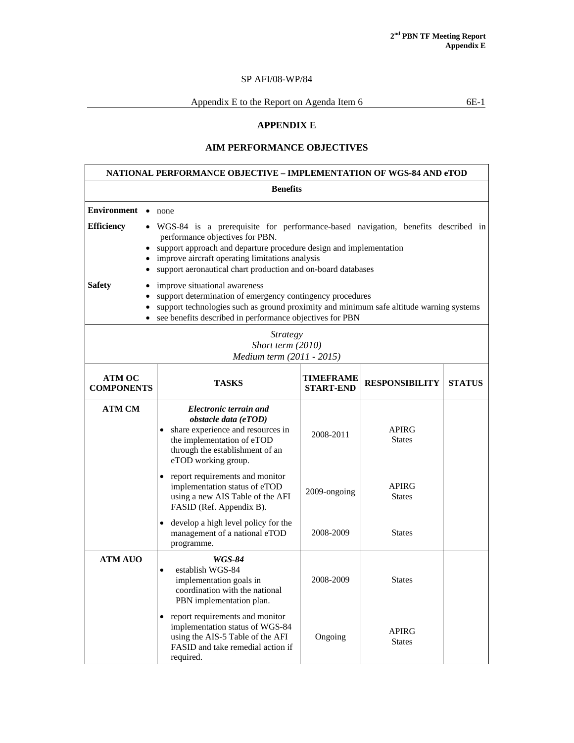Appendix E to the Report on Agenda Item  $6 \t\t 6E-1$ 

# **APPENDIX E**

# **AIM PERFORMANCE OBJECTIVES**

| NATIONAL PERFORMANCE OBJECTIVE – IMPLEMENTATION OF WGS-84 AND eTOD                                                                                                                                                                                                                                                                                                                                                                                                                                                                                                                                                                                                               |                 |                                                                                                                                                                                          |              |                               |               |  |  |
|----------------------------------------------------------------------------------------------------------------------------------------------------------------------------------------------------------------------------------------------------------------------------------------------------------------------------------------------------------------------------------------------------------------------------------------------------------------------------------------------------------------------------------------------------------------------------------------------------------------------------------------------------------------------------------|-----------------|------------------------------------------------------------------------------------------------------------------------------------------------------------------------------------------|--------------|-------------------------------|---------------|--|--|
|                                                                                                                                                                                                                                                                                                                                                                                                                                                                                                                                                                                                                                                                                  | <b>Benefits</b> |                                                                                                                                                                                          |              |                               |               |  |  |
| <b>Environment</b> • none<br><b>Efficiency</b><br>• WGS-84 is a prerequisite for performance-based navigation, benefits described in<br>performance objectives for PBN.<br>• support approach and departure procedure design and implementation<br>improve aircraft operating limitations analysis<br>support aeronautical chart production and on-board databases<br><b>Safety</b><br>improve situational awareness<br>support determination of emergency contingency procedures<br>support technologies such as ground proximity and minimum safe altitude warning systems<br>see benefits described in performance objectives for PBN<br><b>Strategy</b><br>Short term (2010) |                 |                                                                                                                                                                                          |              |                               |               |  |  |
|                                                                                                                                                                                                                                                                                                                                                                                                                                                                                                                                                                                                                                                                                  |                 | Medium term (2011 - 2015)                                                                                                                                                                |              |                               |               |  |  |
| <b>ATM OC</b><br>TIMEFRAME<br><b>TASKS</b><br><b>RESPONSIBILITY</b><br><b>COMPONENTS</b><br><b>START-END</b>                                                                                                                                                                                                                                                                                                                                                                                                                                                                                                                                                                     |                 |                                                                                                                                                                                          |              |                               | <b>STATUS</b> |  |  |
| <b>ATM CM</b>                                                                                                                                                                                                                                                                                                                                                                                                                                                                                                                                                                                                                                                                    |                 | Electronic terrain and<br>obstacle data (eTOD)<br>share experience and resources in<br>$\bullet$<br>the implementation of eTOD<br>through the establishment of an<br>eTOD working group. | 2008-2011    | <b>APIRG</b><br><b>States</b> |               |  |  |
|                                                                                                                                                                                                                                                                                                                                                                                                                                                                                                                                                                                                                                                                                  |                 | report requirements and monitor<br>implementation status of eTOD<br>using a new AIS Table of the AFI<br>FASID (Ref. Appendix B).                                                         | 2009-ongoing | <b>APIRG</b><br><b>States</b> |               |  |  |
|                                                                                                                                                                                                                                                                                                                                                                                                                                                                                                                                                                                                                                                                                  |                 | develop a high level policy for the<br>$\bullet$<br>management of a national eTOD<br>programme.                                                                                          | 2008-2009    | <b>States</b>                 |               |  |  |
| <b>ATM AUO</b>                                                                                                                                                                                                                                                                                                                                                                                                                                                                                                                                                                                                                                                                   |                 | <b>WGS-84</b><br>establish WGS-84<br>$\bullet$<br>implementation goals in<br>coordination with the national<br>PBN implementation plan.                                                  | 2008-2009    | States                        |               |  |  |
|                                                                                                                                                                                                                                                                                                                                                                                                                                                                                                                                                                                                                                                                                  |                 | report requirements and monitor<br>$\bullet$<br>implementation status of WGS-84<br>using the AIS-5 Table of the AFI<br>FASID and take remedial action if<br>required.                    | Ongoing      | <b>APIRG</b><br><b>States</b> |               |  |  |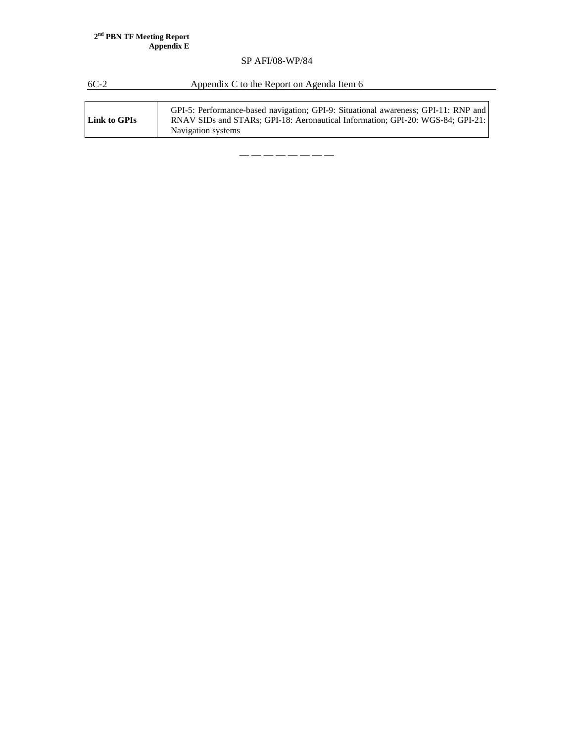#### **2nd PBN TF Meeting Report Appendix E**

# SP AFI/08-WP/84

6C-2 Appendix C to the Report on Agenda Item 6

| Link to GPIs | GPI-5: Performance-based navigation; GPI-9: Situational awareness; GPI-11: RNP and<br>RNAV SIDs and STARs: GPI-18: Aeronautical Information: GPI-20: WGS-84: GPI-21:<br>Navigation systems |
|--------------|--------------------------------------------------------------------------------------------------------------------------------------------------------------------------------------------|
|--------------|--------------------------------------------------------------------------------------------------------------------------------------------------------------------------------------------|

— — — — — — — —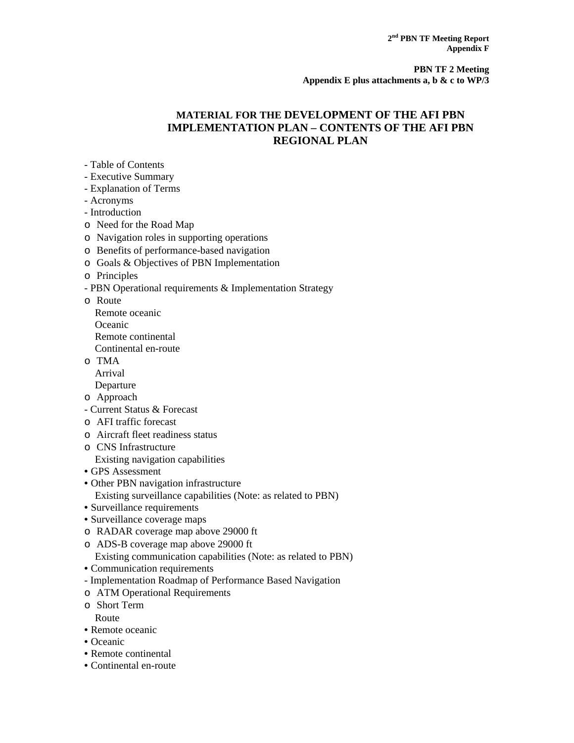# **MATERIAL FOR THE DEVELOPMENT OF THE AFI PBN IMPLEMENTATION PLAN – CONTENTS OF THE AFI PBN REGIONAL PLAN**

- Table of Contents
- Executive Summary
- Explanation of Terms
- Acronyms
- Introduction
- o Need for the Road Map
- o Navigation roles in supporting operations
- o Benefits of performance-based navigation
- o Goals & Objectives of PBN Implementation
- o Principles
- PBN Operational requirements & Implementation Strategy
- o Route
	- Remote oceanic Oceanic
	-
	- Remote continental
	- Continental en-route
- o TMA
	- Arrival
- Departure
- o Approach
- Current Status & Forecast
- o AFI traffic forecast
- o Aircraft fleet readiness status
- o CNS Infrastructure Existing navigation capabilities
- GPS Assessment
- Other PBN navigation infrastructure Existing surveillance capabilities (Note: as related to PBN)
- Surveillance requirements
- Surveillance coverage maps
- o RADAR coverage map above 29000 ft
- o ADS-B coverage map above 29000 ft
- Existing communication capabilities (Note: as related to PBN)
- Communication requirements
- Implementation Roadmap of Performance Based Navigation
- o ATM Operational Requirements
- o Short Term Route
- Remote oceanic
- Oceanic
- Remote continental
- Continental en-route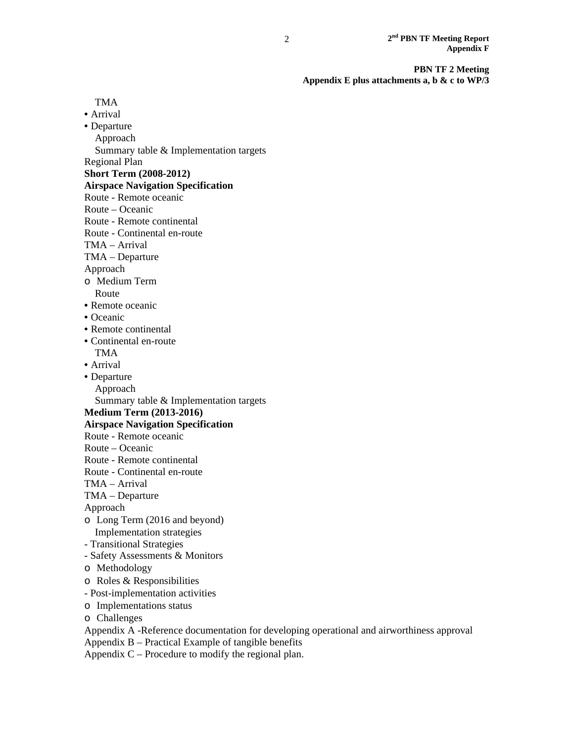TMA

- Arrival
- Departure
- Approach

Summary table & Implementation targets

Regional Plan

**Short Term (2008-2012)** 

**Airspace Navigation Specification** 

- Route Remote oceanic
- Route Oceanic
- Route Remote continental
- Route Continental en-route
- TMA Arrival
- TMA Departure

Approach

- o Medium Term
- Route
- Remote oceanic
- Oceanic
- Remote continental
- Continental en-route
- TMA
- Arrival
- Departure
- Approach

Summary table & Implementation targets

# **Medium Term (2013-2016)**

### **Airspace Navigation Specification**

- Route Remote oceanic
- Route Oceanic
- Route Remote continental
- Route Continental en-route
- TMA Arrival
- TMA Departure
- Approach
- o Long Term (2016 and beyond) Implementation strategies
- Transitional Strategies
- Safety Assessments & Monitors
- o Methodology
- o Roles & Responsibilities
- Post-implementation activities
- o Implementations status
- o Challenges
- Appendix A -Reference documentation for developing operational and airworthiness approval
- Appendix B Practical Example of tangible benefits

Appendix  $C$  – Procedure to modify the regional plan.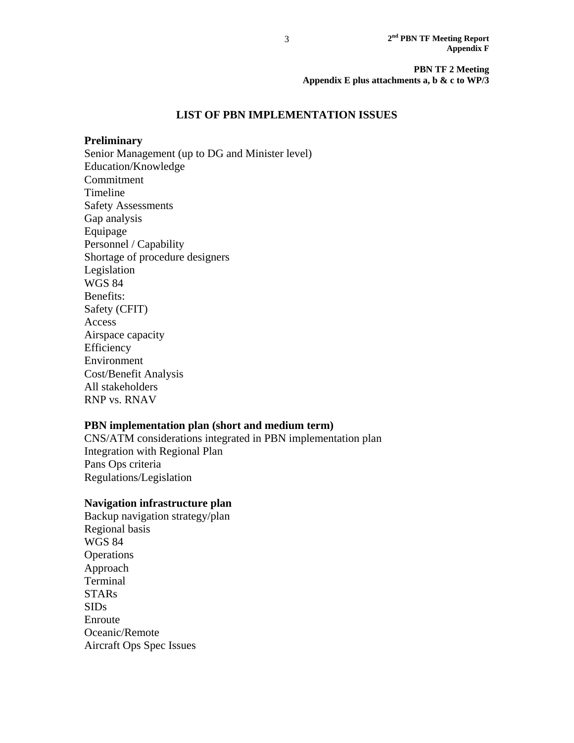# **LIST OF PBN IMPLEMENTATION ISSUES**

### **Preliminary**

Senior Management (up to DG and Minister level) Education/Knowledge Commitment Timeline Safety Assessments Gap analysis Equipage Personnel / Capability Shortage of procedure designers Legislation WGS 84 Benefits: Safety (CFIT) Access Airspace capacity Efficiency Environment Cost/Benefit Analysis All stakeholders RNP vs. RNAV

# **PBN implementation plan (short and medium term)**

CNS/ATM considerations integrated in PBN implementation plan Integration with Regional Plan Pans Ops criteria Regulations/Legislation

### **Navigation infrastructure plan**

Backup navigation strategy/plan Regional basis WGS 84 **Operations** Approach Terminal **STARs** SIDs Enroute Oceanic/Remote Aircraft Ops Spec Issues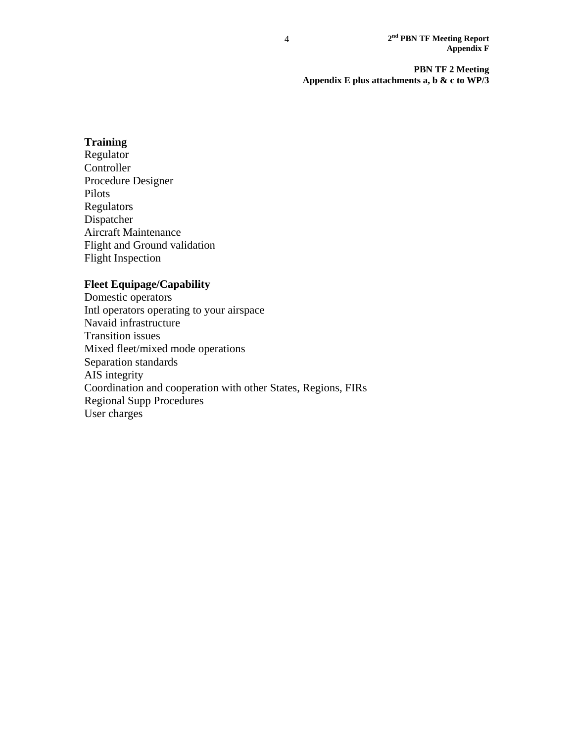# **Training**

Regulator Controller Procedure Designer Pilots Regulators Dispatcher Aircraft Maintenance Flight and Ground validation Flight Inspection

# **Fleet Equipage/Capability**

Domestic operators Intl operators operating to your airspace Navaid infrastructure Transition issues Mixed fleet/mixed mode operations Separation standards AIS integrity Coordination and cooperation with other States, Regions, FIRs Regional Supp Procedures User charges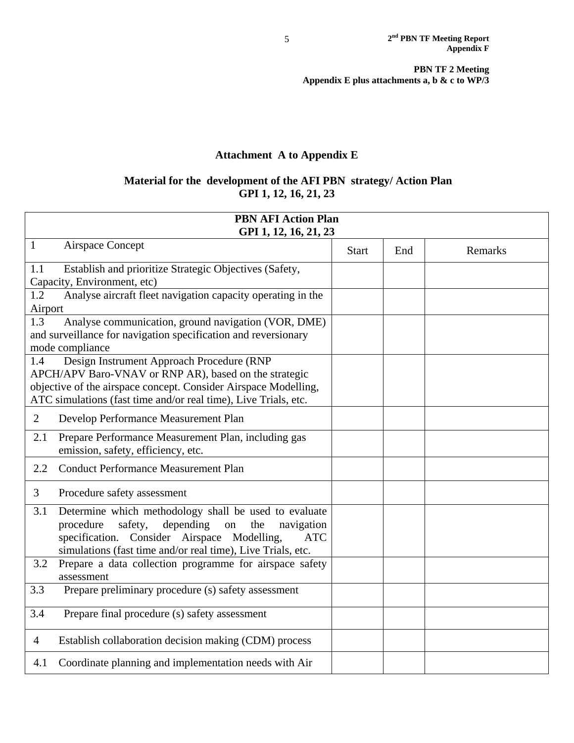# **Attachment A to Appendix E**

# **Material for the development of the AFI PBN strategy/ Action Plan GPI 1, 12, 16, 21, 23**

| <b>PBN AFI Action Plan</b><br>GPI 1, 12, 16, 21, 23                                                                                                                                                                                                      |              |     |         |  |  |
|----------------------------------------------------------------------------------------------------------------------------------------------------------------------------------------------------------------------------------------------------------|--------------|-----|---------|--|--|
| $\mathbf{1}$<br>Airspace Concept                                                                                                                                                                                                                         | <b>Start</b> | End | Remarks |  |  |
| 1.1<br>Establish and prioritize Strategic Objectives (Safety,<br>Capacity, Environment, etc)                                                                                                                                                             |              |     |         |  |  |
| 1.2<br>Analyse aircraft fleet navigation capacity operating in the<br>Airport                                                                                                                                                                            |              |     |         |  |  |
| 1.3<br>Analyse communication, ground navigation (VOR, DME)<br>and surveillance for navigation specification and reversionary<br>mode compliance                                                                                                          |              |     |         |  |  |
| Design Instrument Approach Procedure (RNP<br>1.4<br>APCH/APV Baro-VNAV or RNP AR), based on the strategic<br>objective of the airspace concept. Consider Airspace Modelling,<br>ATC simulations (fast time and/or real time), Live Trials, etc.          |              |     |         |  |  |
| 2<br>Develop Performance Measurement Plan                                                                                                                                                                                                                |              |     |         |  |  |
| Prepare Performance Measurement Plan, including gas<br>2.1<br>emission, safety, efficiency, etc.                                                                                                                                                         |              |     |         |  |  |
| <b>Conduct Performance Measurement Plan</b><br>2.2                                                                                                                                                                                                       |              |     |         |  |  |
| 3<br>Procedure safety assessment                                                                                                                                                                                                                         |              |     |         |  |  |
| 3.1<br>Determine which methodology shall be used to evaluate<br>procedure<br>safety,<br>depending<br>the<br>on<br>navigation<br>specification. Consider Airspace Modelling,<br><b>ATC</b><br>simulations (fast time and/or real time), Live Trials, etc. |              |     |         |  |  |
| 3.2<br>Prepare a data collection programme for airspace safety<br>assessment                                                                                                                                                                             |              |     |         |  |  |
| Prepare preliminary procedure (s) safety assessment<br>3.3                                                                                                                                                                                               |              |     |         |  |  |
| 3.4<br>Prepare final procedure (s) safety assessment                                                                                                                                                                                                     |              |     |         |  |  |
| Establish collaboration decision making (CDM) process<br>$\overline{4}$                                                                                                                                                                                  |              |     |         |  |  |
| Coordinate planning and implementation needs with Air<br>4.1                                                                                                                                                                                             |              |     |         |  |  |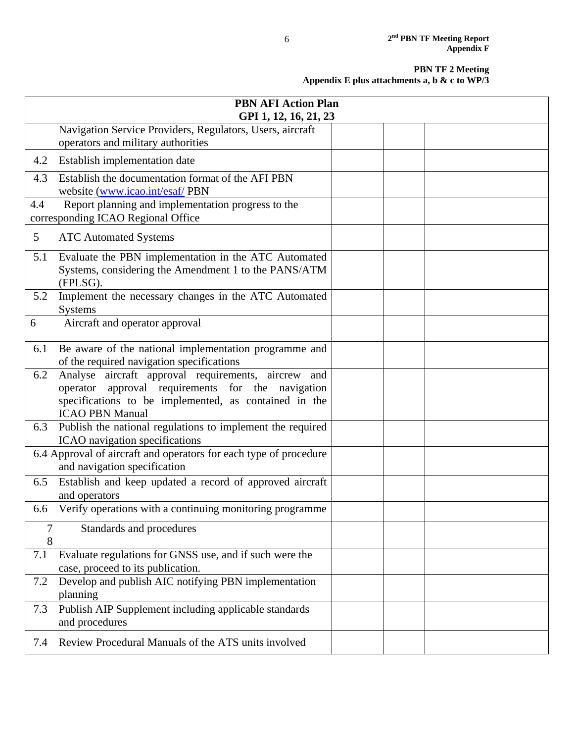|                | <b>PBN AFI Action Plan</b><br>GPI 1, 12, 16, 21, 23                                                                                                                                         |  |  |
|----------------|---------------------------------------------------------------------------------------------------------------------------------------------------------------------------------------------|--|--|
|                | Navigation Service Providers, Regulators, Users, aircraft<br>operators and military authorities                                                                                             |  |  |
| 4.2            | Establish implementation date                                                                                                                                                               |  |  |
| 4.3            | Establish the documentation format of the AFI PBN<br>website (www.icao.int/esaf/PBN                                                                                                         |  |  |
| 4.4            | Report planning and implementation progress to the<br>corresponding ICAO Regional Office                                                                                                    |  |  |
| 5 <sup>5</sup> | <b>ATC Automated Systems</b>                                                                                                                                                                |  |  |
| 5.1            | Evaluate the PBN implementation in the ATC Automated<br>Systems, considering the Amendment 1 to the PANS/ATM<br>(FPLSG).                                                                    |  |  |
| 5.2            | Implement the necessary changes in the ATC Automated<br>Systems                                                                                                                             |  |  |
| 6              | Aircraft and operator approval                                                                                                                                                              |  |  |
| 6.1            | Be aware of the national implementation programme and<br>of the required navigation specifications                                                                                          |  |  |
| 6.2            | Analyse aircraft approval requirements, aircrew and<br>operator approval requirements for the navigation<br>specifications to be implemented, as contained in the<br><b>ICAO PBN Manual</b> |  |  |
| 6.3            | Publish the national regulations to implement the required<br>ICAO navigation specifications                                                                                                |  |  |
|                | 6.4 Approval of aircraft and operators for each type of procedure<br>and navigation specification                                                                                           |  |  |
| 6.5            | Establish and keep updated a record of approved aircraft<br>and operators                                                                                                                   |  |  |
| 6.6            | Verify operations with a continuing monitoring programme                                                                                                                                    |  |  |
| 7<br>8         | Standards and procedures                                                                                                                                                                    |  |  |
| 7.1            | Evaluate regulations for GNSS use, and if such were the<br>case, proceed to its publication.                                                                                                |  |  |
| 7.2            | Develop and publish AIC notifying PBN implementation<br>planning                                                                                                                            |  |  |
| 7.3            | Publish AIP Supplement including applicable standards<br>and procedures                                                                                                                     |  |  |
| 7.4            | Review Procedural Manuals of the ATS units involved                                                                                                                                         |  |  |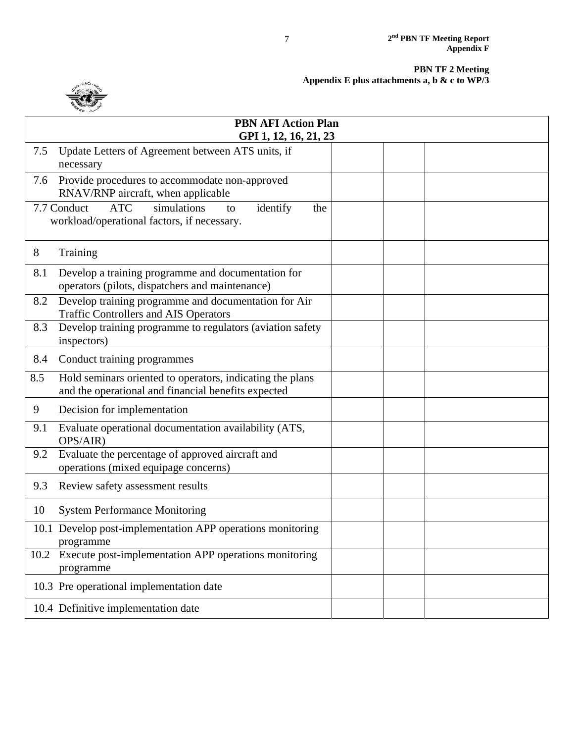

|      | <b>PBN AFI Action Plan</b><br>GPI 1, 12, 16, 21, 23                                                              |  |
|------|------------------------------------------------------------------------------------------------------------------|--|
| 7.5  | Update Letters of Agreement between ATS units, if<br>necessary                                                   |  |
| 7.6  | Provide procedures to accommodate non-approved<br>RNAV/RNP aircraft, when applicable                             |  |
|      | <b>ATC</b><br>simulations<br>7.7 Conduct<br>identify<br>the<br>to<br>workload/operational factors, if necessary. |  |
| 8    | Training                                                                                                         |  |
| 8.1  | Develop a training programme and documentation for<br>operators (pilots, dispatchers and maintenance)            |  |
| 8.2  | Develop training programme and documentation for Air<br><b>Traffic Controllers and AIS Operators</b>             |  |
| 8.3  | Develop training programme to regulators (aviation safety<br>inspectors)                                         |  |
| 8.4  | Conduct training programmes                                                                                      |  |
| 8.5  | Hold seminars oriented to operators, indicating the plans<br>and the operational and financial benefits expected |  |
| 9    | Decision for implementation                                                                                      |  |
| 9.1  | Evaluate operational documentation availability (ATS,<br>OPS/AIR)                                                |  |
| 9.2  | Evaluate the percentage of approved aircraft and<br>operations (mixed equipage concerns)                         |  |
| 9.3  | Review safety assessment results                                                                                 |  |
| 10   | <b>System Performance Monitoring</b>                                                                             |  |
|      | 10.1 Develop post-implementation APP operations monitoring<br>programme                                          |  |
| 10.2 | Execute post-implementation APP operations monitoring<br>programme                                               |  |
|      | 10.3 Pre operational implementation date                                                                         |  |
|      | 10.4 Definitive implementation date                                                                              |  |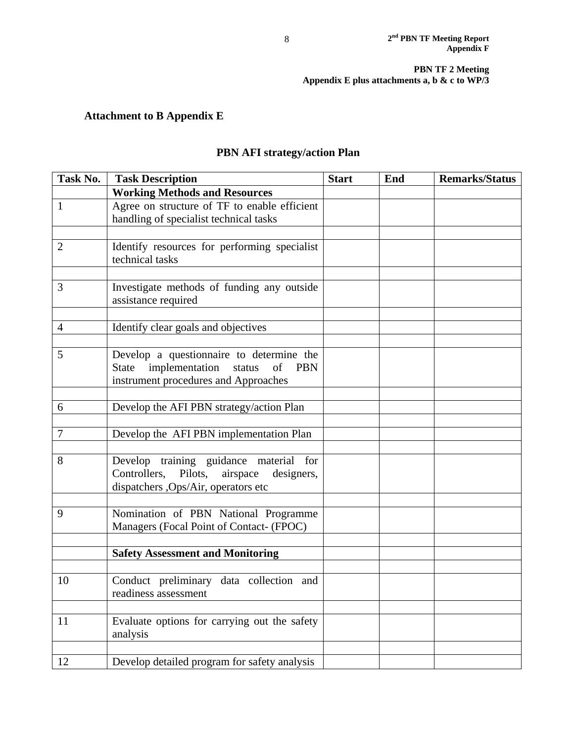# **Attachment to B Appendix E**

# **PBN AFI strategy/action Plan**

| Task No.       | <b>Task Description</b>                         | <b>Start</b> | End | <b>Remarks/Status</b> |
|----------------|-------------------------------------------------|--------------|-----|-----------------------|
|                | <b>Working Methods and Resources</b>            |              |     |                       |
| $\mathbf{1}$   | Agree on structure of TF to enable efficient    |              |     |                       |
|                | handling of specialist technical tasks          |              |     |                       |
|                |                                                 |              |     |                       |
| $\overline{2}$ | Identify resources for performing specialist    |              |     |                       |
|                | technical tasks                                 |              |     |                       |
|                |                                                 |              |     |                       |
| 3              | Investigate methods of funding any outside      |              |     |                       |
|                | assistance required                             |              |     |                       |
| $\overline{4}$ | Identify clear goals and objectives             |              |     |                       |
|                |                                                 |              |     |                       |
| 5              | Develop a questionnaire to determine the        |              |     |                       |
|                | State implementation status<br><b>PBN</b><br>of |              |     |                       |
|                | instrument procedures and Approaches            |              |     |                       |
|                |                                                 |              |     |                       |
| 6              | Develop the AFI PBN strategy/action Plan        |              |     |                       |
|                |                                                 |              |     |                       |
| 7              | Develop the AFI PBN implementation Plan         |              |     |                       |
|                |                                                 |              |     |                       |
| 8              | Develop training guidance material for          |              |     |                       |
|                | Controllers, Pilots,<br>airspace<br>designers,  |              |     |                       |
|                | dispatchers , Ops/Air, operators etc            |              |     |                       |
| 9              | Nomination of PBN National Programme            |              |     |                       |
|                | Managers (Focal Point of Contact- (FPOC)        |              |     |                       |
|                |                                                 |              |     |                       |
|                | <b>Safety Assessment and Monitoring</b>         |              |     |                       |
|                |                                                 |              |     |                       |
| 10             | Conduct preliminary data collection and         |              |     |                       |
|                | readiness assessment                            |              |     |                       |
|                |                                                 |              |     |                       |
| 11             | Evaluate options for carrying out the safety    |              |     |                       |
|                | analysis                                        |              |     |                       |
|                |                                                 |              |     |                       |
| 12             | Develop detailed program for safety analysis    |              |     |                       |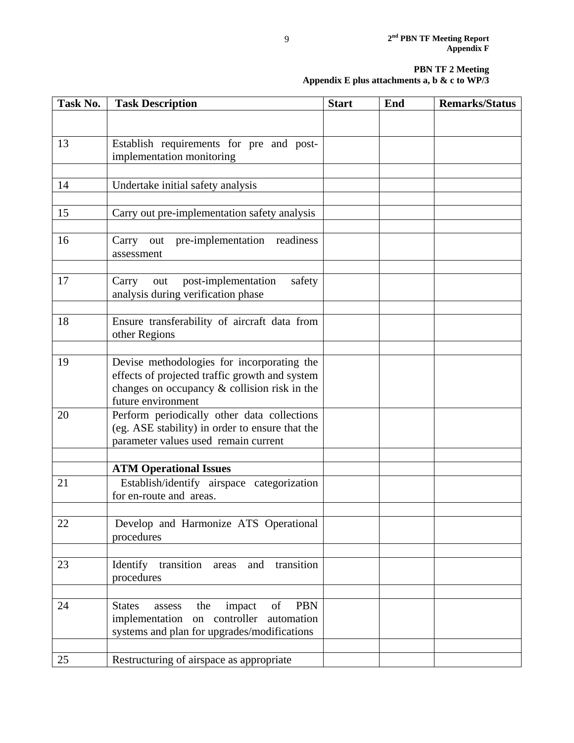| Task No. | <b>Task Description</b>                                            | <b>Start</b> | End | <b>Remarks/Status</b> |
|----------|--------------------------------------------------------------------|--------------|-----|-----------------------|
|          |                                                                    |              |     |                       |
|          |                                                                    |              |     |                       |
| 13       | Establish requirements for pre and post-                           |              |     |                       |
|          | implementation monitoring                                          |              |     |                       |
|          |                                                                    |              |     |                       |
| 14       | Undertake initial safety analysis                                  |              |     |                       |
| 15       | Carry out pre-implementation safety analysis                       |              |     |                       |
|          |                                                                    |              |     |                       |
| 16       | Carry out pre-implementation<br>readiness<br>assessment            |              |     |                       |
| 17       | post-implementation<br>safety<br>Carry<br>out                      |              |     |                       |
|          | analysis during verification phase                                 |              |     |                       |
|          |                                                                    |              |     |                       |
| 18       | Ensure transferability of aircraft data from<br>other Regions      |              |     |                       |
|          |                                                                    |              |     |                       |
| 19       | Devise methodologies for incorporating the                         |              |     |                       |
|          | effects of projected traffic growth and system                     |              |     |                       |
|          | changes on occupancy & collision risk in the<br>future environment |              |     |                       |
| 20       | Perform periodically other data collections                        |              |     |                       |
|          | (eg. ASE stability) in order to ensure that the                    |              |     |                       |
|          | parameter values used remain current                               |              |     |                       |
|          |                                                                    |              |     |                       |
|          | <b>ATM Operational Issues</b>                                      |              |     |                       |
| 21       | Establish/identify airspace categorization                         |              |     |                       |
|          | for en-route and areas.                                            |              |     |                       |
| 22       | Develop and Harmonize ATS Operational                              |              |     |                       |
|          | procedures                                                         |              |     |                       |
|          |                                                                    |              |     |                       |
| 23       | Identify<br>transition areas and<br>transition                     |              |     |                       |
|          | procedures                                                         |              |     |                       |
|          |                                                                    |              |     |                       |
| 24       | <b>PBN</b><br>of<br><b>States</b><br>the<br>impact<br>assess       |              |     |                       |
|          | implementation on controller automation                            |              |     |                       |
|          | systems and plan for upgrades/modifications                        |              |     |                       |
|          |                                                                    |              |     |                       |
| 25       | Restructuring of airspace as appropriate                           |              |     |                       |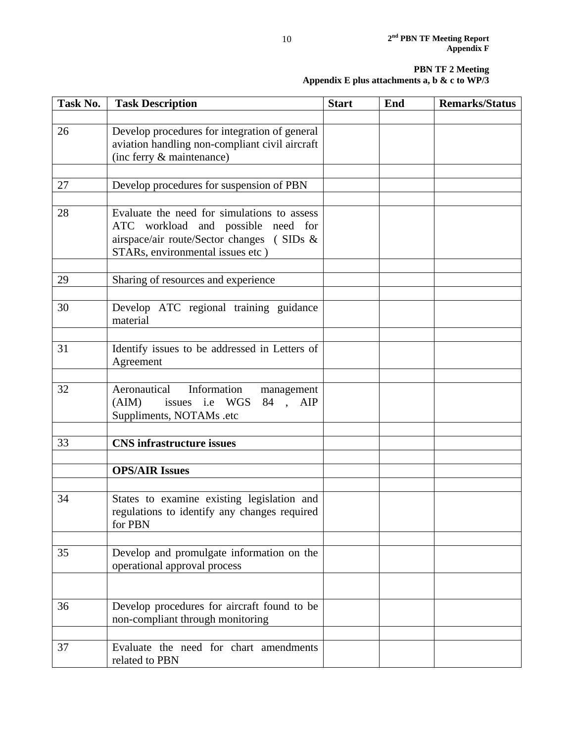| Task No. | <b>Task Description</b>                                                                                                                                            | <b>Start</b> | End | <b>Remarks/Status</b> |
|----------|--------------------------------------------------------------------------------------------------------------------------------------------------------------------|--------------|-----|-----------------------|
|          |                                                                                                                                                                    |              |     |                       |
| 26       | Develop procedures for integration of general<br>aviation handling non-compliant civil aircraft<br>(inc ferry & maintenance)                                       |              |     |                       |
|          |                                                                                                                                                                    |              |     |                       |
| 27       | Develop procedures for suspension of PBN                                                                                                                           |              |     |                       |
|          |                                                                                                                                                                    |              |     |                       |
| 28       | Evaluate the need for simulations to assess<br>ATC workload and possible need for<br>airspace/air route/Sector changes (SIDs &<br>STARs, environmental issues etc) |              |     |                       |
| 29       | Sharing of resources and experience                                                                                                                                |              |     |                       |
|          |                                                                                                                                                                    |              |     |                       |
| 30       | Develop ATC regional training guidance<br>material                                                                                                                 |              |     |                       |
|          |                                                                                                                                                                    |              |     |                       |
| 31       | Identify issues to be addressed in Letters of<br>Agreement                                                                                                         |              |     |                       |
|          |                                                                                                                                                                    |              |     |                       |
| 32       | Aeronautical<br>Information<br>management<br>issues i.e WGS 84, AIP<br>(AIM)<br>Suppliments, NOTAMs .etc                                                           |              |     |                       |
|          |                                                                                                                                                                    |              |     |                       |
| 33       | <b>CNS</b> infrastructure issues                                                                                                                                   |              |     |                       |
|          |                                                                                                                                                                    |              |     |                       |
|          | <b>OPS/AIR Issues</b>                                                                                                                                              |              |     |                       |
|          |                                                                                                                                                                    |              |     |                       |
| 34       | States to examine existing legislation and<br>regulations to identify any changes required<br>for PBN                                                              |              |     |                       |
|          |                                                                                                                                                                    |              |     |                       |
| 35       | Develop and promulgate information on the<br>operational approval process                                                                                          |              |     |                       |
|          |                                                                                                                                                                    |              |     |                       |
| 36       | Develop procedures for aircraft found to be<br>non-compliant through monitoring                                                                                    |              |     |                       |
|          |                                                                                                                                                                    |              |     |                       |
| 37       | Evaluate the need for chart amendments<br>related to PBN                                                                                                           |              |     |                       |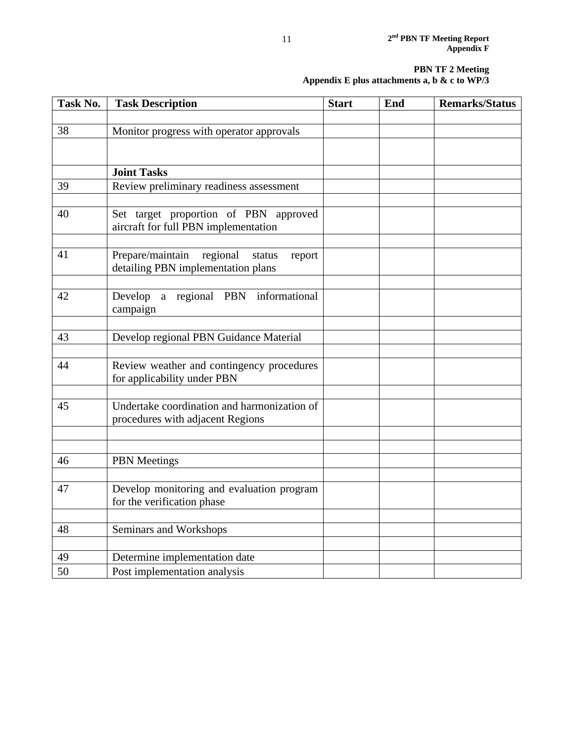| Task No. | <b>Task Description</b>                                                         | <b>Start</b> | End | <b>Remarks/Status</b> |
|----------|---------------------------------------------------------------------------------|--------------|-----|-----------------------|
|          |                                                                                 |              |     |                       |
| 38       | Monitor progress with operator approvals                                        |              |     |                       |
|          |                                                                                 |              |     |                       |
|          | <b>Joint Tasks</b>                                                              |              |     |                       |
| 39       | Review preliminary readiness assessment                                         |              |     |                       |
|          |                                                                                 |              |     |                       |
| 40       | Set target proportion of PBN approved<br>aircraft for full PBN implementation   |              |     |                       |
| 41       | Prepare/maintain<br>regional<br>status<br>report                                |              |     |                       |
|          | detailing PBN implementation plans                                              |              |     |                       |
|          |                                                                                 |              |     |                       |
| 42       | Develop a regional PBN informational<br>campaign                                |              |     |                       |
|          |                                                                                 |              |     |                       |
| 43       | Develop regional PBN Guidance Material                                          |              |     |                       |
|          |                                                                                 |              |     |                       |
| 44       | Review weather and contingency procedures<br>for applicability under PBN        |              |     |                       |
|          |                                                                                 |              |     |                       |
| 45       | Undertake coordination and harmonization of<br>procedures with adjacent Regions |              |     |                       |
|          |                                                                                 |              |     |                       |
|          |                                                                                 |              |     |                       |
| 46       | <b>PBN</b> Meetings                                                             |              |     |                       |
|          |                                                                                 |              |     |                       |
| 47       | Develop monitoring and evaluation program<br>for the verification phase         |              |     |                       |
|          |                                                                                 |              |     |                       |
| 48       | Seminars and Workshops                                                          |              |     |                       |
|          |                                                                                 |              |     |                       |
| 49       | Determine implementation date                                                   |              |     |                       |
| 50       | Post implementation analysis                                                    |              |     |                       |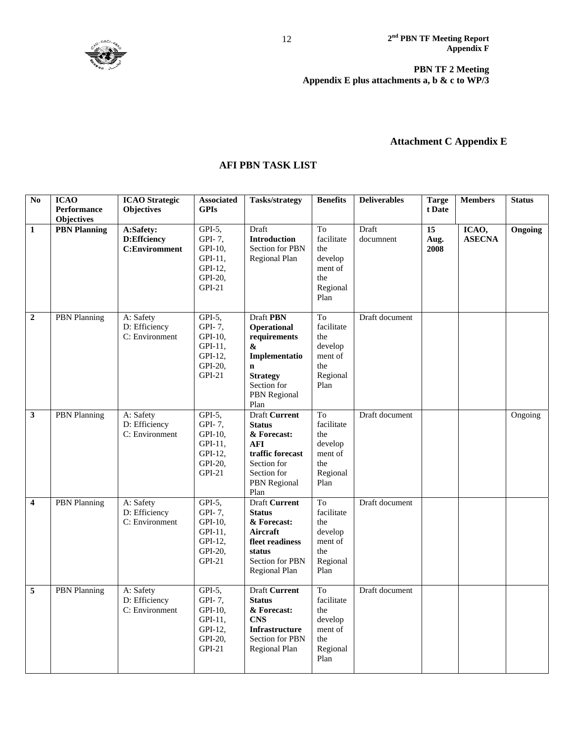

# **Attachment C Appendix E**

# **AFI PBN TASK LIST**

| $\overline{No}$         | <b>ICAO</b><br><b>Performance</b> | <b>ICAO</b> Strategic<br><b>Objectives</b>       | <b>Associated</b><br><b>GPIs</b>                                            | <b>Tasks/strategy</b>                                                                                                                                 | <b>Benefits</b>                                                                      | <b>Deliverables</b> | <b>Targe</b><br>t Date | <b>Members</b>         | <b>Status</b> |
|-------------------------|-----------------------------------|--------------------------------------------------|-----------------------------------------------------------------------------|-------------------------------------------------------------------------------------------------------------------------------------------------------|--------------------------------------------------------------------------------------|---------------------|------------------------|------------------------|---------------|
|                         | <b>Objectives</b>                 |                                                  |                                                                             |                                                                                                                                                       |                                                                                      |                     |                        |                        |               |
| $\mathbf{1}$            | <b>PBN</b> Planning               | A:Safety:<br>D:Effciency<br><b>C:Enviromment</b> | $GPI-5,$<br>GPI-7,<br>GPI-10,<br>GPI-11,<br>GPI-12,<br>GPI-20,<br>$GPI-21$  | Draft<br><b>Introduction</b><br>Section for PBN<br>Regional Plan                                                                                      | <b>To</b><br>facilitate<br>the<br>develop<br>ment of<br>the<br>Regional<br>Plan      | Draft<br>documnent  | 15<br>Aug.<br>2008     | ICAO,<br><b>ASECNA</b> | Ongoing       |
| $\mathbf{2}$            | <b>PBN</b> Planning               | A: Safety<br>D: Efficiency<br>C: Environment     | $GPI-5$ ,<br>GPI-7,<br>GPI-10,<br>GPI-11,<br>GPI-12,<br>GPI-20,<br>$GPI-21$ | <b>Draft PBN</b><br>Operational<br>requirements<br>&<br>Implementatio<br>$\mathbf n$<br><b>Strategy</b><br>Section for<br><b>PBN</b> Regional<br>Plan | <b>To</b><br>facilitate<br>the<br>develop<br>ment of<br>the<br>Regional<br>Plan      | Draft document      |                        |                        |               |
| 3                       | <b>PBN</b> Planning               | A: Safety<br>D: Efficiency<br>C: Environment     | $GPI-5$ ,<br>GPI-7,<br>GPI-10,<br>GPI-11.<br>GPI-12,<br>GPI-20,<br>$GPI-21$ | <b>Draft Current</b><br><b>Status</b><br>& Forecast:<br><b>AFI</b><br>traffic forecast<br>Section for<br>Section for<br><b>PBN</b> Regional<br>Plan   | To<br>facilitate<br>the<br>develop<br>ment of<br>the<br>Regional<br>Plan             | Draft document      |                        |                        | Ongoing       |
| $\overline{\mathbf{4}}$ | <b>PBN</b> Planning               | A: Safety<br>D: Efficiency<br>C: Environment     | $GPI-5$ ,<br>GPI-7,<br>GPI-10,<br>GPI-11,<br>GPI-12,<br>GPI-20,<br>$GPI-21$ | <b>Draft Current</b><br><b>Status</b><br>& Forecast:<br>Aircraft<br>fleet readiness<br>status<br><b>Section for PBN</b><br>Regional Plan              | T <sub>o</sub><br>facilitate<br>the<br>develop<br>ment of<br>the<br>Regional<br>Plan | Draft document      |                        |                        |               |
| 5                       | <b>PBN</b> Planning               | A: Safety<br>D: Efficiency<br>C: Environment     | GPI-5,<br>GPI-7,<br>GPI-10,<br>GPI-11,<br>GPI-12,<br>GPI-20,<br>GPI-21      | <b>Draft Current</b><br><b>Status</b><br>& Forecast:<br><b>CNS</b><br><b>Infrastructure</b><br>Section for PBN<br>Regional Plan                       | To<br>facilitate<br>the<br>develop<br>ment of<br>the<br>Regional<br>Plan             | Draft document      |                        |                        |               |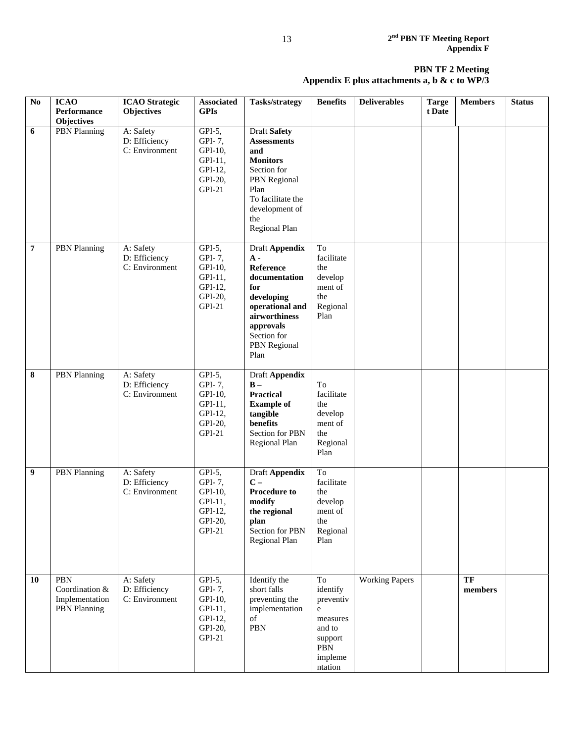| N <sub>0</sub> | <b>ICAO</b><br><b>Performance</b><br><b>Objectives</b>         | <b>ICAO</b> Strategic<br><b>Objectives</b>   | Associated<br><b>GPIs</b>                                                | <b>Tasks/strategy</b>                                                                                                                                                     | <b>Benefits</b>                                                                                | <b>Deliverables</b>   | <b>Targe</b><br>t Date | <b>Members</b> | <b>Status</b> |
|----------------|----------------------------------------------------------------|----------------------------------------------|--------------------------------------------------------------------------|---------------------------------------------------------------------------------------------------------------------------------------------------------------------------|------------------------------------------------------------------------------------------------|-----------------------|------------------------|----------------|---------------|
| 6              | <b>PBN</b> Planning                                            | A: Safety<br>D: Efficiency<br>C: Environment | $GPI-5,$<br>GPI-7,<br>GPI-10,<br>GPI-11,<br>GPI-12,<br>GPI-20,<br>GPI-21 | <b>Draft Safety</b><br><b>Assessments</b><br>and<br><b>Monitors</b><br>Section for<br>PBN Regional<br>Plan<br>To facilitate the<br>development of<br>the<br>Regional Plan |                                                                                                |                       |                        |                |               |
| $\overline{7}$ | <b>PBN</b> Planning                                            | A: Safety<br>D: Efficiency<br>C: Environment | GPI-5,<br>GPI-7,<br>GPI-10,<br>GPI-11,<br>GPI-12,<br>GPI-20,<br>GPI-21   | Draft Appendix<br>$A -$<br>Reference<br>documentation<br>for<br>developing<br>operational and<br>airworthiness<br>approvals<br>Section for<br>PBN Regional<br>Plan        | To<br>facilitate<br>the<br>develop<br>ment of<br>the<br>Regional<br>Plan                       |                       |                        |                |               |
| 8              | PBN Planning                                                   | A: Safety<br>D: Efficiency<br>C: Environment | GPI-5,<br>GPI-7,<br>GPI-10,<br>GPI-11,<br>GPI-12,<br>GPI-20,<br>$GPI-21$ | Draft Appendix<br>$B -$<br>Practical<br><b>Example of</b><br>tangible<br>benefits<br>Section for PBN<br>Regional Plan                                                     | To<br>facilitate<br>the<br>develop<br>ment of<br>the<br>Regional<br>Plan                       |                       |                        |                |               |
| 9              | <b>PBN</b> Planning                                            | A: Safety<br>D: Efficiency<br>C: Environment | GPI-5,<br>GPI-7,<br>GPI-10,<br>GPI-11,<br>GPI-12,<br>GPI-20,<br>$GPI-21$ | Draft Appendix<br>$C -$<br><b>Procedure to</b><br>modify<br>the regional<br>plan<br>Section for PBN<br>Regional Plan                                                      | To<br>facilitate<br>the<br>develop<br>ment of<br>the<br>Regional<br>Plan                       |                       |                        |                |               |
| 10             | PBN<br>Coordination &<br>Implementation<br><b>PBN</b> Planning | A: Safety<br>D: Efficiency<br>C: Environment | GPI-5,<br>GPI-7,<br>GPI-10,<br>GPI-11,<br>GPI-12,<br>GPI-20,<br>$GPI-21$ | Identify the<br>short falls<br>preventing the<br>implementation<br>of<br>PBN                                                                                              | To<br>identify<br>preventiv<br>e<br>measures<br>and to<br>support<br>PBN<br>impleme<br>ntation | <b>Working Papers</b> |                        | TF<br>members  |               |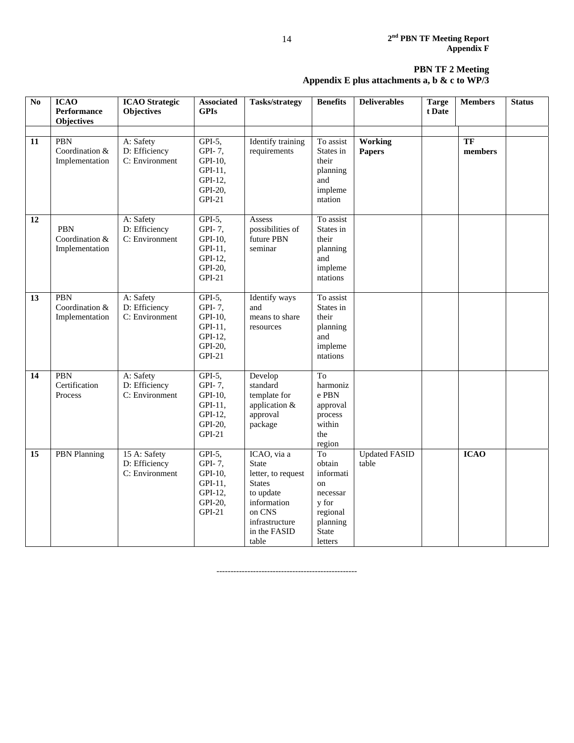| $\overline{No}$ | <b>ICAO</b><br><b>Performance</b><br><b>Objectives</b> | <b>ICAO</b> Strategic<br>Objectives             | <b>Associated</b><br><b>GPIs</b>                                                       | <b>Tasks/strategy</b>                                                                                                                               | <b>Benefits</b>                                                                                  | <b>Deliverables</b>             | <b>Targe</b><br>t Date | <b>Members</b> | <b>Status</b> |
|-----------------|--------------------------------------------------------|-------------------------------------------------|----------------------------------------------------------------------------------------|-----------------------------------------------------------------------------------------------------------------------------------------------------|--------------------------------------------------------------------------------------------------|---------------------------------|------------------------|----------------|---------------|
| 11              | PBN<br>Coordination &<br>Implementation                | A: Safety<br>D: Efficiency<br>C: Environment    | $GPI-5,$<br>GPI-7,<br>GPI-10,<br>GPI-11,<br>GPI-12,<br>GPI-20,<br>$GPI-21$             | <b>Identify training</b><br>requirements                                                                                                            | To assist<br>States in<br>their<br>planning<br>and<br>impleme<br>ntation                         | <b>Working</b><br><b>Papers</b> |                        | TF<br>members  |               |
| $\overline{12}$ | PBN<br>Coordination &<br>Implementation                | A: Safety<br>D: Efficiency<br>C: Environment    | $\overline{GPI-5}$ ,<br>GPI-7,<br>GPI-10,<br>GPI-11,<br>GPI-12,<br>GPI-20,<br>$GPI-21$ | Assess<br>possibilities of<br>future PBN<br>seminar                                                                                                 | To assist<br>States in<br>their<br>planning<br>and<br>impleme<br>ntations                        |                                 |                        |                |               |
| 13              | PBN<br>Coordination &<br>Implementation                | A: Safety<br>D: Efficiency<br>C: Environment    | $GPI-5$ ,<br>GPI-7,<br>GPI-10,<br>GPI-11,<br>GPI-12,<br>GPI-20,<br><b>GPI-21</b>       | <b>Identify</b> ways<br>and<br>means to share<br>resources                                                                                          | To assist<br>States in<br>their<br>planning<br>and<br>impleme<br>ntations                        |                                 |                        |                |               |
| 14              | PBN<br>Certification<br>Process                        | A: Safety<br>D: Efficiency<br>C: Environment    | $GPI-5,$<br>GPI-7,<br>GPI-10,<br>GPI-11,<br>GPI-12,<br>GPI-20,<br>$GPI-21$             | Develop<br>standard<br>template for<br>application &<br>approval<br>package                                                                         | To<br>harmoniz<br>e PBN<br>approval<br>process<br>within<br>the<br>region                        |                                 |                        |                |               |
| 15              | <b>PBN</b> Planning                                    | 15 A: Safety<br>D: Efficiency<br>C: Environment | $GPI-5$ ,<br>GPI-7,<br>GPI-10,<br>GPI-11,<br>GPI-12,<br>GPI-20,<br>$GPI-21$            | ICAO, via a<br><b>State</b><br>letter, to request<br><b>States</b><br>to update<br>information<br>on CNS<br>infrastructure<br>in the FASID<br>table | To<br>obtain<br>informati<br>on<br>necessar<br>y for<br>regional<br>planning<br>State<br>letters | <b>Updated FASID</b><br>table   |                        | <b>ICAO</b>    |               |

--------------------------------------------------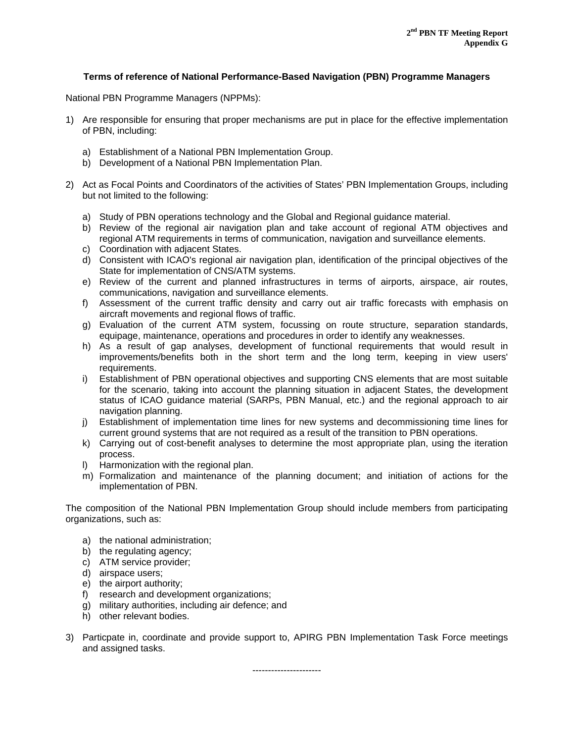### **Terms of reference of National Performance-Based Navigation (PBN) Programme Managers**

National PBN Programme Managers (NPPMs):

- 1) Are responsible for ensuring that proper mechanisms are put in place for the effective implementation of PBN, including:
	- a) Establishment of a National PBN Implementation Group.
	- b) Development of a National PBN Implementation Plan.
- 2) Act as Focal Points and Coordinators of the activities of States' PBN Implementation Groups, including but not limited to the following:
	- a) Study of PBN operations technology and the Global and Regional guidance material.
	- b) Review of the regional air navigation plan and take account of regional ATM objectives and regional ATM requirements in terms of communication, navigation and surveillance elements.
	- c) Coordination with adjacent States.
	- d) Consistent with ICAO's regional air navigation plan, identification of the principal objectives of the State for implementation of CNS/ATM systems.
	- e) Review of the current and planned infrastructures in terms of airports, airspace, air routes, communications, navigation and surveillance elements.
	- f) Assessment of the current traffic density and carry out air traffic forecasts with emphasis on aircraft movements and regional flows of traffic.
	- g) Evaluation of the current ATM system, focussing on route structure, separation standards, equipage, maintenance, operations and procedures in order to identify any weaknesses.
	- h) As a result of gap analyses, development of functional requirements that would result in improvements/benefits both in the short term and the long term, keeping in view users' requirements.
	- i) Establishment of PBN operational objectives and supporting CNS elements that are most suitable for the scenario, taking into account the planning situation in adjacent States, the development status of ICAO guidance material (SARPs, PBN Manual, etc.) and the regional approach to air navigation planning.
	- j) Establishment of implementation time lines for new systems and decommissioning time lines for current ground systems that are not required as a result of the transition to PBN operations.
	- k) Carrying out of cost-benefit analyses to determine the most appropriate plan, using the iteration process.
	- l) Harmonization with the regional plan.
	- m) Formalization and maintenance of the planning document; and initiation of actions for the implementation of PBN.

The composition of the National PBN Implementation Group should include members from participating organizations, such as:

- a) the national administration;
- b) the regulating agency;
- c) ATM service provider;
- d) airspace users;
- e) the airport authority;
- f) research and development organizations;
- g) military authorities, including air defence; and
- h) other relevant bodies.
- 3) Particpate in, coordinate and provide support to, APIRG PBN Implementation Task Force meetings and assigned tasks.

----------------------